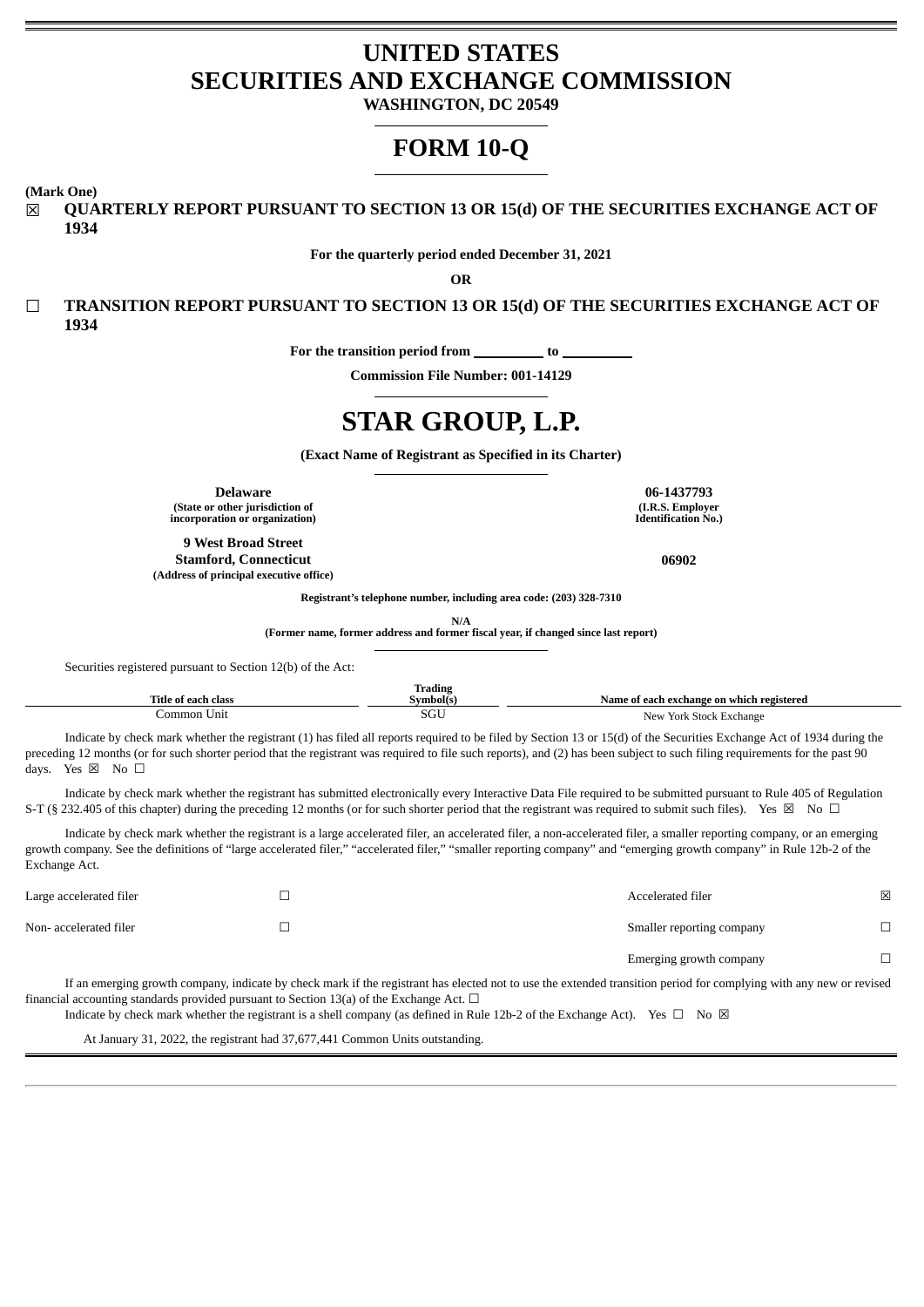# **UNITED STATES SECURITIES AND EXCHANGE COMMISSION**

**WASHINGTON, DC 20549**

# **FORM 10-Q**

**(Mark One)**

☒ **QUARTERLY REPORT PURSUANT TO SECTION 13 OR 15(d) OF THE SECURITIES EXCHANGE ACT OF 1934**

**For the quarterly period ended December 31, 2021**

**OR**

☐ **TRANSITION REPORT PURSUANT TO SECTION 13 OR 15(d) OF THE SECURITIES EXCHANGE ACT OF 1934**

**For the transition period from to**

**Commission File Number: 001-14129**

# **STAR GROUP, L.P.**

**(Exact Name of Registrant as Specified in its Charter)**

**Delaware 06-1437793 (State or other jurisdiction of**

**incorporation or organization) 9 West Broad Street**

**Stamford, Connecticut 06902 (Address of principal executive office)**

**(I.R.S. Employer Identification No.)**

**Registrant's telephone number, including area code: (203) 328-7310**

**N/A**

**(Former name, former address and former fiscal year, if changed since last report)**

Securities registered pursuant to Section 12(b) of the Act:

|                                 | Trading           |                                           |
|---------------------------------|-------------------|-------------------------------------------|
| Title<br>of each class          | svmbol(;          | Name of each exchange on which registered |
| $\tau$ $\tau$<br>.ommon<br>Unit | .<br>ას∪<br>$  -$ | New York<br>Exchange<br>. Stoch           |

Indicate by check mark whether the registrant (1) has filed all reports required to be filed by Section 13 or 15(d) of the Securities Exchange Act of 1934 during the preceding 12 months (or for such shorter period that the registrant was required to file such reports), and (2) has been subject to such filing requirements for the past 90 days. Yes ⊠ No □

Indicate by check mark whether the registrant has submitted electronically every Interactive Data File required to be submitted pursuant to Rule 405 of Regulation S-T (§ 232.405 of this chapter) during the preceding 12 months (or for such shorter period that the registrant was required to submit such files). Yes  $\boxtimes$  No  $\Box$ 

Indicate by check mark whether the registrant is a large accelerated filer, an accelerated filer, a non-accelerated filer, a smaller reporting company, or an emerging growth company. See the definitions of "large accelerated filer," "accelerated filer," "smaller reporting company" and "emerging growth company" in Rule 12b-2 of the Exchange Act.

| Large accelerated filer |   | Accelerated filer         | $\boxtimes$ |
|-------------------------|---|---------------------------|-------------|
| Non- accelerated filer  |   | Smaller reporting company | $\Box$      |
|                         |   | Emerging growth company   | $\Box$      |
| $ -$                    | . | .                         |             |

If an emerging growth company, indicate by check mark if the registrant has elected not to use the extended transition period for complying with any new or revised financial accounting standards provided pursuant to Section 13(a) of the Exchange Act.  $\Box$ 

Indicate by check mark whether the registrant is a shell company (as defined in Rule 12b-2 of the Exchange Act). Yes  $\Box$  No  $\boxtimes$ 

At January 31, 2022, the registrant had 37,677,441 Common Units outstanding.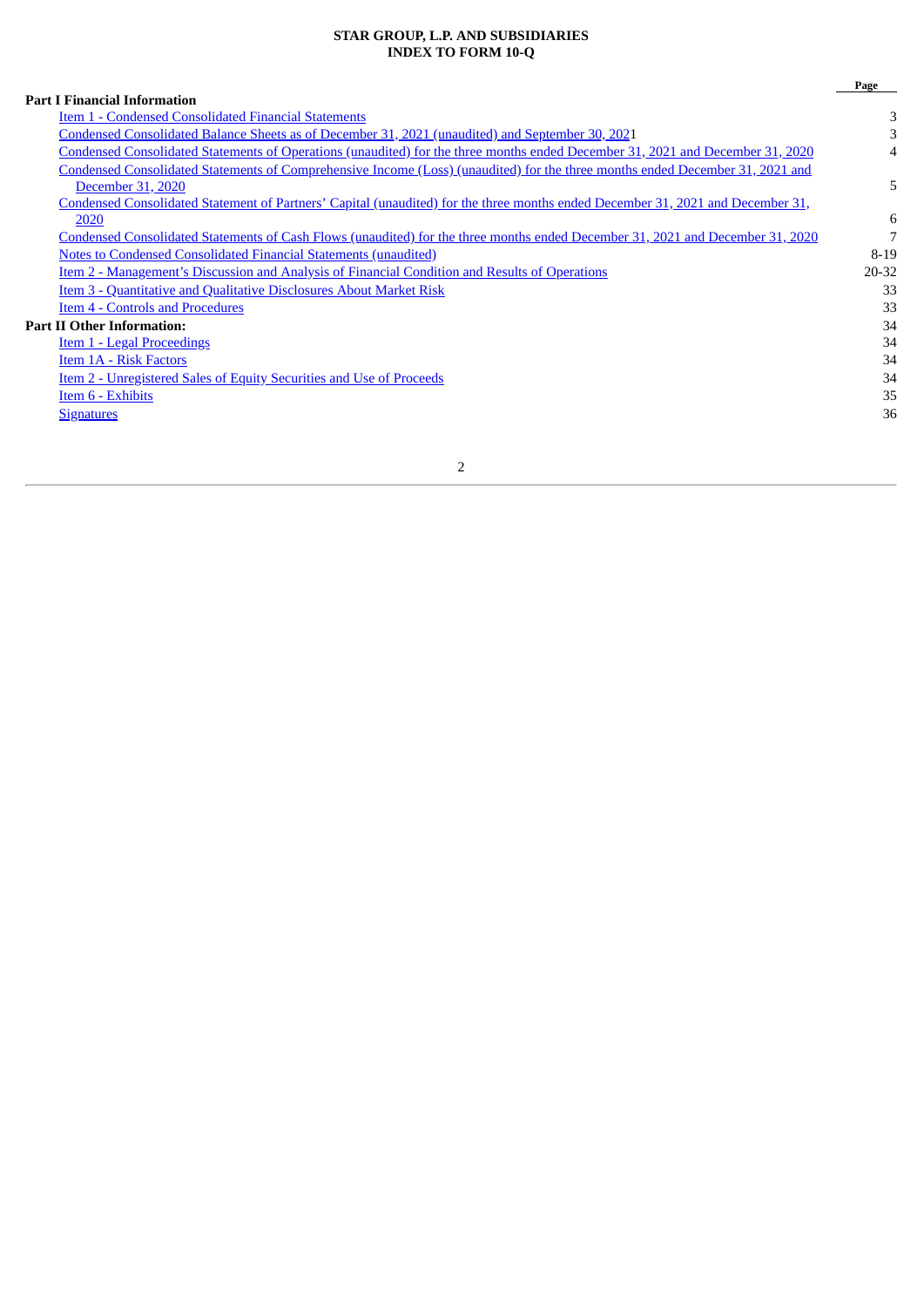## **STAR GROUP, L.P. AND SUBSIDIARIES INDEX TO FORM 10-Q**

**Page**

# **Par**

| Part I Financial Information                                                                                                    |          |
|---------------------------------------------------------------------------------------------------------------------------------|----------|
| <b>Item 1 - Condensed Consolidated Financial Statements</b>                                                                     |          |
| Condensed Consolidated Balance Sheets as of December 31, 2021 (unaudited) and September 30, 2021                                |          |
| Condensed Consolidated Statements of Operations (unaudited) for the three months ended December 31, 2021 and December 31, 2020  | 4        |
| Condensed Consolidated Statements of Comprehensive Income (Loss) (unaudited) for the three months ended December 31, 2021 and   |          |
| December 31, 2020                                                                                                               | 5        |
| Condensed Consolidated Statement of Partners' Capital (unaudited) for the three months ended December 31, 2021 and December 31, |          |
| 2020                                                                                                                            | 6        |
| Condensed Consolidated Statements of Cash Flows (unaudited) for the three months ended December 31, 2021 and December 31, 2020  | 7        |
| Notes to Condensed Consolidated Financial Statements (unaudited)                                                                | $8 - 19$ |
| <u>Item 2 - Management's Discussion and Analysis of Financial Condition and Results of Operations</u>                           | 20-32    |
| <u><b>Item 3 - Quantitative and Qualitative Disclosures About Market Risk</b></u>                                               | 33       |
| <b>Item 4 - Controls and Procedures</b>                                                                                         | 33       |
| <b>Part II Other Information:</b>                                                                                               | 34       |
| <b>Item 1 - Legal Proceedings</b>                                                                                               | 34       |
| <b>Item 1A - Risk Factors</b>                                                                                                   | 34       |
| Item 2 - Unregistered Sales of Equity Securities and Use of Proceeds                                                            | 34       |
| Item 6 - Exhibits                                                                                                               | 35       |
| <b>Signatures</b>                                                                                                               | 36       |
|                                                                                                                                 |          |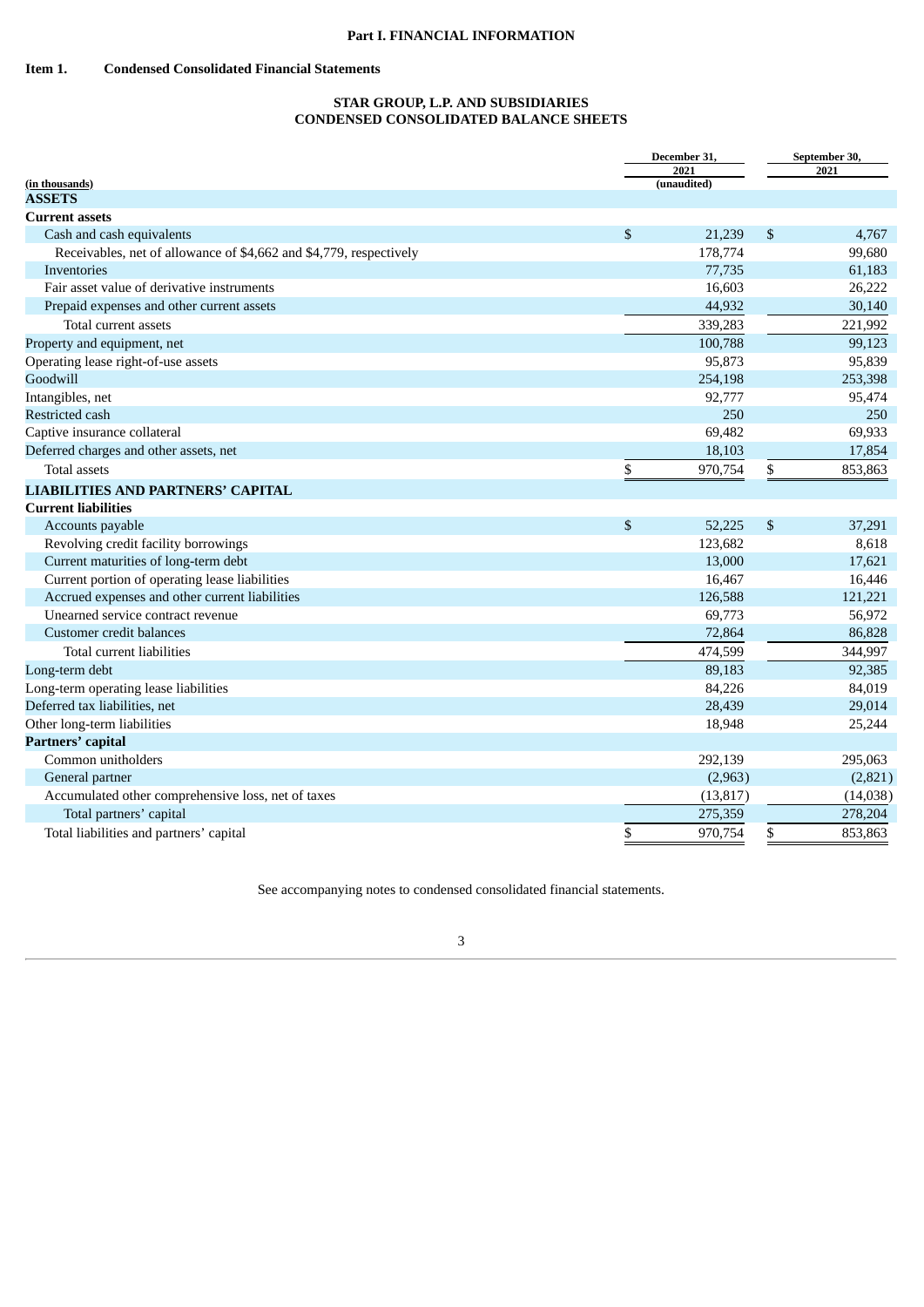## <span id="page-2-0"></span>**Item 1. Condensed Consolidated Financial Statements**

# **STAR GROUP, L.P. AND SUBSIDIARIES CONDENSED CONSOLIDATED BALANCE SHEETS**

<span id="page-2-1"></span>

|                                                                    | December 31,<br>2021 |    | September 30,<br>2021 |
|--------------------------------------------------------------------|----------------------|----|-----------------------|
| (in thousands)                                                     | (unaudited)          |    |                       |
| <b>ASSETS</b>                                                      |                      |    |                       |
| <b>Current assets</b>                                              |                      |    |                       |
| Cash and cash equivalents                                          | \$<br>21,239         | \$ | 4,767                 |
| Receivables, net of allowance of \$4,662 and \$4,779, respectively | 178,774              |    | 99,680                |
| Inventories                                                        | 77,735               |    | 61,183                |
| Fair asset value of derivative instruments                         | 16,603               |    | 26,222                |
| Prepaid expenses and other current assets                          | 44,932               |    | 30,140                |
| Total current assets                                               | 339,283              |    | 221,992               |
| Property and equipment, net                                        | 100,788              |    | 99,123                |
| Operating lease right-of-use assets                                | 95,873               |    | 95,839                |
| Goodwill                                                           | 254,198              |    | 253,398               |
| Intangibles, net                                                   | 92,777               |    | 95,474                |
| Restricted cash                                                    | 250                  |    | 250                   |
| Captive insurance collateral                                       | 69,482               |    | 69,933                |
| Deferred charges and other assets, net                             | 18,103               |    | 17,854                |
| <b>Total assets</b>                                                | \$<br>970,754        | \$ | 853,863               |
| <b>LIABILITIES AND PARTNERS' CAPITAL</b>                           |                      |    |                       |
| <b>Current liabilities</b>                                         |                      |    |                       |
| Accounts payable                                                   | \$<br>52,225         | \$ | 37,291                |
| Revolving credit facility borrowings                               | 123,682              |    | 8,618                 |
| Current maturities of long-term debt                               | 13,000               |    | 17,621                |
| Current portion of operating lease liabilities                     | 16,467               |    | 16,446                |
| Accrued expenses and other current liabilities                     | 126,588              |    | 121,221               |
| Unearned service contract revenue                                  | 69,773               |    | 56,972                |
| Customer credit balances                                           | 72,864               |    | 86,828                |
| Total current liabilities                                          | 474,599              |    | 344,997               |
| Long-term debt                                                     | 89,183               |    | 92,385                |
| Long-term operating lease liabilities                              | 84,226               |    | 84,019                |
| Deferred tax liabilities, net                                      | 28,439               |    | 29,014                |
| Other long-term liabilities                                        | 18,948               |    | 25,244                |
| Partners' capital                                                  |                      |    |                       |
| Common unitholders                                                 | 292,139              |    | 295,063               |
| General partner                                                    | (2,963)              |    | (2,821)               |
| Accumulated other comprehensive loss, net of taxes                 | (13, 817)            |    | (14,038)              |
| Total partners' capital                                            | 275,359              |    | 278,204               |
| Total liabilities and partners' capital                            | \$<br>970,754        | \$ | 853,863               |

See accompanying notes to condensed consolidated financial statements.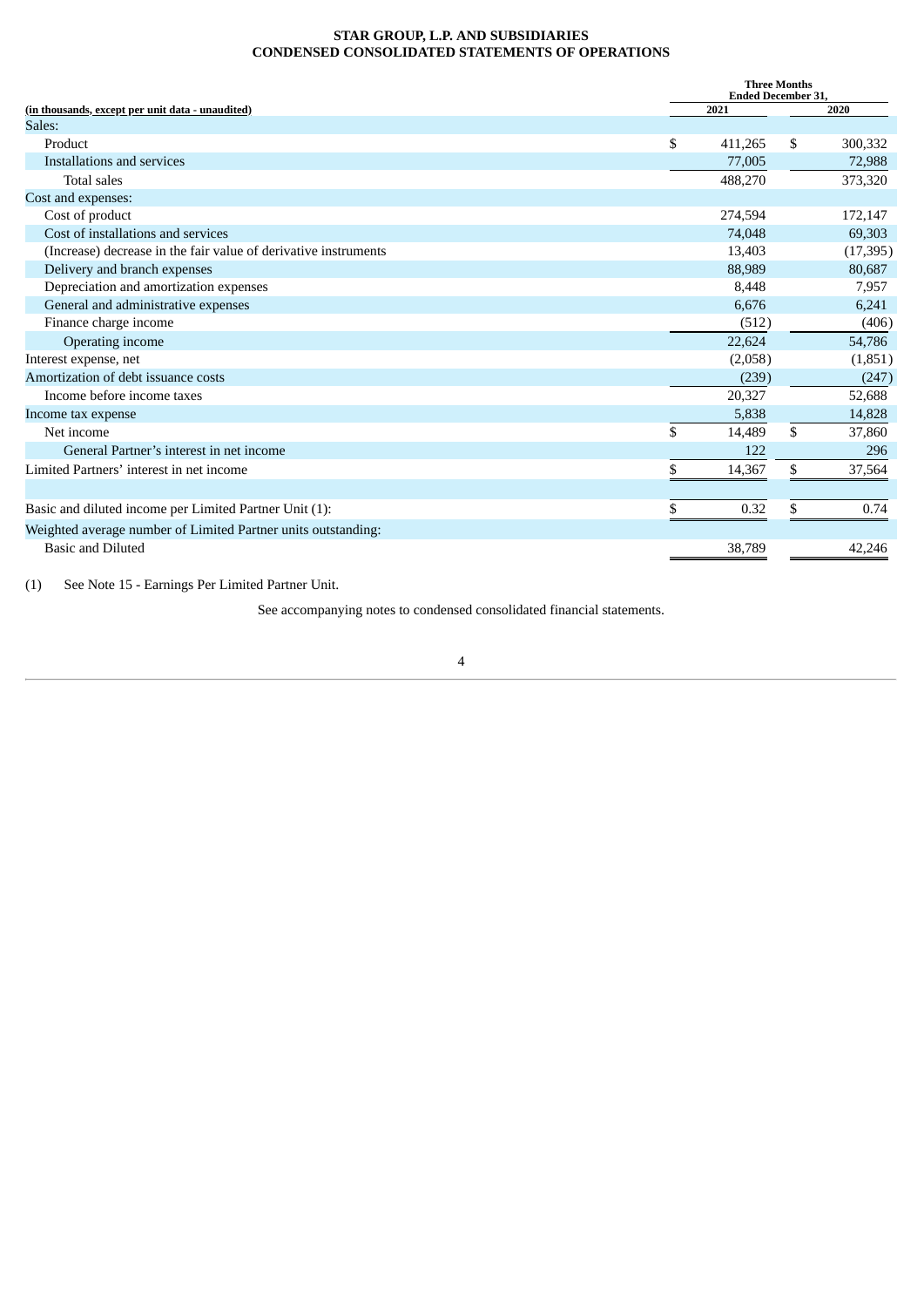# **STAR GROUP, L.P. AND SUBSIDIARIES CONDENSED CONSOLIDATED STATEMENTS OF OPERATIONS**

<span id="page-3-0"></span>

|                                                                 | <b>Three Months</b><br><b>Ended December 31,</b> |    |           |  |  |  |
|-----------------------------------------------------------------|--------------------------------------------------|----|-----------|--|--|--|
| (in thousands, except per unit data - unaudited)                | 2021                                             |    | 2020      |  |  |  |
| Sales:                                                          |                                                  |    |           |  |  |  |
| Product                                                         | \$<br>411,265                                    | \$ | 300,332   |  |  |  |
| Installations and services                                      | 77,005                                           |    | 72,988    |  |  |  |
| <b>Total sales</b>                                              | 488,270                                          |    | 373,320   |  |  |  |
| Cost and expenses:                                              |                                                  |    |           |  |  |  |
| Cost of product                                                 | 274,594                                          |    | 172,147   |  |  |  |
| Cost of installations and services                              | 74,048                                           |    | 69,303    |  |  |  |
| (Increase) decrease in the fair value of derivative instruments | 13,403                                           |    | (17, 395) |  |  |  |
| Delivery and branch expenses                                    | 88,989                                           |    | 80,687    |  |  |  |
| Depreciation and amortization expenses                          | 8,448                                            |    | 7,957     |  |  |  |
| General and administrative expenses                             | 6,676                                            |    | 6,241     |  |  |  |
| Finance charge income                                           | (512)                                            |    | (406)     |  |  |  |
| Operating income                                                | 22,624                                           |    | 54,786    |  |  |  |
| Interest expense, net                                           | (2,058)                                          |    | (1,851)   |  |  |  |
| Amortization of debt issuance costs                             | (239)                                            |    | (247)     |  |  |  |
| Income before income taxes                                      | 20,327                                           |    | 52,688    |  |  |  |
| Income tax expense                                              | 5,838                                            |    | 14,828    |  |  |  |
| Net income                                                      | \$<br>14,489                                     | \$ | 37,860    |  |  |  |
| General Partner's interest in net income                        | 122                                              |    | 296       |  |  |  |
| Limited Partners' interest in net income                        | \$<br>14,367                                     | \$ | 37,564    |  |  |  |
| Basic and diluted income per Limited Partner Unit (1):          | 0.32                                             | \$ | 0.74      |  |  |  |
| Weighted average number of Limited Partner units outstanding:   |                                                  |    |           |  |  |  |
| <b>Basic and Diluted</b>                                        | 38,789                                           |    | 42,246    |  |  |  |

(1) See Note 15 - Earnings Per Limited Partner Unit.

See accompanying notes to condensed consolidated financial statements.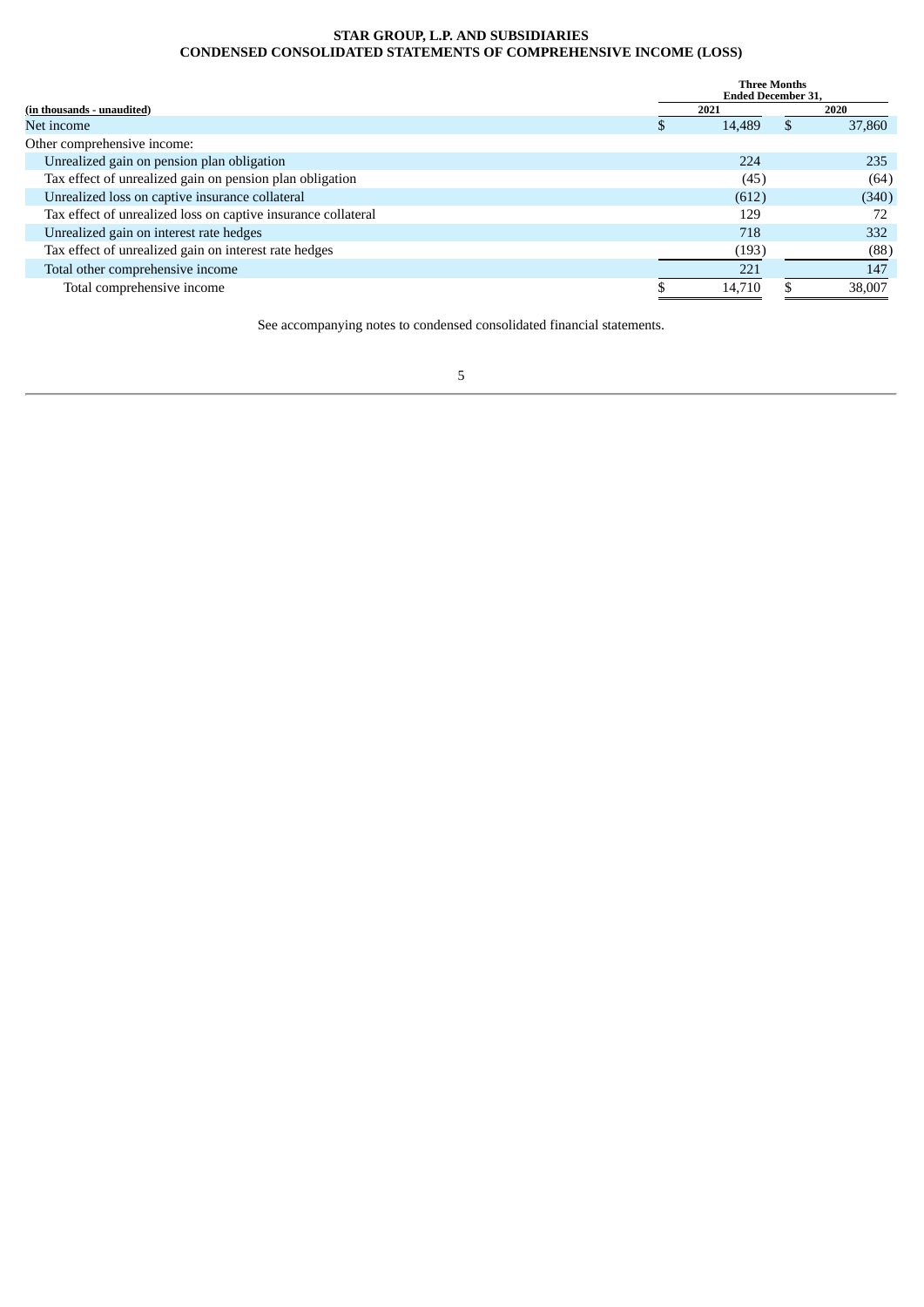## **STAR GROUP, L.P. AND SUBSIDIARIES CONDENSED CONSOLIDATED STATEMENTS OF COMPREHENSIVE INCOME (LOSS)**

<span id="page-4-0"></span>

|                                                               |  | <b>Three Months</b><br><b>Ended December 31.</b> |    |        |  |
|---------------------------------------------------------------|--|--------------------------------------------------|----|--------|--|
| (in thousands - unaudited)                                    |  | 2021                                             |    | 2020   |  |
| Net income                                                    |  | 14,489                                           | S. | 37,860 |  |
| Other comprehensive income:                                   |  |                                                  |    |        |  |
| Unrealized gain on pension plan obligation                    |  | 224                                              |    | 235    |  |
| Tax effect of unrealized gain on pension plan obligation      |  | (45)                                             |    | (64)   |  |
| Unrealized loss on captive insurance collateral               |  | (612)                                            |    | (340)  |  |
| Tax effect of unrealized loss on captive insurance collateral |  | 129                                              |    | 72     |  |
| Unrealized gain on interest rate hedges                       |  | 718                                              |    | 332    |  |
| Tax effect of unrealized gain on interest rate hedges         |  | (193)                                            |    | (88)   |  |
| Total other comprehensive income                              |  | 221                                              |    | 147    |  |
| Total comprehensive income                                    |  | 14.710                                           |    | 38,007 |  |

See accompanying notes to condensed consolidated financial statements.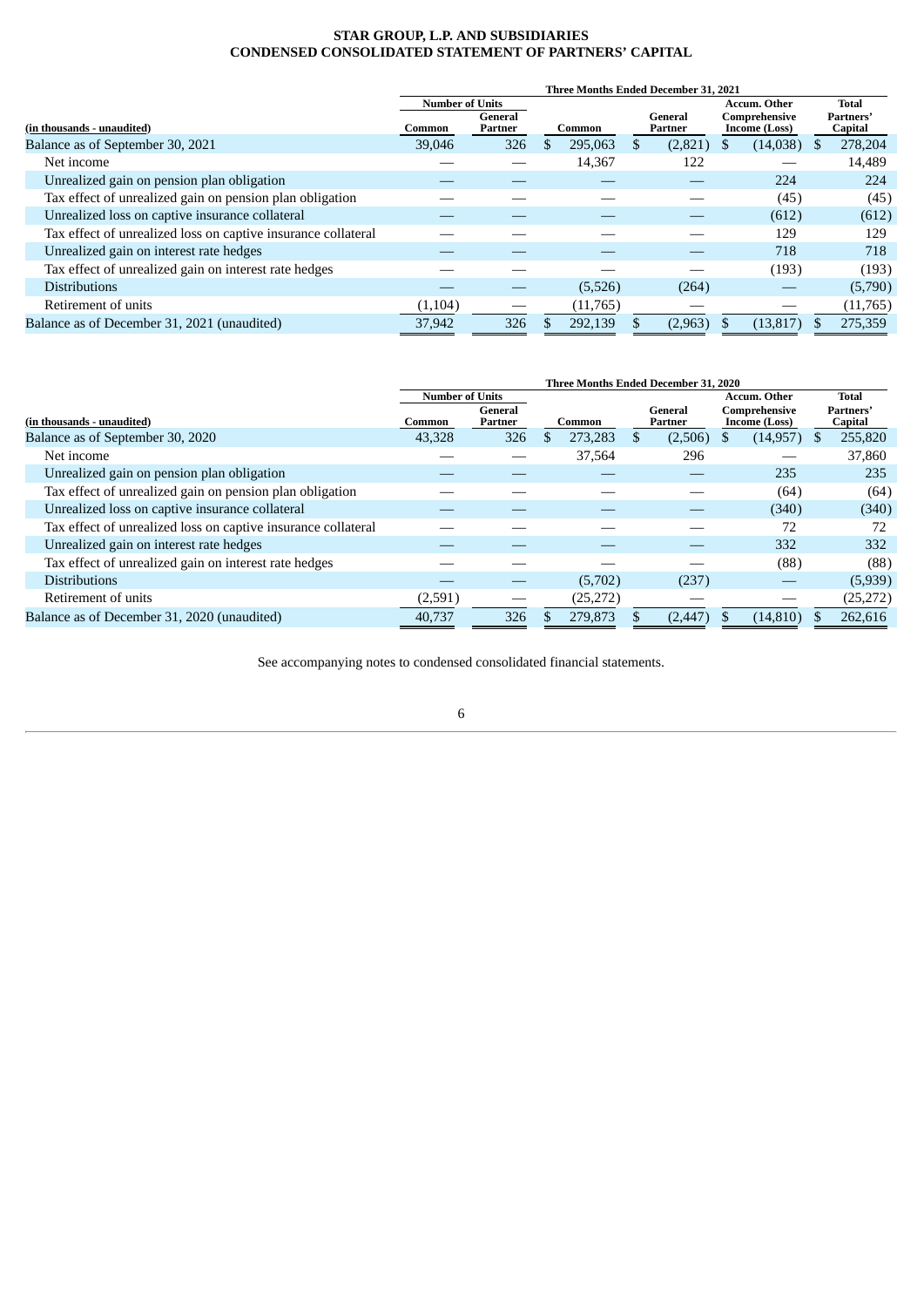# **STAR GROUP, L.P. AND SUBSIDIARIES CONDENSED CONSOLIDATED STATEMENT OF PARTNERS' CAPITAL**

<span id="page-5-0"></span>

|                                                               | Three Months Ended December 31, 2021                           |                  |                                          |          |                   |         |                               |                     |                                            |           |
|---------------------------------------------------------------|----------------------------------------------------------------|------------------|------------------------------------------|----------|-------------------|---------|-------------------------------|---------------------|--------------------------------------------|-----------|
|                                                               |                                                                |                  |                                          |          |                   |         |                               | <b>Accum. Other</b> |                                            | Total     |
|                                                               |                                                                | General          |                                          |          |                   |         |                               |                     |                                            | Partners' |
|                                                               |                                                                |                  |                                          |          |                   |         |                               |                     |                                            | Capital   |
|                                                               |                                                                |                  | SS.                                      |          |                   |         | S                             |                     | <sup>S</sup>                               | 278,204   |
| Net income                                                    |                                                                |                  |                                          | 14,367   |                   | 122     |                               |                     |                                            | 14,489    |
| Unrealized gain on pension plan obligation                    |                                                                |                  |                                          |          |                   |         |                               | 224                 |                                            | 224       |
| Tax effect of unrealized gain on pension plan obligation      |                                                                |                  |                                          |          |                   |         |                               | (45)                |                                            | (45)      |
| Unrealized loss on captive insurance collateral               |                                                                |                  |                                          |          |                   |         |                               | (612)               |                                            | (612)     |
| Tax effect of unrealized loss on captive insurance collateral |                                                                |                  |                                          |          |                   |         |                               | 129                 |                                            | 129       |
| Unrealized gain on interest rate hedges                       |                                                                |                  |                                          |          |                   |         |                               | 718                 |                                            | 718       |
| Tax effect of unrealized gain on interest rate hedges         |                                                                |                  |                                          |          |                   |         |                               | (193)               |                                            | (193)     |
| <b>Distributions</b>                                          |                                                                |                  |                                          | (5,526)  |                   | (264)   |                               |                     |                                            | (5,790)   |
| Retirement of units                                           | (1, 104)                                                       |                  |                                          | (11,765) |                   |         |                               |                     |                                            | (11,765)  |
| Balance as of December 31, 2021 (unaudited)                   | 37,942                                                         | 326              |                                          | 292,139  |                   | (2,963) |                               | (13, 817)           |                                            | 275,359   |
|                                                               | (in thousands - unaudited)<br>Balance as of September 30, 2021 | Common<br>39,046 | <b>Number of Units</b><br>Partner<br>326 |          | Common<br>295,063 |         | General<br>Partner<br>(2,821) |                     | Comprehensive<br>Income (Loss)<br>(14,038) |           |

|                                                               | <b>Three Months Ended December 31, 2020</b> |         |  |           |  |          |    |                     |   |           |
|---------------------------------------------------------------|---------------------------------------------|---------|--|-----------|--|----------|----|---------------------|---|-----------|
|                                                               | <b>Number of Units</b>                      |         |  |           |  |          |    | <b>Accum. Other</b> |   | Total     |
|                                                               |                                             | General |  |           |  | General  |    | Comprehensive       |   | Partners' |
| (in thousands - unaudited)                                    | Common                                      | Partner |  | Common    |  | Partner  |    | Income (Loss)       |   | Capital   |
| Balance as of September 30, 2020                              | 43,328                                      | 326     |  | 273,283   |  | (2,506)  | -S | (14, 957)           | S | 255,820   |
| Net income                                                    |                                             |         |  | 37,564    |  | 296      |    |                     |   | 37,860    |
| Unrealized gain on pension plan obligation                    |                                             |         |  |           |  |          |    | 235                 |   | 235       |
| Tax effect of unrealized gain on pension plan obligation      |                                             |         |  |           |  |          |    | (64)                |   | (64)      |
| Unrealized loss on captive insurance collateral               |                                             |         |  |           |  |          |    | (340)               |   | (340)     |
| Tax effect of unrealized loss on captive insurance collateral |                                             |         |  |           |  |          |    | 72                  |   | 72        |
| Unrealized gain on interest rate hedges                       |                                             |         |  |           |  |          |    | 332                 |   | 332       |
| Tax effect of unrealized gain on interest rate hedges         |                                             |         |  |           |  |          |    | (88)                |   | (88)      |
| <b>Distributions</b>                                          |                                             |         |  | (5,702)   |  | (237)    |    |                     |   | (5,939)   |
| Retirement of units                                           | (2,591)                                     |         |  | (25, 272) |  |          |    |                     |   | (25, 272) |
| Balance as of December 31, 2020 (unaudited)                   | 40,737                                      | 326     |  | 279,873   |  | (2, 447) |    | (14, 810)           |   | 262,616   |

See accompanying notes to condensed consolidated financial statements.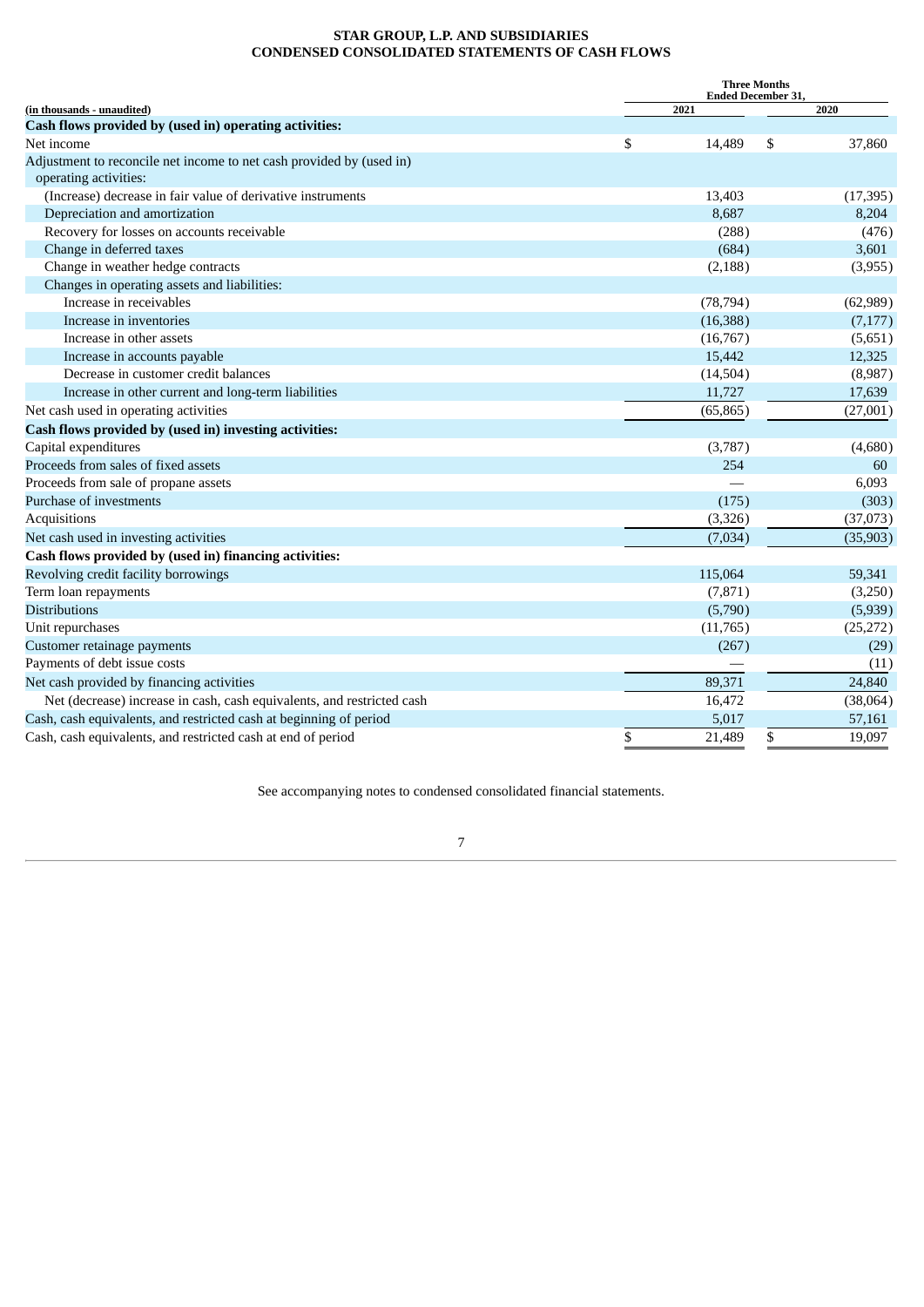# **STAR GROUP, L.P. AND SUBSIDIARIES CONDENSED CONSOLIDATED STATEMENTS OF CASH FLOWS**

<span id="page-6-0"></span>

|                                                                        | <b>Three Months</b><br><b>Ended December 31,</b> |      |           |  |  |  |
|------------------------------------------------------------------------|--------------------------------------------------|------|-----------|--|--|--|
| (in thousands - unaudited)                                             | 2021                                             | 2020 |           |  |  |  |
| Cash flows provided by (used in) operating activities:                 |                                                  |      |           |  |  |  |
| Net income                                                             | \$<br>14,489                                     | \$   | 37,860    |  |  |  |
| Adjustment to reconcile net income to net cash provided by (used in)   |                                                  |      |           |  |  |  |
| operating activities:                                                  |                                                  |      |           |  |  |  |
| (Increase) decrease in fair value of derivative instruments            | 13,403                                           |      | (17, 395) |  |  |  |
| Depreciation and amortization                                          | 8,687                                            |      | 8,204     |  |  |  |
| Recovery for losses on accounts receivable                             | (288)                                            |      | (476)     |  |  |  |
| Change in deferred taxes                                               | (684)                                            |      | 3,601     |  |  |  |
| Change in weather hedge contracts                                      | (2, 188)                                         |      | (3,955)   |  |  |  |
| Changes in operating assets and liabilities:                           |                                                  |      |           |  |  |  |
| Increase in receivables                                                | (78, 794)                                        |      | (62, 989) |  |  |  |
| Increase in inventories                                                | (16, 388)                                        |      | (7,177)   |  |  |  |
| Increase in other assets                                               | (16,767)                                         |      | (5,651)   |  |  |  |
| Increase in accounts payable                                           | 15,442                                           |      | 12,325    |  |  |  |
| Decrease in customer credit balances                                   | (14,504)                                         |      | (8,987)   |  |  |  |
| Increase in other current and long-term liabilities                    | 11,727                                           |      | 17,639    |  |  |  |
| Net cash used in operating activities                                  | (65, 865)                                        |      | (27,001)  |  |  |  |
| Cash flows provided by (used in) investing activities:                 |                                                  |      |           |  |  |  |
| Capital expenditures                                                   | (3,787)                                          |      | (4,680)   |  |  |  |
| Proceeds from sales of fixed assets                                    | 254                                              |      | 60        |  |  |  |
| Proceeds from sale of propane assets                                   |                                                  |      | 6,093     |  |  |  |
| Purchase of investments                                                | (175)                                            |      | (303)     |  |  |  |
| Acquisitions                                                           | (3, 326)                                         |      | (37,073)  |  |  |  |
| Net cash used in investing activities                                  | (7,034)                                          |      | (35, 903) |  |  |  |
| Cash flows provided by (used in) financing activities:                 |                                                  |      |           |  |  |  |
| Revolving credit facility borrowings                                   | 115,064                                          |      | 59,341    |  |  |  |
| Term loan repayments                                                   | (7, 871)                                         |      | (3,250)   |  |  |  |
| <b>Distributions</b>                                                   | (5,790)                                          |      | (5,939)   |  |  |  |
| Unit repurchases                                                       | (11,765)                                         |      | (25, 272) |  |  |  |
| Customer retainage payments                                            | (267)                                            |      | (29)      |  |  |  |
| Payments of debt issue costs                                           |                                                  |      | (11)      |  |  |  |
| Net cash provided by financing activities                              | 89,371                                           |      | 24,840    |  |  |  |
| Net (decrease) increase in cash, cash equivalents, and restricted cash | 16,472                                           |      | (38,064)  |  |  |  |
| Cash, cash equivalents, and restricted cash at beginning of period     | 5,017                                            |      | 57,161    |  |  |  |
| Cash, cash equivalents, and restricted cash at end of period           | \$<br>21,489                                     | \$   | 19,097    |  |  |  |

See accompanying notes to condensed consolidated financial statements.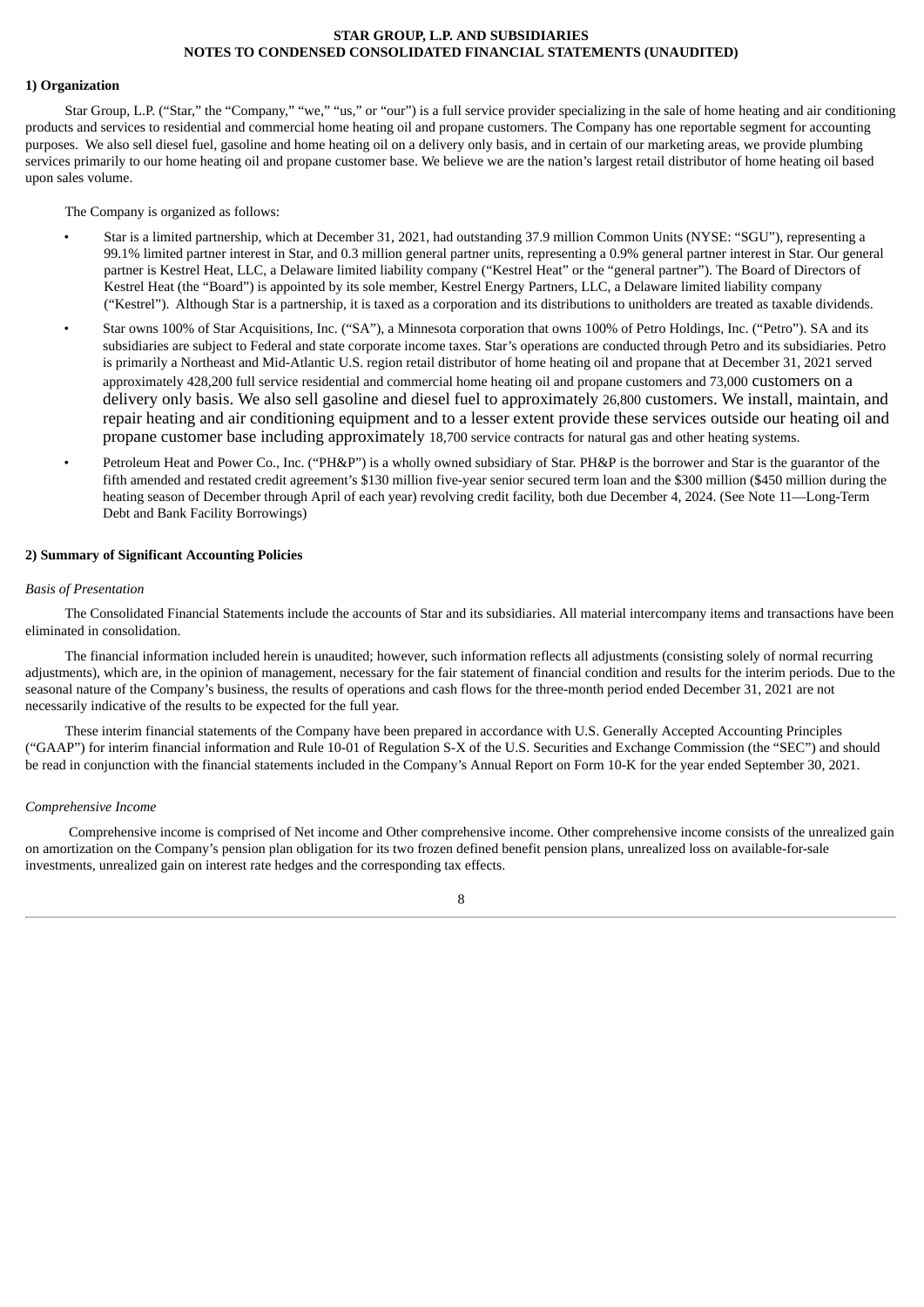## **STAR GROUP, L.P. AND SUBSIDIARIES NOTES TO CONDENSED CONSOLIDATED FINANCIAL STATEMENTS (UNAUDITED)**

#### <span id="page-7-0"></span>**1) Organization**

Star Group, L.P. ("Star," the "Company," "we," "us," or "our") is a full service provider specializing in the sale of home heating and air conditioning products and services to residential and commercial home heating oil and propane customers. The Company has one reportable segment for accounting purposes. We also sell diesel fuel, gasoline and home heating oil on a delivery only basis, and in certain of our marketing areas, we provide plumbing services primarily to our home heating oil and propane customer base. We believe we are the nation's largest retail distributor of home heating oil based upon sales volume.

The Company is organized as follows:

- Star is a limited partnership, which at December 31, 2021, had outstanding 37.9 million Common Units (NYSE: "SGU"), representing a 99.1% limited partner interest in Star, and 0.3 million general partner units, representing a 0.9% general partner interest in Star. Our general partner is Kestrel Heat, LLC, a Delaware limited liability company ("Kestrel Heat" or the "general partner"). The Board of Directors of Kestrel Heat (the "Board") is appointed by its sole member, Kestrel Energy Partners, LLC, a Delaware limited liability company ("Kestrel"). Although Star is a partnership, it is taxed as a corporation and its distributions to unitholders are treated as taxable dividends.
- Star owns 100% of Star Acquisitions, Inc. ("SA"), a Minnesota corporation that owns 100% of Petro Holdings, Inc. ("Petro"). SA and its subsidiaries are subject to Federal and state corporate income taxes. Star's operations are conducted through Petro and its subsidiaries. Petro is primarily a Northeast and Mid-Atlantic U.S. region retail distributor of home heating oil and propane that at December 31, 2021 served approximately 428,200 full service residential and commercial home heating oil and propane customers and 73,000 customers on a delivery only basis. We also sell gasoline and diesel fuel to approximately 26,800 customers. We install, maintain, and repair heating and air conditioning equipment and to a lesser extent provide these services outside our heating oil and propane customer base including approximately 18,700 service contracts for natural gas and other heating systems.
- Petroleum Heat and Power Co., Inc. ("PH&P") is a wholly owned subsidiary of Star. PH&P is the borrower and Star is the guarantor of the fifth amended and restated credit agreement's \$130 million five-year senior secured term loan and the \$300 million (\$450 million during the heating season of December through April of each year) revolving credit facility, both due December 4, 2024. (See Note 11—Long-Term Debt and Bank Facility Borrowings)

#### **2) Summary of Significant Accounting Policies**

## *Basis of Presentation*

The Consolidated Financial Statements include the accounts of Star and its subsidiaries. All material intercompany items and transactions have been eliminated in consolidation.

The financial information included herein is unaudited; however, such information reflects all adjustments (consisting solely of normal recurring adjustments), which are, in the opinion of management, necessary for the fair statement of financial condition and results for the interim periods. Due to the seasonal nature of the Company's business, the results of operations and cash flows for the three-month period ended December 31, 2021 are not necessarily indicative of the results to be expected for the full year.

These interim financial statements of the Company have been prepared in accordance with U.S. Generally Accepted Accounting Principles ("GAAP") for interim financial information and Rule 10-01 of Regulation S-X of the U.S. Securities and Exchange Commission (the "SEC") and should be read in conjunction with the financial statements included in the Company's Annual Report on Form 10-K for the year ended September 30, 2021.

#### *Comprehensive Income*

Comprehensive income is comprised of Net income and Other comprehensive income. Other comprehensive income consists of the unrealized gain on amortization on the Company's pension plan obligation for its two frozen defined benefit pension plans, unrealized loss on available-for-sale investments, unrealized gain on interest rate hedges and the corresponding tax effects.

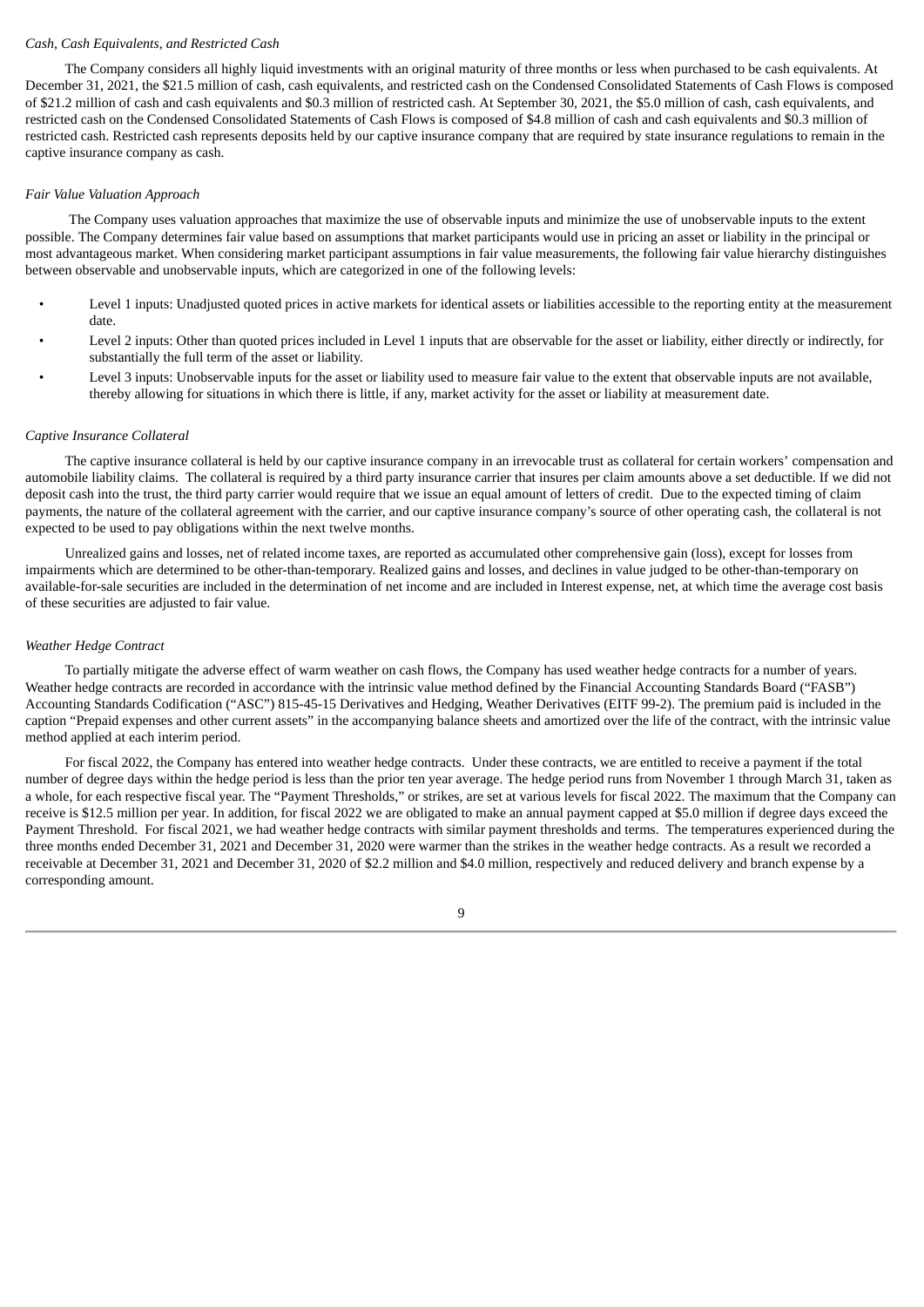## *Cash, Cash Equivalents, and Restricted Cash*

The Company considers all highly liquid investments with an original maturity of three months or less when purchased to be cash equivalents. At December 31, 2021, the \$21.5 million of cash, cash equivalents, and restricted cash on the Condensed Consolidated Statements of Cash Flows is composed of \$21.2 million of cash and cash equivalents and \$0.3 million of restricted cash. At September 30, 2021, the \$5.0 million of cash, cash equivalents, and restricted cash on the Condensed Consolidated Statements of Cash Flows is composed of \$4.8 million of cash and cash equivalents and \$0.3 million of restricted cash. Restricted cash represents deposits held by our captive insurance company that are required by state insurance regulations to remain in the captive insurance company as cash.

#### *Fair Value Valuation Approach*

The Company uses valuation approaches that maximize the use of observable inputs and minimize the use of unobservable inputs to the extent possible. The Company determines fair value based on assumptions that market participants would use in pricing an asset or liability in the principal or most advantageous market. When considering market participant assumptions in fair value measurements, the following fair value hierarchy distinguishes between observable and unobservable inputs, which are categorized in one of the following levels:

- Level 1 inputs: Unadjusted quoted prices in active markets for identical assets or liabilities accessible to the reporting entity at the measurement date.
- Level 2 inputs: Other than quoted prices included in Level 1 inputs that are observable for the asset or liability, either directly or indirectly, for substantially the full term of the asset or liability.
- Level 3 inputs: Unobservable inputs for the asset or liability used to measure fair value to the extent that observable inputs are not available, thereby allowing for situations in which there is little, if any, market activity for the asset or liability at measurement date.

#### *Captive Insurance Collateral*

The captive insurance collateral is held by our captive insurance company in an irrevocable trust as collateral for certain workers' compensation and automobile liability claims. The collateral is required by a third party insurance carrier that insures per claim amounts above a set deductible. If we did not deposit cash into the trust, the third party carrier would require that we issue an equal amount of letters of credit. Due to the expected timing of claim payments, the nature of the collateral agreement with the carrier, and our captive insurance company's source of other operating cash, the collateral is not expected to be used to pay obligations within the next twelve months.

Unrealized gains and losses, net of related income taxes, are reported as accumulated other comprehensive gain (loss), except for losses from impairments which are determined to be other-than-temporary. Realized gains and losses, and declines in value judged to be other-than-temporary on available-for-sale securities are included in the determination of net income and are included in Interest expense, net, at which time the average cost basis of these securities are adjusted to fair value.

## *Weather Hedge Contract*

To partially mitigate the adverse effect of warm weather on cash flows, the Company has used weather hedge contracts for a number of years. Weather hedge contracts are recorded in accordance with the intrinsic value method defined by the Financial Accounting Standards Board ("FASB") Accounting Standards Codification ("ASC") 815-45-15 Derivatives and Hedging, Weather Derivatives (EITF 99-2). The premium paid is included in the caption "Prepaid expenses and other current assets" in the accompanying balance sheets and amortized over the life of the contract, with the intrinsic value method applied at each interim period.

For fiscal 2022, the Company has entered into weather hedge contracts. Under these contracts, we are entitled to receive a payment if the total number of degree days within the hedge period is less than the prior ten year average. The hedge period runs from November 1 through March 31, taken as a whole, for each respective fiscal year. The "Payment Thresholds," or strikes, are set at various levels for fiscal 2022. The maximum that the Company can receive is \$12.5 million per year. In addition, for fiscal 2022 we are obligated to make an annual payment capped at \$5.0 million if degree days exceed the Payment Threshold. For fiscal 2021, we had weather hedge contracts with similar payment thresholds and terms. The temperatures experienced during the three months ended December 31, 2021 and December 31, 2020 were warmer than the strikes in the weather hedge contracts. As a result we recorded a receivable at December 31, 2021 and December 31, 2020 of \$2.2 million and \$4.0 million, respectively and reduced delivery and branch expense by a corresponding amount.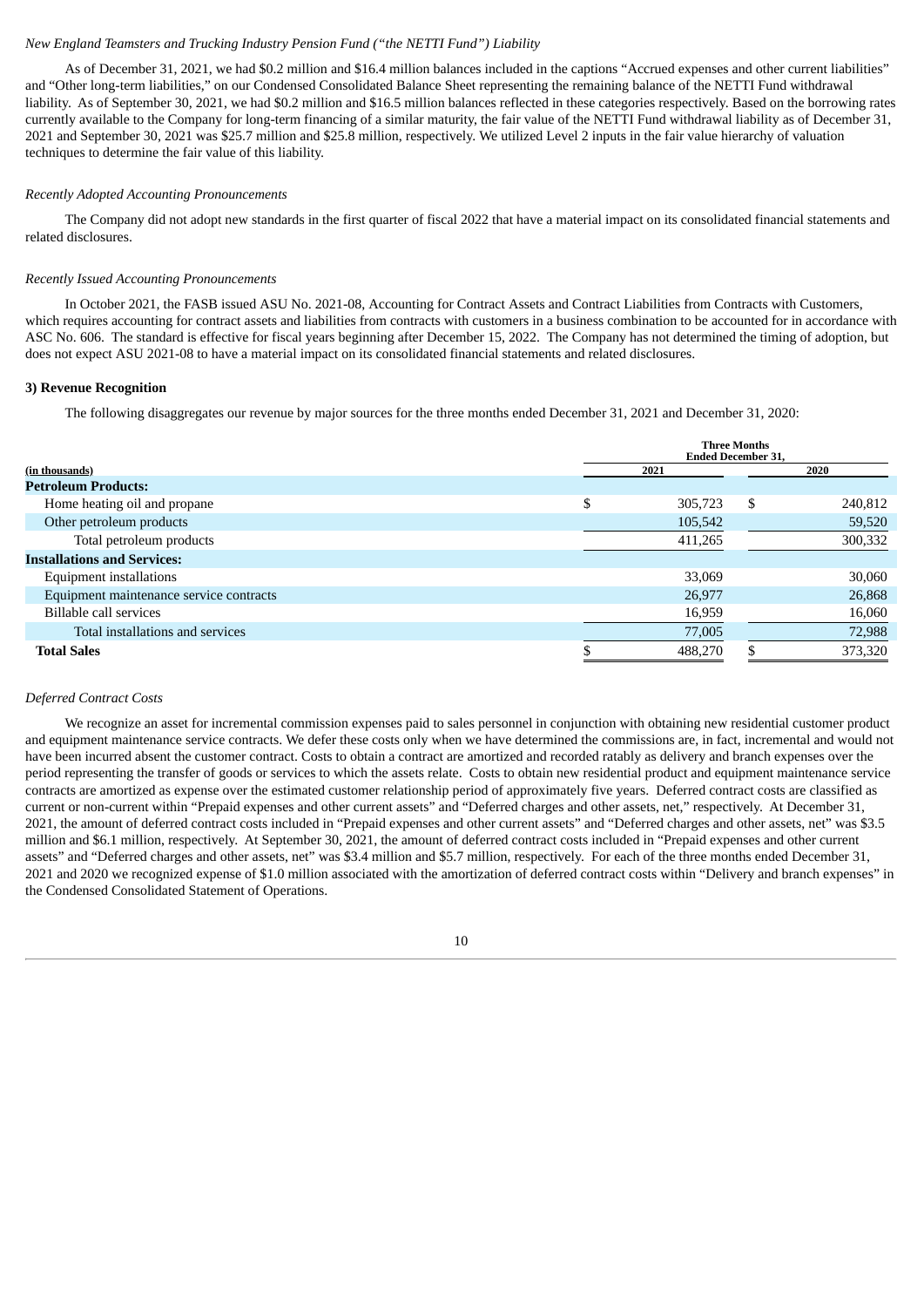## *New England Teamsters and Trucking Industry Pension Fund ("the NETTI Fund") Liability*

As of December 31, 2021, we had \$0.2 million and \$16.4 million balances included in the captions "Accrued expenses and other current liabilities" and "Other long-term liabilities," on our Condensed Consolidated Balance Sheet representing the remaining balance of the NETTI Fund withdrawal liability. As of September 30, 2021, we had \$0.2 million and \$16.5 million balances reflected in these categories respectively. Based on the borrowing rates currently available to the Company for long-term financing of a similar maturity, the fair value of the NETTI Fund withdrawal liability as of December 31, 2021 and September 30, 2021 was \$25.7 million and \$25.8 million, respectively. We utilized Level 2 inputs in the fair value hierarchy of valuation techniques to determine the fair value of this liability.

#### *Recently Adopted Accounting Pronouncements*

The Company did not adopt new standards in the first quarter of fiscal 2022 that have a material impact on its consolidated financial statements and related disclosures.

### *Recently Issued Accounting Pronouncements*

In October 2021, the FASB issued ASU No. 2021-08, Accounting for Contract Assets and Contract Liabilities from Contracts with Customers, which requires accounting for contract assets and liabilities from contracts with customers in a business combination to be accounted for in accordance with ASC No. 606. The standard is effective for fiscal years beginning after December 15, 2022. The Company has not determined the timing of adoption, but does not expect ASU 2021-08 to have a material impact on its consolidated financial statements and related disclosures.

#### **3) Revenue Recognition**

The following disaggregates our revenue by major sources for the three months ended December 31, 2021 and December 31, 2020:

| (in thousands)                          | 2021 |         |   | 2020    |
|-----------------------------------------|------|---------|---|---------|
| <b>Petroleum Products:</b>              |      |         |   |         |
| Home heating oil and propane            | \$   | 305,723 | S | 240,812 |
| Other petroleum products                |      | 105,542 |   | 59,520  |
| Total petroleum products                |      | 411,265 |   | 300,332 |
| <b>Installations and Services:</b>      |      |         |   |         |
| <b>Equipment installations</b>          |      | 33,069  |   | 30,060  |
| Equipment maintenance service contracts |      | 26,977  |   | 26,868  |
| Billable call services                  |      | 16,959  |   | 16,060  |
| Total installations and services        |      | 77,005  |   | 72,988  |
| <b>Total Sales</b>                      |      | 488,270 |   | 373,320 |

## *Deferred Contract Costs*

We recognize an asset for incremental commission expenses paid to sales personnel in conjunction with obtaining new residential customer product and equipment maintenance service contracts. We defer these costs only when we have determined the commissions are, in fact, incremental and would not have been incurred absent the customer contract. Costs to obtain a contract are amortized and recorded ratably as delivery and branch expenses over the period representing the transfer of goods or services to which the assets relate. Costs to obtain new residential product and equipment maintenance service contracts are amortized as expense over the estimated customer relationship period of approximately five years. Deferred contract costs are classified as current or non-current within "Prepaid expenses and other current assets" and "Deferred charges and other assets, net," respectively. At December 31, 2021, the amount of deferred contract costs included in "Prepaid expenses and other current assets" and "Deferred charges and other assets, net" was \$3.5 million and \$6.1 million, respectively. At September 30, 2021, the amount of deferred contract costs included in "Prepaid expenses and other current assets" and "Deferred charges and other assets, net" was \$3.4 million and \$5.7 million, respectively. For each of the three months ended December 31, 2021 and 2020 we recognized expense of \$1.0 million associated with the amortization of deferred contract costs within "Delivery and branch expenses" in the Condensed Consolidated Statement of Operations.

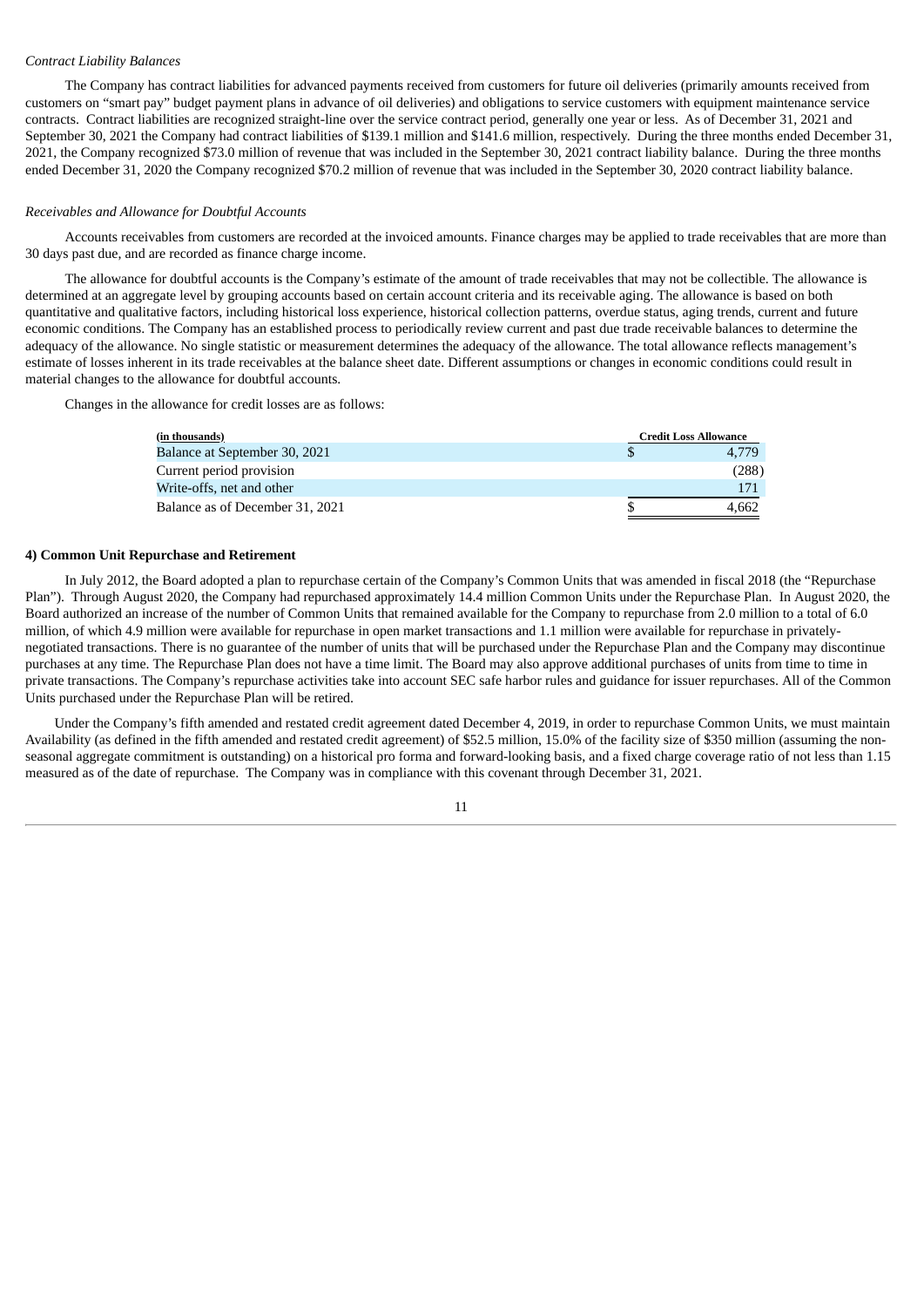## *Contract Liability Balances*

The Company has contract liabilities for advanced payments received from customers for future oil deliveries (primarily amounts received from customers on "smart pay" budget payment plans in advance of oil deliveries) and obligations to service customers with equipment maintenance service contracts. Contract liabilities are recognized straight-line over the service contract period, generally one year or less. As of December 31, 2021 and September 30, 2021 the Company had contract liabilities of \$139.1 million and \$141.6 million, respectively. During the three months ended December 31, 2021, the Company recognized \$73.0 million of revenue that was included in the September 30, 2021 contract liability balance. During the three months ended December 31, 2020 the Company recognized \$70.2 million of revenue that was included in the September 30, 2020 contract liability balance.

#### *Receivables and Allowance for Doubtful Accounts*

Accounts receivables from customers are recorded at the invoiced amounts. Finance charges may be applied to trade receivables that are more than 30 days past due, and are recorded as finance charge income.

The allowance for doubtful accounts is the Company's estimate of the amount of trade receivables that may not be collectible. The allowance is determined at an aggregate level by grouping accounts based on certain account criteria and its receivable aging. The allowance is based on both quantitative and qualitative factors, including historical loss experience, historical collection patterns, overdue status, aging trends, current and future economic conditions. The Company has an established process to periodically review current and past due trade receivable balances to determine the adequacy of the allowance. No single statistic or measurement determines the adequacy of the allowance. The total allowance reflects management's estimate of losses inherent in its trade receivables at the balance sheet date. Different assumptions or changes in economic conditions could result in material changes to the allowance for doubtful accounts.

Changes in the allowance for credit losses are as follows:

| (in thousands)                  |    | <b>Credit Loss Allowance</b> |
|---------------------------------|----|------------------------------|
| Balance at September 30, 2021   |    | 4.779                        |
| Current period provision        |    | (288)                        |
| Write-offs, net and other       |    | 171                          |
| Balance as of December 31, 2021 | .S | 4.662                        |

## **4) Common Unit Repurchase and Retirement**

In July 2012, the Board adopted a plan to repurchase certain of the Company's Common Units that was amended in fiscal 2018 (the "Repurchase Plan"). Through August 2020, the Company had repurchased approximately 14.4 million Common Units under the Repurchase Plan. In August 2020, the Board authorized an increase of the number of Common Units that remained available for the Company to repurchase from 2.0 million to a total of 6.0 million, of which 4.9 million were available for repurchase in open market transactions and 1.1 million were available for repurchase in privatelynegotiated transactions. There is no guarantee of the number of units that will be purchased under the Repurchase Plan and the Company may discontinue purchases at any time. The Repurchase Plan does not have a time limit. The Board may also approve additional purchases of units from time to time in private transactions. The Company's repurchase activities take into account SEC safe harbor rules and guidance for issuer repurchases. All of the Common Units purchased under the Repurchase Plan will be retired.

Under the Company's fifth amended and restated credit agreement dated December 4, 2019, in order to repurchase Common Units, we must maintain Availability (as defined in the fifth amended and restated credit agreement) of \$52.5 million, 15.0% of the facility size of \$350 million (assuming the nonseasonal aggregate commitment is outstanding) on a historical pro forma and forward-looking basis, and a fixed charge coverage ratio of not less than 1.15 measured as of the date of repurchase. The Company was in compliance with this covenant through December 31, 2021.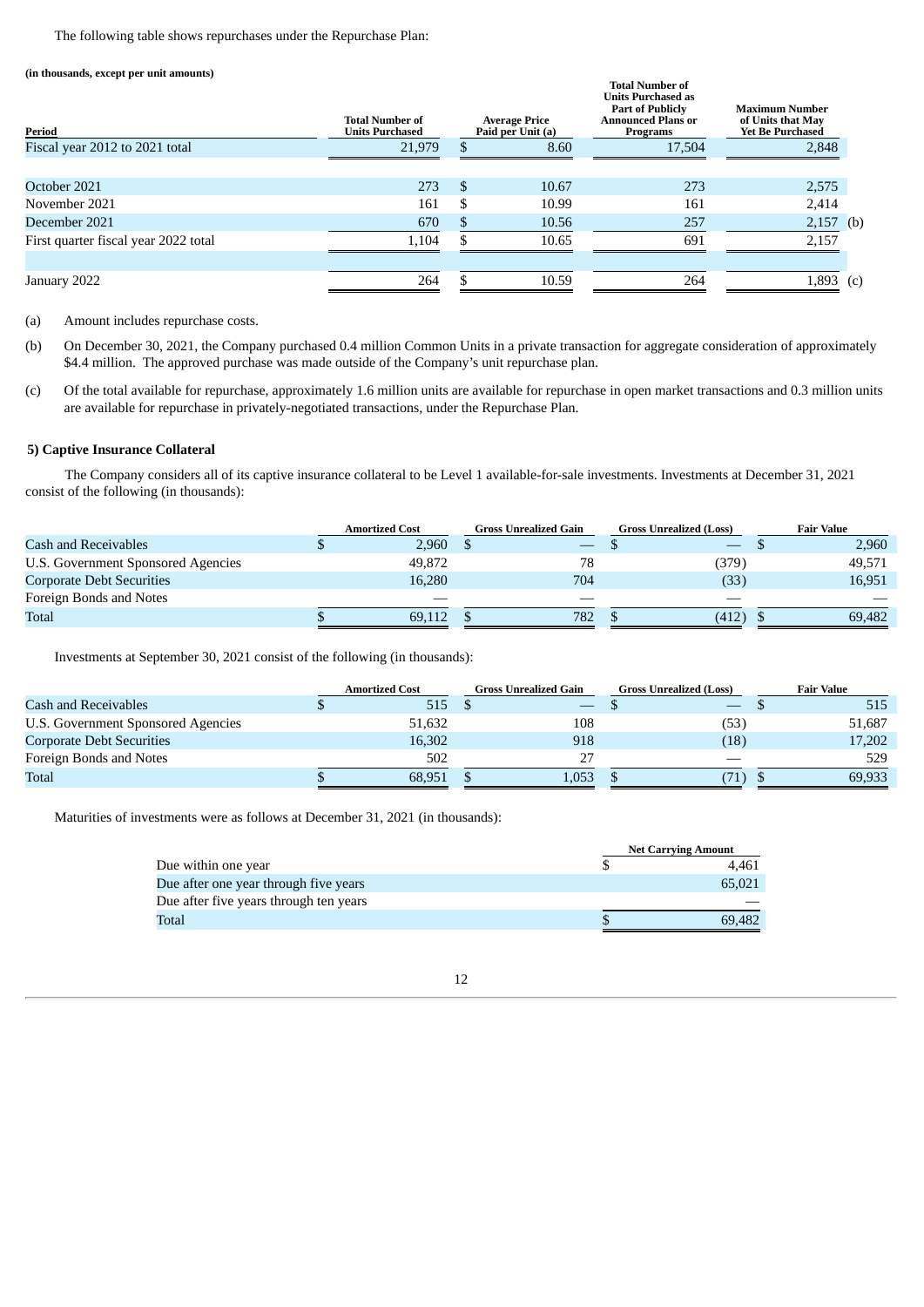The following table shows repurchases under the Repurchase Plan:

**(in thousands, except per unit amounts)**

| Period                               | <b>Total Number of</b><br><b>Units Purchased</b> |   | <b>Average Price</b><br>Paid per Unit (a) | <b>Units Purchased as</b><br><b>Part of Publicly</b><br><b>Announced Plans or</b><br>Programs | <b>Maximum Number</b><br>of Units that May<br><b>Yet Be Purchased</b> |
|--------------------------------------|--------------------------------------------------|---|-------------------------------------------|-----------------------------------------------------------------------------------------------|-----------------------------------------------------------------------|
| Fiscal year 2012 to 2021 total       | 21,979                                           |   | 8.60                                      | 17,504                                                                                        | 2,848                                                                 |
| October 2021                         | 273                                              | S | 10.67                                     | 273                                                                                           | 2,575                                                                 |
| November 2021                        | 161                                              | S | 10.99                                     | 161                                                                                           | 2,414                                                                 |
| December 2021                        | 670                                              |   | 10.56                                     | 257                                                                                           | $2,157$ (b)                                                           |
| First quarter fiscal year 2022 total | 1.104                                            |   | 10.65                                     | 691                                                                                           | 2,157                                                                 |
| January 2022                         | 264                                              |   | 10.59                                     | 264                                                                                           | $1,893$ (c)                                                           |

**Total Number of**

(a) Amount includes repurchase costs.

- (b) On December 30, 2021, the Company purchased 0.4 million Common Units in a private transaction for aggregate consideration of approximately \$4.4 million. The approved purchase was made outside of the Company's unit repurchase plan.
- (c) Of the total available for repurchase, approximately 1.6 million units are available for repurchase in open market transactions and 0.3 million units are available for repurchase in privately-negotiated transactions, under the Repurchase Plan.

## **5) Captive Insurance Collateral**

The Company considers all of its captive insurance collateral to be Level 1 available-for-sale investments. Investments at December 31, 2021 consist of the following (in thousands):

|                                    | <b>Amortized Cost</b> | <b>Gross Unrealized Gain</b> | <b>Gross Unrealized (Loss)</b> |  | <b>Fair Value</b> |
|------------------------------------|-----------------------|------------------------------|--------------------------------|--|-------------------|
| Cash and Receivables               | 2,960                 |                              |                                |  | 2,960             |
| U.S. Government Sponsored Agencies | 49,872                | 78                           | (379)                          |  | 49,571            |
| <b>Corporate Debt Securities</b>   | 16.280                | 704                          | (33)                           |  | 16,951            |
| Foreign Bonds and Notes            |                       | __                           |                                |  |                   |
| <b>Total</b>                       | 69.112                | 782                          | (412)                          |  | 69,482            |

Investments at September 30, 2021 consist of the following (in thousands):

|                                    | <b>Amortized Cost</b> | <b>Gross Unrealized Gain</b> |      | <b>Gross Unrealized (Loss)</b> | <b>Fair Value</b> |        |
|------------------------------------|-----------------------|------------------------------|------|--------------------------------|-------------------|--------|
| Cash and Receivables               | 515                   |                              |      |                                |                   | 515    |
| U.S. Government Sponsored Agencies | 51.632                |                              | 108  |                                | (53)              | 51,687 |
| <b>Corporate Debt Securities</b>   | 16,302                |                              | 918  |                                | (18)              | 17,202 |
| Foreign Bonds and Notes            | 502                   |                              | 27   |                                |                   | 529    |
| <b>Total</b>                       | 68.951                |                              | .053 |                                |                   | 69,933 |

Maturities of investments were as follows at December 31, 2021 (in thousands):

|                                        | <b>Net Carrying Amount</b> |        |  |  |  |  |
|----------------------------------------|----------------------------|--------|--|--|--|--|
| Due within one vear                    |                            | 4.461  |  |  |  |  |
| Due after one year through five years  |                            | 65.021 |  |  |  |  |
| Due after five vears through ten vears |                            |        |  |  |  |  |
| Total                                  |                            | 69.482 |  |  |  |  |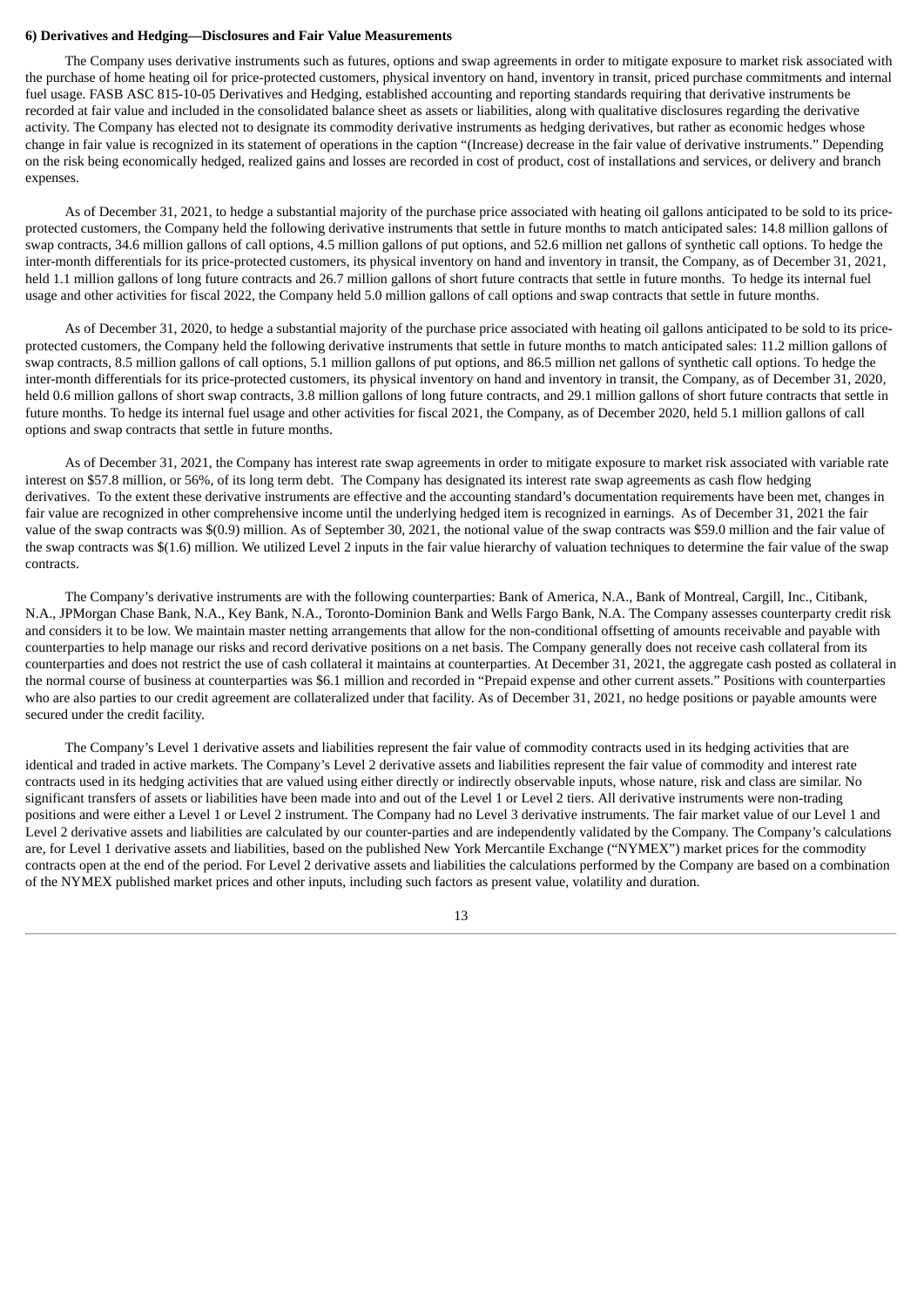# **6) Derivatives and Hedging—Disclosures and Fair Value Measurements**

The Company uses derivative instruments such as futures, options and swap agreements in order to mitigate exposure to market risk associated with the purchase of home heating oil for price-protected customers, physical inventory on hand, inventory in transit, priced purchase commitments and internal fuel usage. FASB ASC 815-10-05 Derivatives and Hedging, established accounting and reporting standards requiring that derivative instruments be recorded at fair value and included in the consolidated balance sheet as assets or liabilities, along with qualitative disclosures regarding the derivative activity. The Company has elected not to designate its commodity derivative instruments as hedging derivatives, but rather as economic hedges whose change in fair value is recognized in its statement of operations in the caption "(Increase) decrease in the fair value of derivative instruments." Depending on the risk being economically hedged, realized gains and losses are recorded in cost of product, cost of installations and services, or delivery and branch expenses.

As of December 31, 2021, to hedge a substantial majority of the purchase price associated with heating oil gallons anticipated to be sold to its priceprotected customers, the Company held the following derivative instruments that settle in future months to match anticipated sales: 14.8 million gallons of swap contracts, 34.6 million gallons of call options, 4.5 million gallons of put options, and 52.6 million net gallons of synthetic call options. To hedge the inter-month differentials for its price-protected customers, its physical inventory on hand and inventory in transit, the Company, as of December 31, 2021, held 1.1 million gallons of long future contracts and 26.7 million gallons of short future contracts that settle in future months. To hedge its internal fuel usage and other activities for fiscal 2022, the Company held 5.0 million gallons of call options and swap contracts that settle in future months.

As of December 31, 2020, to hedge a substantial majority of the purchase price associated with heating oil gallons anticipated to be sold to its priceprotected customers, the Company held the following derivative instruments that settle in future months to match anticipated sales: 11.2 million gallons of swap contracts, 8.5 million gallons of call options, 5.1 million gallons of put options, and 86.5 million net gallons of synthetic call options. To hedge the inter-month differentials for its price-protected customers, its physical inventory on hand and inventory in transit, the Company, as of December 31, 2020, held 0.6 million gallons of short swap contracts, 3.8 million gallons of long future contracts, and 29.1 million gallons of short future contracts that settle in future months. To hedge its internal fuel usage and other activities for fiscal 2021, the Company, as of December 2020, held 5.1 million gallons of call options and swap contracts that settle in future months.

As of December 31, 2021, the Company has interest rate swap agreements in order to mitigate exposure to market risk associated with variable rate interest on \$57.8 million, or 56%, of its long term debt. The Company has designated its interest rate swap agreements as cash flow hedging derivatives. To the extent these derivative instruments are effective and the accounting standard's documentation requirements have been met, changes in fair value are recognized in other comprehensive income until the underlying hedged item is recognized in earnings. As of December 31, 2021 the fair value of the swap contracts was \$(0.9) million. As of September 30, 2021, the notional value of the swap contracts was \$59.0 million and the fair value of the swap contracts was \$(1.6) million. We utilized Level 2 inputs in the fair value hierarchy of valuation techniques to determine the fair value of the swap contracts.

The Company's derivative instruments are with the following counterparties: Bank of America, N.A., Bank of Montreal, Cargill, Inc., Citibank, N.A., JPMorgan Chase Bank, N.A., Key Bank, N.A., Toronto-Dominion Bank and Wells Fargo Bank, N.A. The Company assesses counterparty credit risk and considers it to be low. We maintain master netting arrangements that allow for the non-conditional offsetting of amounts receivable and payable with counterparties to help manage our risks and record derivative positions on a net basis. The Company generally does not receive cash collateral from its counterparties and does not restrict the use of cash collateral it maintains at counterparties. At December 31, 2021, the aggregate cash posted as collateral in the normal course of business at counterparties was \$6.1 million and recorded in "Prepaid expense and other current assets." Positions with counterparties who are also parties to our credit agreement are collateralized under that facility. As of December 31, 2021, no hedge positions or payable amounts were secured under the credit facility.

The Company's Level 1 derivative assets and liabilities represent the fair value of commodity contracts used in its hedging activities that are identical and traded in active markets. The Company's Level 2 derivative assets and liabilities represent the fair value of commodity and interest rate contracts used in its hedging activities that are valued using either directly or indirectly observable inputs, whose nature, risk and class are similar. No significant transfers of assets or liabilities have been made into and out of the Level 1 or Level 2 tiers. All derivative instruments were non-trading positions and were either a Level 1 or Level 2 instrument. The Company had no Level 3 derivative instruments. The fair market value of our Level 1 and Level 2 derivative assets and liabilities are calculated by our counter-parties and are independently validated by the Company. The Company's calculations are, for Level 1 derivative assets and liabilities, based on the published New York Mercantile Exchange ("NYMEX") market prices for the commodity contracts open at the end of the period. For Level 2 derivative assets and liabilities the calculations performed by the Company are based on a combination of the NYMEX published market prices and other inputs, including such factors as present value, volatility and duration.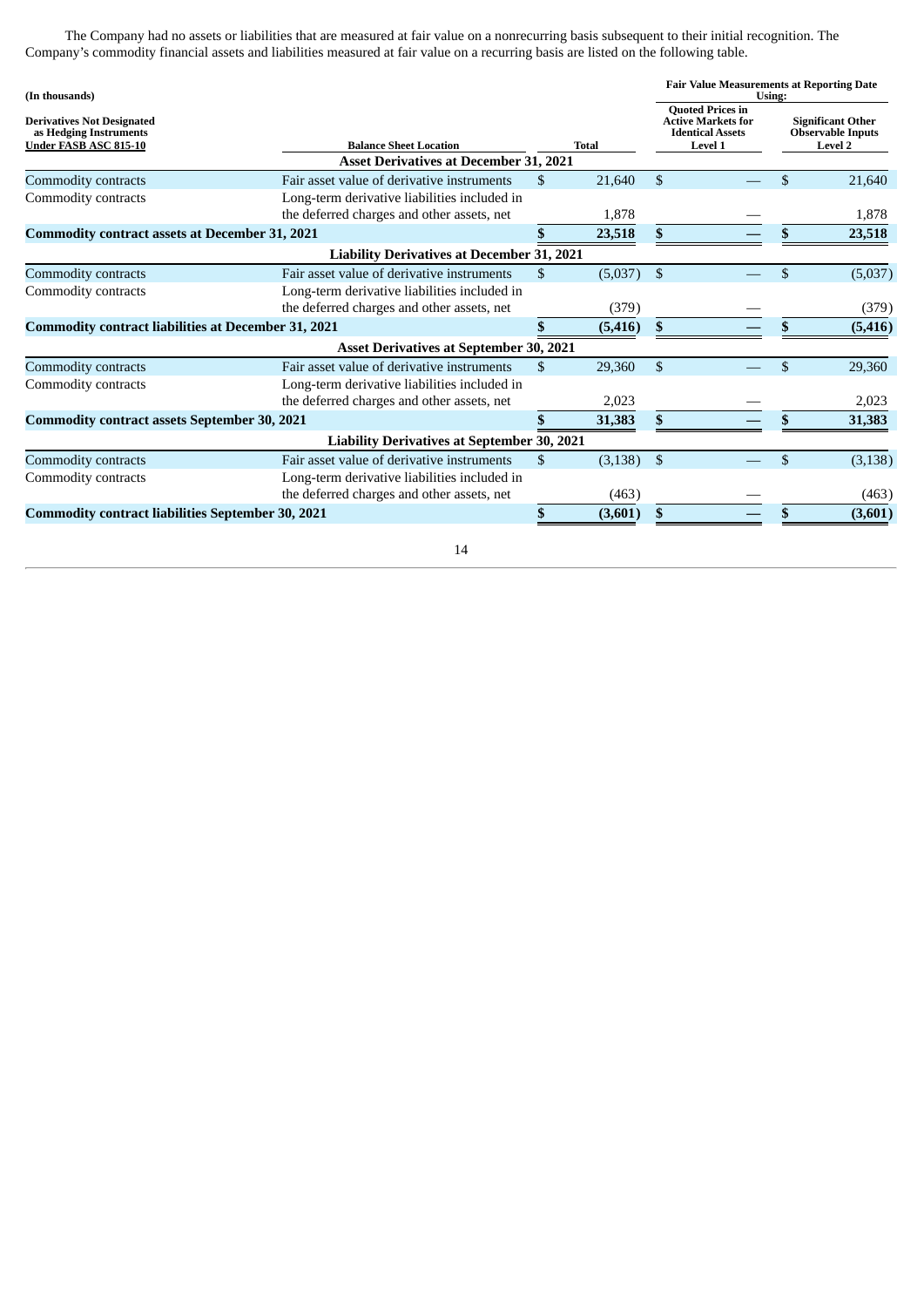The Company had no assets or liabilities that are measured at fair value on a nonrecurring basis subsequent to their initial recognition. The Company's commodity financial assets and liabilities measured at fair value on a recurring basis are listed on the following table.

| (In thousands)                                                                              |                                                    |              |          |                                                                                            | <b>Fair Value Measurements at Reporting Date</b>                | Using: |          |
|---------------------------------------------------------------------------------------------|----------------------------------------------------|--------------|----------|--------------------------------------------------------------------------------------------|-----------------------------------------------------------------|--------|----------|
| <b>Derivatives Not Designated</b><br>as Hedging Instruments<br><b>Under FASB ASC 815-10</b> |                                                    | <b>Total</b> |          | <b>Quoted Prices in</b><br><b>Active Markets for</b><br><b>Identical Assets</b><br>Level 1 | <b>Significant Other</b><br><b>Observable Inputs</b><br>Level 2 |        |          |
|                                                                                             | <b>Asset Derivatives at December 31, 2021</b>      |              |          |                                                                                            |                                                                 |        |          |
| Commodity contracts                                                                         | Fair asset value of derivative instruments         | \$.          | 21,640   | \$                                                                                         |                                                                 | \$     | 21,640   |
| Commodity contracts                                                                         | Long-term derivative liabilities included in       |              |          |                                                                                            |                                                                 |        |          |
|                                                                                             | the deferred charges and other assets, net         |              | 1,878    |                                                                                            |                                                                 |        | 1,878    |
| <b>Commodity contract assets at December 31, 2021</b>                                       |                                                    |              | 23,518   | \$                                                                                         |                                                                 |        | 23,518   |
|                                                                                             | <b>Liability Derivatives at December 31, 2021</b>  |              |          |                                                                                            |                                                                 |        |          |
| Commodity contracts                                                                         | Fair asset value of derivative instruments         | \$           | (5,037)  | \$                                                                                         |                                                                 | \$     | (5,037)  |
| Commodity contracts                                                                         | Long-term derivative liabilities included in       |              |          |                                                                                            |                                                                 |        |          |
|                                                                                             | the deferred charges and other assets, net         |              | (379)    |                                                                                            |                                                                 |        | (379)    |
| <b>Commodity contract liabilities at December 31, 2021</b>                                  |                                                    | \$           | (5, 416) | \$                                                                                         |                                                                 |        | (5, 416) |
|                                                                                             | <b>Asset Derivatives at September 30, 2021</b>     |              |          |                                                                                            |                                                                 |        |          |
| Commodity contracts                                                                         | Fair asset value of derivative instruments         | \$           | 29,360   | $\mathsf{\$}$                                                                              |                                                                 | \$     | 29,360   |
| Commodity contracts                                                                         | Long-term derivative liabilities included in       |              |          |                                                                                            |                                                                 |        |          |
|                                                                                             | the deferred charges and other assets, net         |              | 2,023    |                                                                                            |                                                                 |        | 2,023    |
| <b>Commodity contract assets September 30, 2021</b>                                         |                                                    |              | 31,383   |                                                                                            |                                                                 |        | 31,383   |
|                                                                                             | <b>Liability Derivatives at September 30, 2021</b> |              |          |                                                                                            |                                                                 |        |          |
| Commodity contracts                                                                         | Fair asset value of derivative instruments         | \$           | (3, 138) | \$                                                                                         |                                                                 | \$     | (3, 138) |
| Commodity contracts                                                                         | Long-term derivative liabilities included in       |              |          |                                                                                            |                                                                 |        |          |
|                                                                                             | the deferred charges and other assets, net         |              | (463)    |                                                                                            |                                                                 |        | (463)    |
| <b>Commodity contract liabilities September 30, 2021</b>                                    |                                                    | S            | (3,601)  | \$                                                                                         |                                                                 | \$.    | (3,601)  |
|                                                                                             |                                                    |              |          |                                                                                            |                                                                 |        |          |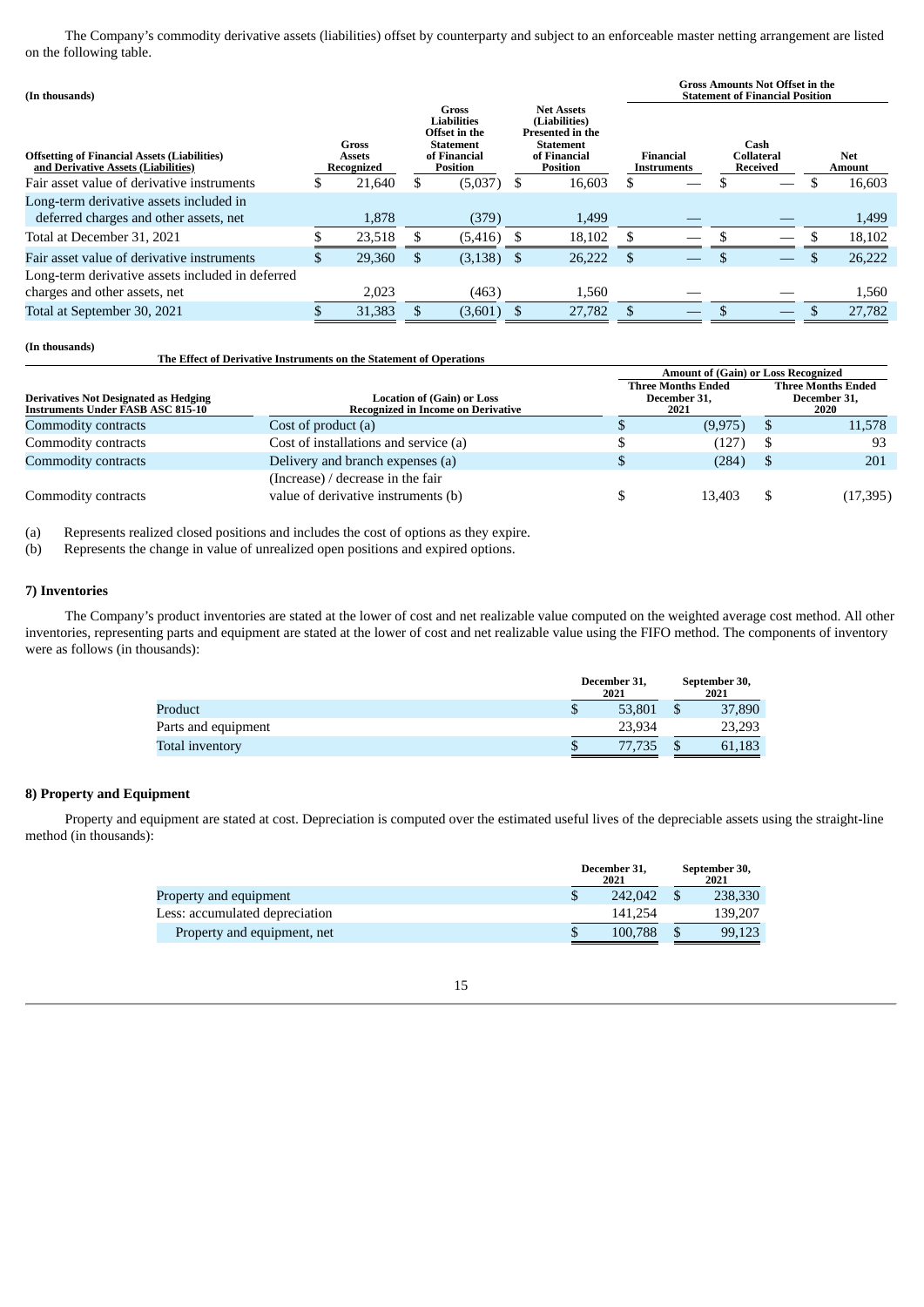The Company's commodity derivative assets (liabilities) offset by counterparty and subject to an enforceable master netting arrangement are listed on the following table.

| (In thousands)                                                                                 |                               |                                                                                              |      |                                                                                                               |    |                          | <b>Gross Amounts Not Offset in the</b><br><b>Statement of Financial Position</b> |                      |
|------------------------------------------------------------------------------------------------|-------------------------------|----------------------------------------------------------------------------------------------|------|---------------------------------------------------------------------------------------------------------------|----|--------------------------|----------------------------------------------------------------------------------|----------------------|
| <b>Offsetting of Financial Assets (Liabilities)</b><br>and Derivative Assets (Liabilities)     | Gross<br>Assets<br>Recognized | <b>Gross</b><br>Liabilities<br>Offset in the<br>Statement<br>of Financial<br><b>Position</b> |      | <b>Net Assets</b><br>(Liabilities)<br>Presented in the<br><b>Statement</b><br>of Financial<br><b>Position</b> |    | Financial<br>Instruments | Cash<br>Collateral<br>Received                                                   | <b>Net</b><br>Amount |
| Fair asset value of derivative instruments                                                     | 21,640                        | $(5,037)$ \$                                                                                 |      | 16,603                                                                                                        |    |                          |                                                                                  | 16,603               |
| Long-term derivative assets included in<br>deferred charges and other assets, net              | 1,878                         | (379)                                                                                        |      | 1,499                                                                                                         |    |                          |                                                                                  | 1,499                |
| Total at December 31, 2021                                                                     | 23,518                        | (5, 416)                                                                                     | - \$ | 18,102                                                                                                        |    |                          |                                                                                  | 18,102               |
| Fair asset value of derivative instruments<br>Long-term derivative assets included in deferred | 29,360                        | (3, 138)                                                                                     | - \$ | 26,222                                                                                                        | -S |                          |                                                                                  | 26,222               |
| charges and other assets, net                                                                  | 2,023                         | (463)                                                                                        |      | 1,560                                                                                                         |    |                          |                                                                                  | 1,560                |
| Total at September 30, 2021                                                                    | 31,383                        | (3,601)                                                                                      |      | 27,782                                                                                                        |    |                          |                                                                                  | 27,782               |

**(In thousands)**

**The Effect of Derivative Instruments on the Statement of Operations**

|                                                                                          |                                                                                | <b>Amount of (Gain) or Loss Recognized</b>        |                                                   |           |  |  |  |  |  |
|------------------------------------------------------------------------------------------|--------------------------------------------------------------------------------|---------------------------------------------------|---------------------------------------------------|-----------|--|--|--|--|--|
| <b>Derivatives Not Designated as Hedging</b><br><b>Instruments Under FASB ASC 815-10</b> | <b>Location of (Gain) or Loss</b><br><b>Recognized in Income on Derivative</b> | <b>Three Months Ended</b><br>December 31,<br>2021 | <b>Three Months Ended</b><br>December 31,<br>2020 |           |  |  |  |  |  |
| Commodity contracts                                                                      | Cost of product (a)                                                            | (9, 975)                                          |                                                   | 11,578    |  |  |  |  |  |
| Commodity contracts                                                                      | Cost of installations and service (a)                                          | (127)                                             |                                                   | 93        |  |  |  |  |  |
| Commodity contracts                                                                      | Delivery and branch expenses (a)                                               | (284)                                             |                                                   | 201       |  |  |  |  |  |
|                                                                                          | (Increase) / decrease in the fair                                              |                                                   |                                                   |           |  |  |  |  |  |
| Commodity contracts                                                                      | value of derivative instruments (b)                                            | 13.403                                            |                                                   | (17, 395) |  |  |  |  |  |

(a) Represents realized closed positions and includes the cost of options as they expire.

(b) Represents the change in value of unrealized open positions and expired options.

## **7) Inventories**

The Company's product inventories are stated at the lower of cost and net realizable value computed on the weighted average cost method. All other inventories, representing parts and equipment are stated at the lower of cost and net realizable value using the FIFO method. The components of inventory were as follows (in thousands):

|                     | December 31,<br>2021 |        |  |        |  |  |
|---------------------|----------------------|--------|--|--------|--|--|
| Product             |                      | 53.801 |  | 37,890 |  |  |
| Parts and equipment |                      | 23.934 |  | 23,293 |  |  |
| Total inventory     |                      | 77.735 |  | 61,183 |  |  |

## **8) Property and Equipment**

Property and equipment are stated at cost. Depreciation is computed over the estimated useful lives of the depreciable assets using the straight-line method (in thousands):

|                                | December 31,<br>2021 |         |  |         |
|--------------------------------|----------------------|---------|--|---------|
| Property and equipment         |                      | 242.042 |  | 238,330 |
| Less: accumulated depreciation |                      | 141.254 |  | 139,207 |
| Property and equipment, net    |                      | 100.788 |  | 99.123  |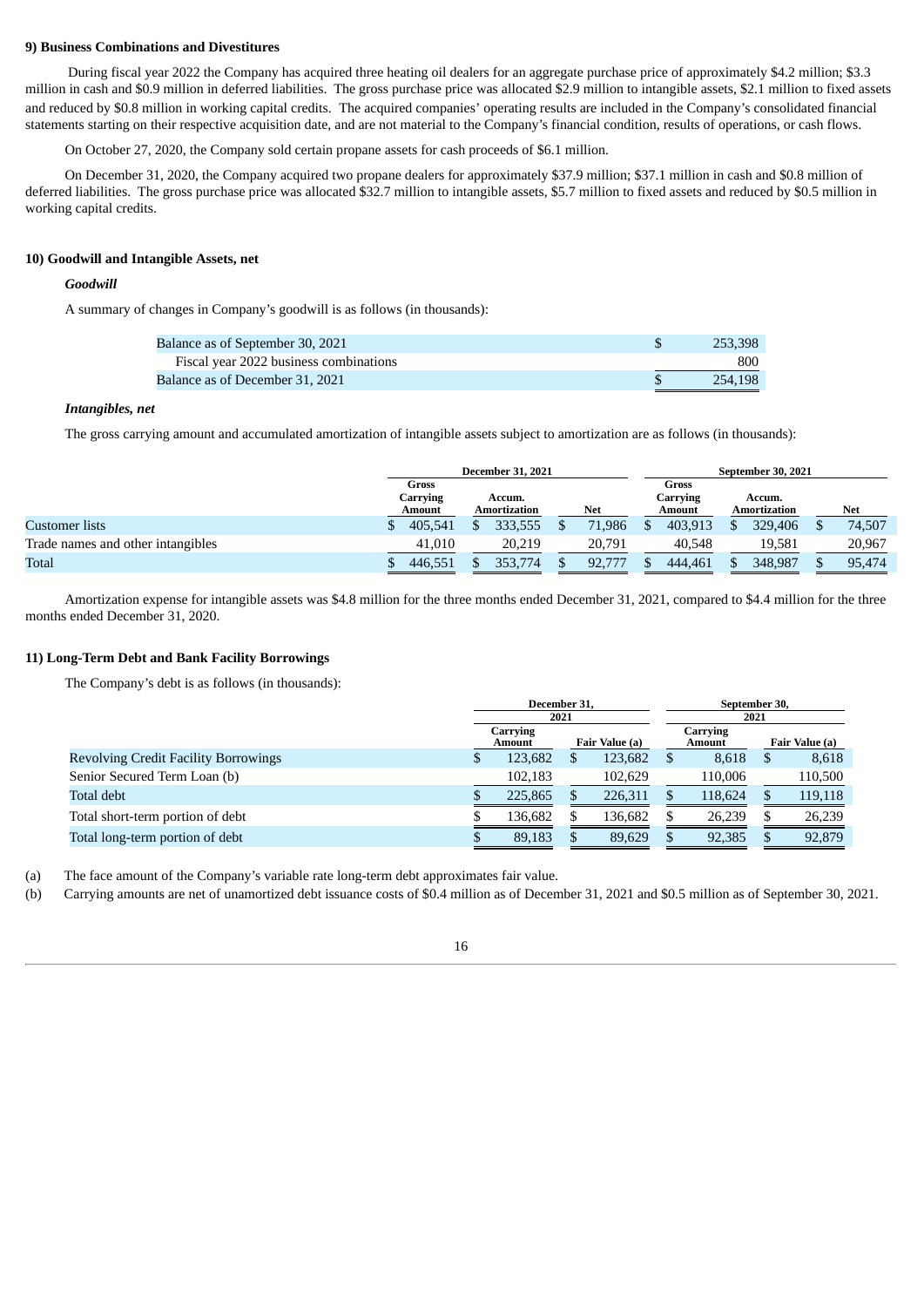#### **9) Business Combinations and Divestitures**

During fiscal year 2022 the Company has acquired three heating oil dealers for an aggregate purchase price of approximately \$4.2 million; \$3.3 million in cash and \$0.9 million in deferred liabilities. The gross purchase price was allocated \$2.9 million to intangible assets, \$2.1 million to fixed assets and reduced by \$0.8 million in working capital credits. The acquired companies' operating results are included in the Company's consolidated financial statements starting on their respective acquisition date, and are not material to the Company's financial condition, results of operations, or cash flows.

On October 27, 2020, the Company sold certain propane assets for cash proceeds of \$6.1 million.

On December 31, 2020, the Company acquired two propane dealers for approximately \$37.9 million; \$37.1 million in cash and \$0.8 million of deferred liabilities. The gross purchase price was allocated \$32.7 million to intangible assets, \$5.7 million to fixed assets and reduced by \$0.5 million in working capital credits.

## **10) Goodwill and Intangible Assets, net**

## *Goodwill*

A summary of changes in Company's goodwill is as follows (in thousands):

| Balance as of September 30, 2021       | 253,398 |
|----------------------------------------|---------|
| Fiscal year 2022 business combinations | 800     |
| Balance as of December 31, 2021        | 254,198 |

#### *Intangibles, net*

The gross carrying amount and accumulated amortization of intangible assets subject to amortization are as follows (in thousands):

|                                   | <b>December 31, 2021</b>    |  |                                      |  |        |                                                              | September 30, 2021 |  |         |  |        |  |  |
|-----------------------------------|-----------------------------|--|--------------------------------------|--|--------|--------------------------------------------------------------|--------------------|--|---------|--|--------|--|--|
|                                   | Gross<br>Carrving<br>Amount |  | Accum.<br>Net<br><b>Amortization</b> |  |        | Gross<br>Carrving<br>Accum.<br><b>Amortization</b><br>Amount |                    |  | Net     |  |        |  |  |
| Customer lists                    | 405.541                     |  | 333.555                              |  | 71,986 |                                                              | 403.913            |  | 329,406 |  | 74,507 |  |  |
| Trade names and other intangibles | 41,010                      |  | 20.219                               |  | 20.791 |                                                              | 40.548             |  | 19.581  |  | 20,967 |  |  |
| Total                             | 446.551                     |  | 353.774                              |  | 92,777 |                                                              | 444.461            |  | 348.987 |  | 95,474 |  |  |

Amortization expense for intangible assets was \$4.8 million for the three months ended December 31, 2021, compared to \$4.4 million for the three months ended December 31, 2020.

#### **11) Long-Term Debt and Bank Facility Borrowings**

The Company's debt is as follows (in thousands):

|                                             | December 31. |                    |                |         | September 30, |                    |                |         |  |
|---------------------------------------------|--------------|--------------------|----------------|---------|---------------|--------------------|----------------|---------|--|
|                                             |              |                    | 2021           |         | 2021          |                    |                |         |  |
|                                             |              | Carrying<br>Amount | Fair Value (a) |         |               | Carrving<br>Amount | Fair Value (a) |         |  |
| <b>Revolving Credit Facility Borrowings</b> |              | 123.682            |                | 123.682 |               | 8,618              |                | 8,618   |  |
| Senior Secured Term Loan (b)                |              | 102.183            |                | 102.629 |               | 110,006            |                | 110,500 |  |
| Total debt                                  |              | 225,865            |                | 226.311 |               | 118,624            |                | 119,118 |  |
| Total short-term portion of debt            |              | 136,682            |                | 136.682 |               | 26.239             |                | 26,239  |  |
| Total long-term portion of debt             |              | 89,183             |                | 89,629  |               | 92,385             |                | 92,879  |  |

(a) The face amount of the Company's variable rate long-term debt approximates fair value.

(b) Carrying amounts are net of unamortized debt issuance costs of \$0.4 million as of December 31, 2021 and \$0.5 million as of September 30, 2021.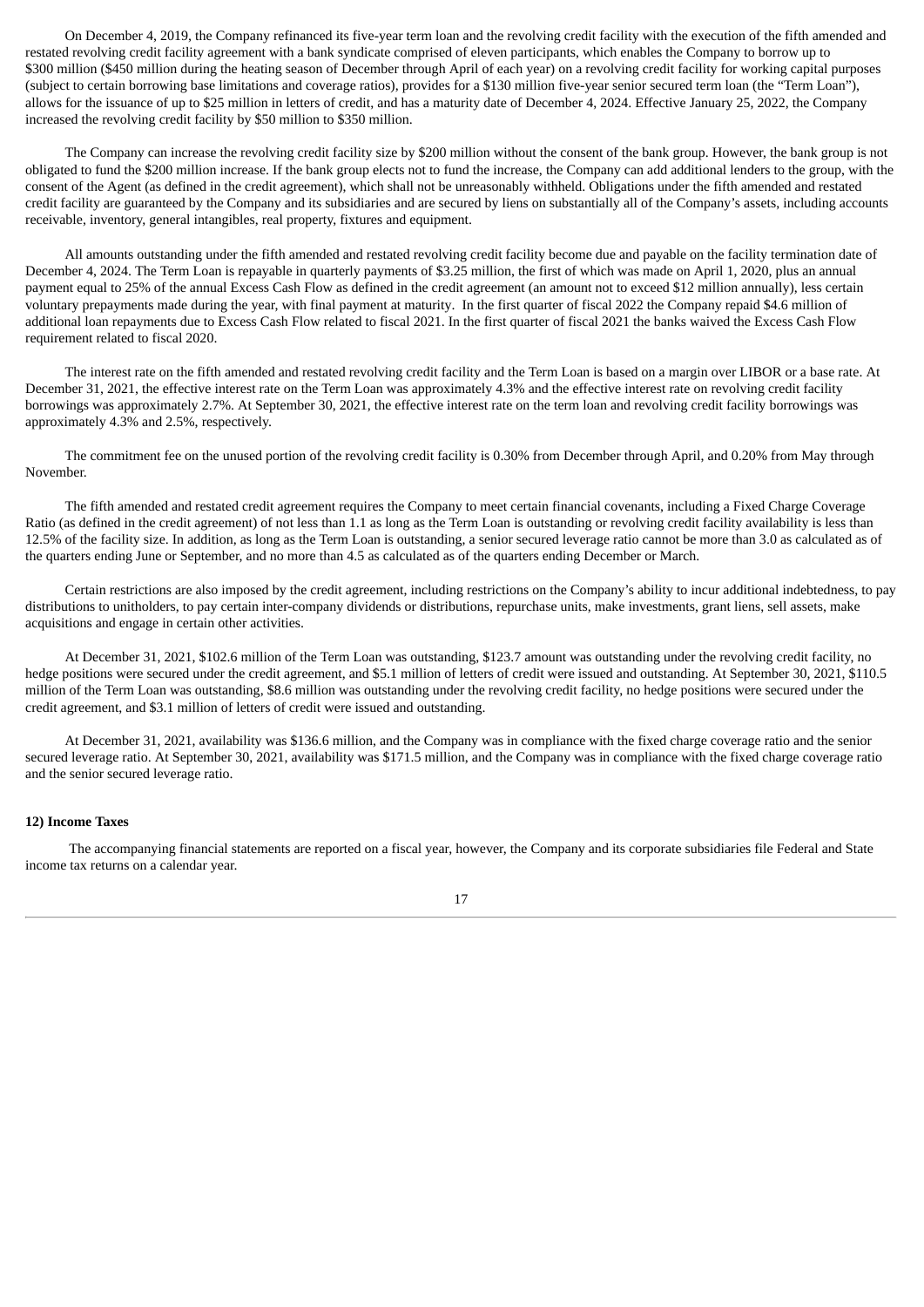On December 4, 2019, the Company refinanced its five-year term loan and the revolving credit facility with the execution of the fifth amended and restated revolving credit facility agreement with a bank syndicate comprised of eleven participants, which enables the Company to borrow up to \$300 million (\$450 million during the heating season of December through April of each year) on a revolving credit facility for working capital purposes (subject to certain borrowing base limitations and coverage ratios), provides for a \$130 million five-year senior secured term loan (the "Term Loan"), allows for the issuance of up to \$25 million in letters of credit, and has a maturity date of December 4, 2024. Effective January 25, 2022, the Company increased the revolving credit facility by \$50 million to \$350 million.

The Company can increase the revolving credit facility size by \$200 million without the consent of the bank group. However, the bank group is not obligated to fund the \$200 million increase. If the bank group elects not to fund the increase, the Company can add additional lenders to the group, with the consent of the Agent (as defined in the credit agreement), which shall not be unreasonably withheld. Obligations under the fifth amended and restated credit facility are guaranteed by the Company and its subsidiaries and are secured by liens on substantially all of the Company's assets, including accounts receivable, inventory, general intangibles, real property, fixtures and equipment.

All amounts outstanding under the fifth amended and restated revolving credit facility become due and payable on the facility termination date of December 4, 2024. The Term Loan is repayable in quarterly payments of \$3.25 million, the first of which was made on April 1, 2020, plus an annual payment equal to 25% of the annual Excess Cash Flow as defined in the credit agreement (an amount not to exceed \$12 million annually), less certain voluntary prepayments made during the year, with final payment at maturity. In the first quarter of fiscal 2022 the Company repaid \$4.6 million of additional loan repayments due to Excess Cash Flow related to fiscal 2021. In the first quarter of fiscal 2021 the banks waived the Excess Cash Flow requirement related to fiscal 2020.

The interest rate on the fifth amended and restated revolving credit facility and the Term Loan is based on a margin over LIBOR or a base rate. At December 31, 2021, the effective interest rate on the Term Loan was approximately 4.3% and the effective interest rate on revolving credit facility borrowings was approximately 2.7%. At September 30, 2021, the effective interest rate on the term loan and revolving credit facility borrowings was approximately 4.3% and 2.5%, respectively.

The commitment fee on the unused portion of the revolving credit facility is 0.30% from December through April, and 0.20% from May through November.

The fifth amended and restated credit agreement requires the Company to meet certain financial covenants, including a Fixed Charge Coverage Ratio (as defined in the credit agreement) of not less than 1.1 as long as the Term Loan is outstanding or revolving credit facility availability is less than 12.5% of the facility size. In addition, as long as the Term Loan is outstanding, a senior secured leverage ratio cannot be more than 3.0 as calculated as of the quarters ending June or September, and no more than 4.5 as calculated as of the quarters ending December or March.

Certain restrictions are also imposed by the credit agreement, including restrictions on the Company's ability to incur additional indebtedness, to pay distributions to unitholders, to pay certain inter-company dividends or distributions, repurchase units, make investments, grant liens, sell assets, make acquisitions and engage in certain other activities.

At December 31, 2021, \$102.6 million of the Term Loan was outstanding, \$123.7 amount was outstanding under the revolving credit facility, no hedge positions were secured under the credit agreement, and \$5.1 million of letters of credit were issued and outstanding. At September 30, 2021, \$110.5 million of the Term Loan was outstanding, \$8.6 million was outstanding under the revolving credit facility, no hedge positions were secured under the credit agreement, and \$3.1 million of letters of credit were issued and outstanding.

At December 31, 2021, availability was \$136.6 million, and the Company was in compliance with the fixed charge coverage ratio and the senior secured leverage ratio. At September 30, 2021, availability was \$171.5 million, and the Company was in compliance with the fixed charge coverage ratio and the senior secured leverage ratio.

## **12) Income Taxes**

The accompanying financial statements are reported on a fiscal year, however, the Company and its corporate subsidiaries file Federal and State income tax returns on a calendar year.

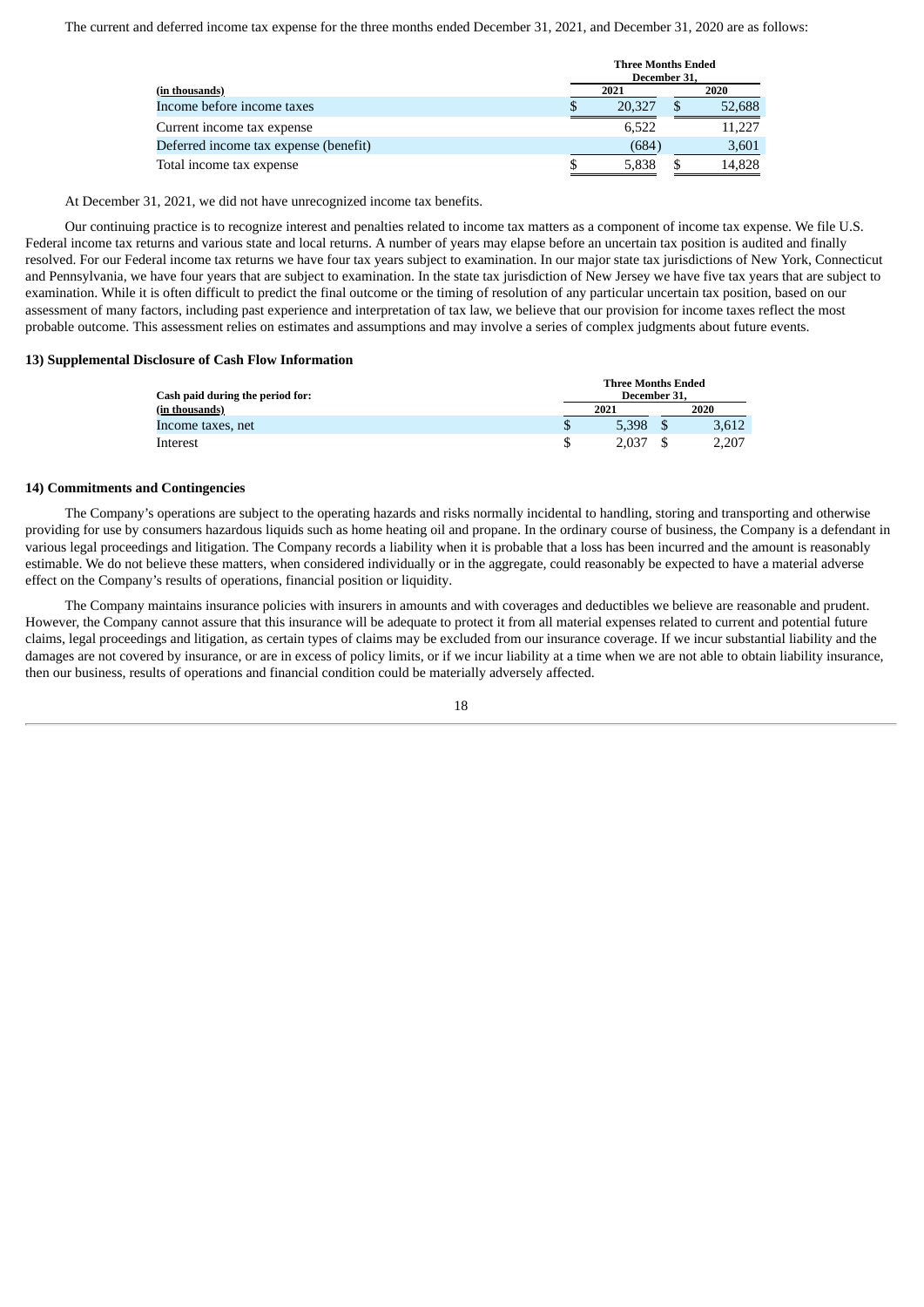The current and deferred income tax expense for the three months ended December 31, 2021, and December 31, 2020 are as follows:

|                                       | <b>Three Months Ended</b><br>December 31, |   |        |
|---------------------------------------|-------------------------------------------|---|--------|
| (in thousands)                        | 2021                                      |   | 2020   |
| Income before income taxes            | 20,327                                    | S | 52,688 |
| Current income tax expense            | 6.522                                     |   | 11,227 |
| Deferred income tax expense (benefit) | (684)                                     |   | 3,601  |
| Total income tax expense              | 5,838                                     |   | 14,828 |

At December 31, 2021, we did not have unrecognized income tax benefits.

Our continuing practice is to recognize interest and penalties related to income tax matters as a component of income tax expense. We file U.S. Federal income tax returns and various state and local returns. A number of years may elapse before an uncertain tax position is audited and finally resolved. For our Federal income tax returns we have four tax years subject to examination. In our major state tax jurisdictions of New York, Connecticut and Pennsylvania, we have four years that are subject to examination. In the state tax jurisdiction of New Jersey we have five tax years that are subject to examination. While it is often difficult to predict the final outcome or the timing of resolution of any particular uncertain tax position, based on our assessment of many factors, including past experience and interpretation of tax law, we believe that our provision for income taxes reflect the most probable outcome. This assessment relies on estimates and assumptions and may involve a series of complex judgments about future events.

#### **13) Supplemental Disclosure of Cash Flow Information**

| Cash paid during the period for: | <b>Three Months Ended</b><br>December 31. |      |       |  |
|----------------------------------|-------------------------------------------|------|-------|--|
| (in thousands)                   | 2021                                      | 2020 |       |  |
| Income taxes, net                | 5.398                                     |      | 3.612 |  |
| Interest                         | 2.037                                     |      | 2.207 |  |

#### **14) Commitments and Contingencies**

The Company's operations are subject to the operating hazards and risks normally incidental to handling, storing and transporting and otherwise providing for use by consumers hazardous liquids such as home heating oil and propane. In the ordinary course of business, the Company is a defendant in various legal proceedings and litigation. The Company records a liability when it is probable that a loss has been incurred and the amount is reasonably estimable. We do not believe these matters, when considered individually or in the aggregate, could reasonably be expected to have a material adverse effect on the Company's results of operations, financial position or liquidity.

The Company maintains insurance policies with insurers in amounts and with coverages and deductibles we believe are reasonable and prudent. However, the Company cannot assure that this insurance will be adequate to protect it from all material expenses related to current and potential future claims, legal proceedings and litigation, as certain types of claims may be excluded from our insurance coverage. If we incur substantial liability and the damages are not covered by insurance, or are in excess of policy limits, or if we incur liability at a time when we are not able to obtain liability insurance, then our business, results of operations and financial condition could be materially adversely affected.

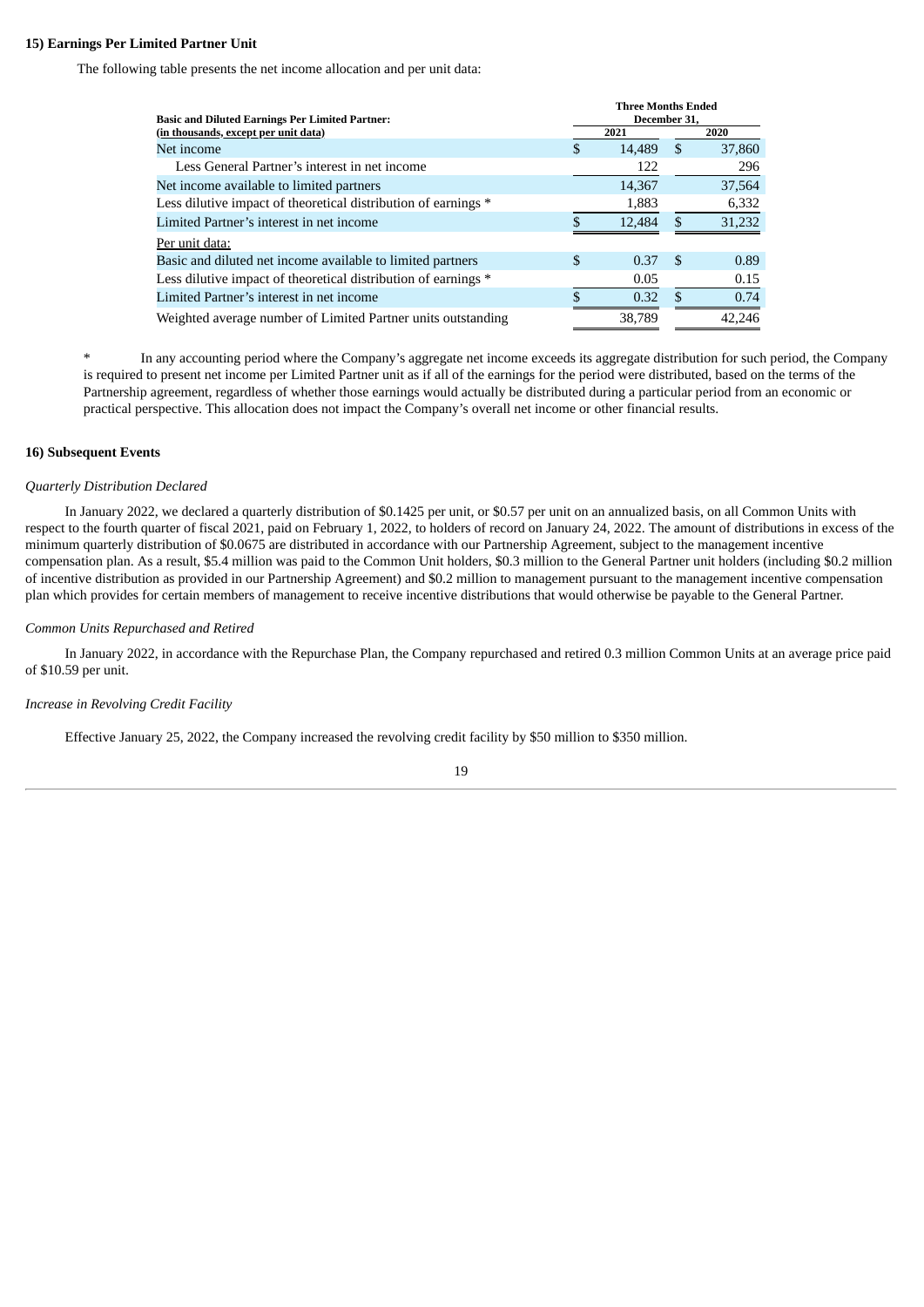## **15) Earnings Per Limited Partner Unit**

The following table presents the net income allocation and per unit data:

| <b>Basic and Diluted Earnings Per Limited Partner:</b>         |     | <b>Three Months Ended</b><br>December 31. |    |        |
|----------------------------------------------------------------|-----|-------------------------------------------|----|--------|
| (in thousands, except per unit data)                           |     | 2021                                      |    | 2020   |
| Net income                                                     | \$. | 14.489                                    | \$ | 37,860 |
| Less General Partner's interest in net income                  |     | 122                                       |    | 296    |
| Net income available to limited partners                       |     | 14,367                                    |    | 37,564 |
| Less dilutive impact of theoretical distribution of earnings * |     | 1,883                                     |    | 6,332  |
| Limited Partner's interest in net income                       |     | 12,484                                    | \$ | 31,232 |
| Per unit data:                                                 |     |                                           |    |        |
| Basic and diluted net income available to limited partners     | \$. | 0.37                                      | -S | 0.89   |
| Less dilutive impact of theoretical distribution of earnings * |     | 0.05                                      |    | 0.15   |
| Limited Partner's interest in net income                       |     | 0.32                                      | \$ | 0.74   |
| Weighted average number of Limited Partner units outstanding   |     | 38,789                                    |    | 42,246 |

In any accounting period where the Company's aggregate net income exceeds its aggregate distribution for such period, the Company is required to present net income per Limited Partner unit as if all of the earnings for the period were distributed, based on the terms of the Partnership agreement, regardless of whether those earnings would actually be distributed during a particular period from an economic or practical perspective. This allocation does not impact the Company's overall net income or other financial results.

## **16) Subsequent Events**

#### *Quarterly Distribution Declared*

In January 2022, we declared a quarterly distribution of \$0.1425 per unit, or \$0.57 per unit on an annualized basis, on all Common Units with respect to the fourth quarter of fiscal 2021, paid on February 1, 2022, to holders of record on January 24, 2022. The amount of distributions in excess of the minimum quarterly distribution of \$0.0675 are distributed in accordance with our Partnership Agreement, subject to the management incentive compensation plan. As a result, \$5.4 million was paid to the Common Unit holders, \$0.3 million to the General Partner unit holders (including \$0.2 million of incentive distribution as provided in our Partnership Agreement) and \$0.2 million to management pursuant to the management incentive compensation plan which provides for certain members of management to receive incentive distributions that would otherwise be payable to the General Partner.

# *Common Units Repurchased and Retired*

In January 2022, in accordance with the Repurchase Plan, the Company repurchased and retired 0.3 million Common Units at an average price paid of \$10.59 per unit.

## *Increase in Revolving Credit Facility*

Effective January 25, 2022, the Company increased the revolving credit facility by \$50 million to \$350 million.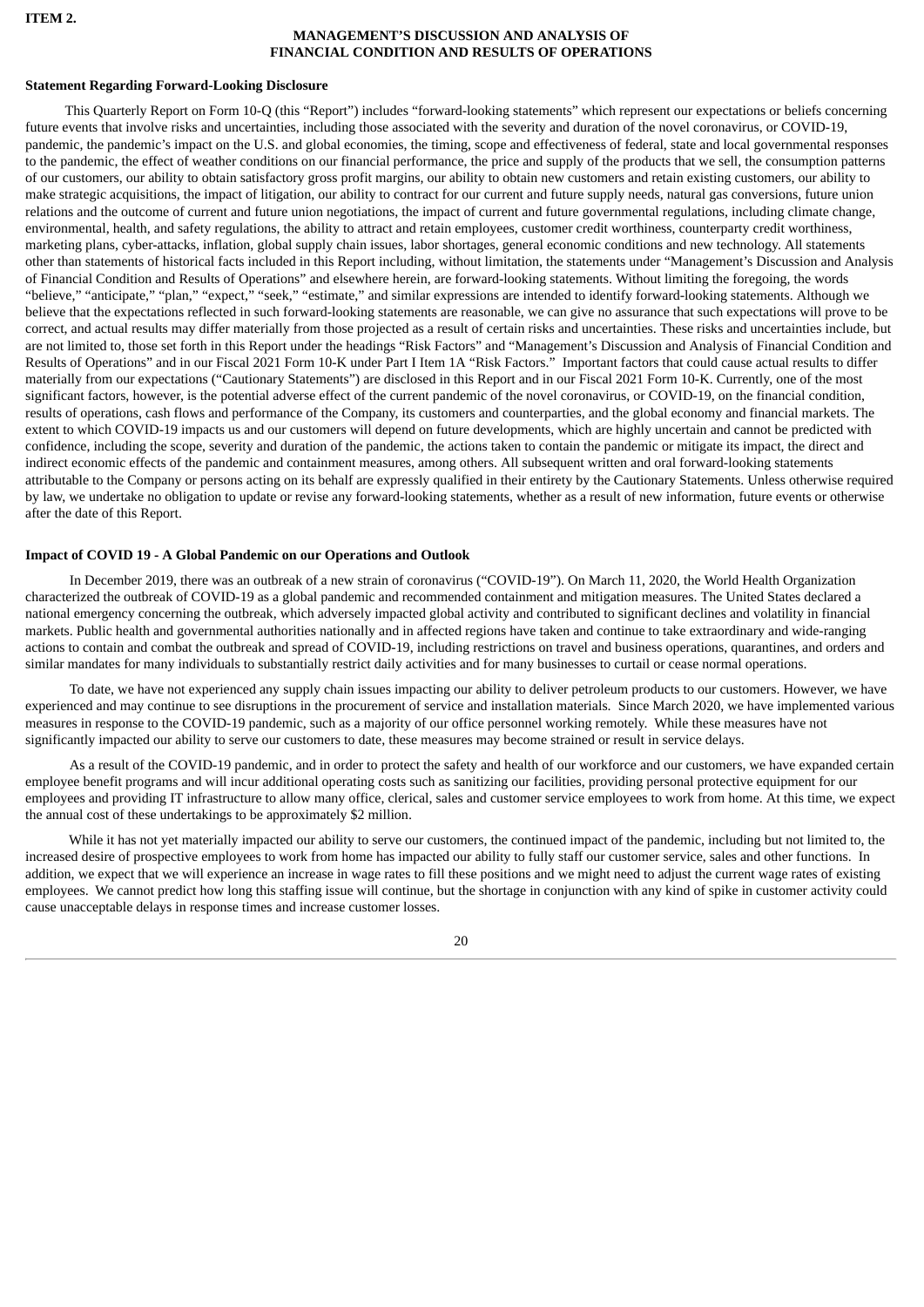<span id="page-19-0"></span>**ITEM 2.**

## **MANAGEMENT'S DISCUSSION AND ANALYSIS OF FINANCIAL CONDITION AND RESULTS OF OPERATIONS**

#### **Statement Regarding Forward-Looking Disclosure**

This Quarterly Report on Form 10-Q (this "Report") includes "forward-looking statements" which represent our expectations or beliefs concerning future events that involve risks and uncertainties, including those associated with the severity and duration of the novel coronavirus, or COVID-19, pandemic, the pandemic's impact on the U.S. and global economies, the timing, scope and effectiveness of federal, state and local governmental responses to the pandemic, the effect of weather conditions on our financial performance, the price and supply of the products that we sell, the consumption patterns of our customers, our ability to obtain satisfactory gross profit margins, our ability to obtain new customers and retain existing customers, our ability to make strategic acquisitions, the impact of litigation, our ability to contract for our current and future supply needs, natural gas conversions, future union relations and the outcome of current and future union negotiations, the impact of current and future governmental regulations, including climate change, environmental, health, and safety regulations, the ability to attract and retain employees, customer credit worthiness, counterparty credit worthiness, marketing plans, cyber-attacks, inflation, global supply chain issues, labor shortages, general economic conditions and new technology. All statements other than statements of historical facts included in this Report including, without limitation, the statements under "Management's Discussion and Analysis of Financial Condition and Results of Operations" and elsewhere herein, are forward-looking statements. Without limiting the foregoing, the words "believe," "anticipate," "plan," "expect," "seek," "estimate," and similar expressions are intended to identify forward-looking statements. Although we believe that the expectations reflected in such forward-looking statements are reasonable, we can give no assurance that such expectations will prove to be correct, and actual results may differ materially from those projected as a result of certain risks and uncertainties. These risks and uncertainties include, but are not limited to, those set forth in this Report under the headings "Risk Factors" and "Management's Discussion and Analysis of Financial Condition and Results of Operations" and in our Fiscal 2021 Form 10-K under Part I Item 1A "Risk Factors." Important factors that could cause actual results to differ materially from our expectations ("Cautionary Statements") are disclosed in this Report and in our Fiscal 2021 Form 10-K. Currently, one of the most significant factors, however, is the potential adverse effect of the current pandemic of the novel coronavirus, or COVID-19, on the financial condition, results of operations, cash flows and performance of the Company, its customers and counterparties, and the global economy and financial markets. The extent to which COVID-19 impacts us and our customers will depend on future developments, which are highly uncertain and cannot be predicted with confidence, including the scope, severity and duration of the pandemic, the actions taken to contain the pandemic or mitigate its impact, the direct and indirect economic effects of the pandemic and containment measures, among others. All subsequent written and oral forward-looking statements attributable to the Company or persons acting on its behalf are expressly qualified in their entirety by the Cautionary Statements. Unless otherwise required by law, we undertake no obligation to update or revise any forward-looking statements, whether as a result of new information, future events or otherwise after the date of this Report.

## **Impact of COVID 19 - A Global Pandemic on our Operations and Outlook**

In December 2019, there was an outbreak of a new strain of coronavirus ("COVID-19"). On March 11, 2020, the World Health Organization characterized the outbreak of COVID-19 as a global pandemic and recommended containment and mitigation measures. The United States declared a national emergency concerning the outbreak, which adversely impacted global activity and contributed to significant declines and volatility in financial markets. Public health and governmental authorities nationally and in affected regions have taken and continue to take extraordinary and wide-ranging actions to contain and combat the outbreak and spread of COVID-19, including restrictions on travel and business operations, quarantines, and orders and similar mandates for many individuals to substantially restrict daily activities and for many businesses to curtail or cease normal operations.

To date, we have not experienced any supply chain issues impacting our ability to deliver petroleum products to our customers. However, we have experienced and may continue to see disruptions in the procurement of service and installation materials. Since March 2020, we have implemented various measures in response to the COVID-19 pandemic, such as a majority of our office personnel working remotely. While these measures have not significantly impacted our ability to serve our customers to date, these measures may become strained or result in service delays.

As a result of the COVID-19 pandemic, and in order to protect the safety and health of our workforce and our customers, we have expanded certain employee benefit programs and will incur additional operating costs such as sanitizing our facilities, providing personal protective equipment for our employees and providing IT infrastructure to allow many office, clerical, sales and customer service employees to work from home. At this time, we expect the annual cost of these undertakings to be approximately \$2 million.

While it has not yet materially impacted our ability to serve our customers, the continued impact of the pandemic, including but not limited to, the increased desire of prospective employees to work from home has impacted our ability to fully staff our customer service, sales and other functions. In addition, we expect that we will experience an increase in wage rates to fill these positions and we might need to adjust the current wage rates of existing employees. We cannot predict how long this staffing issue will continue, but the shortage in conjunction with any kind of spike in customer activity could cause unacceptable delays in response times and increase customer losses.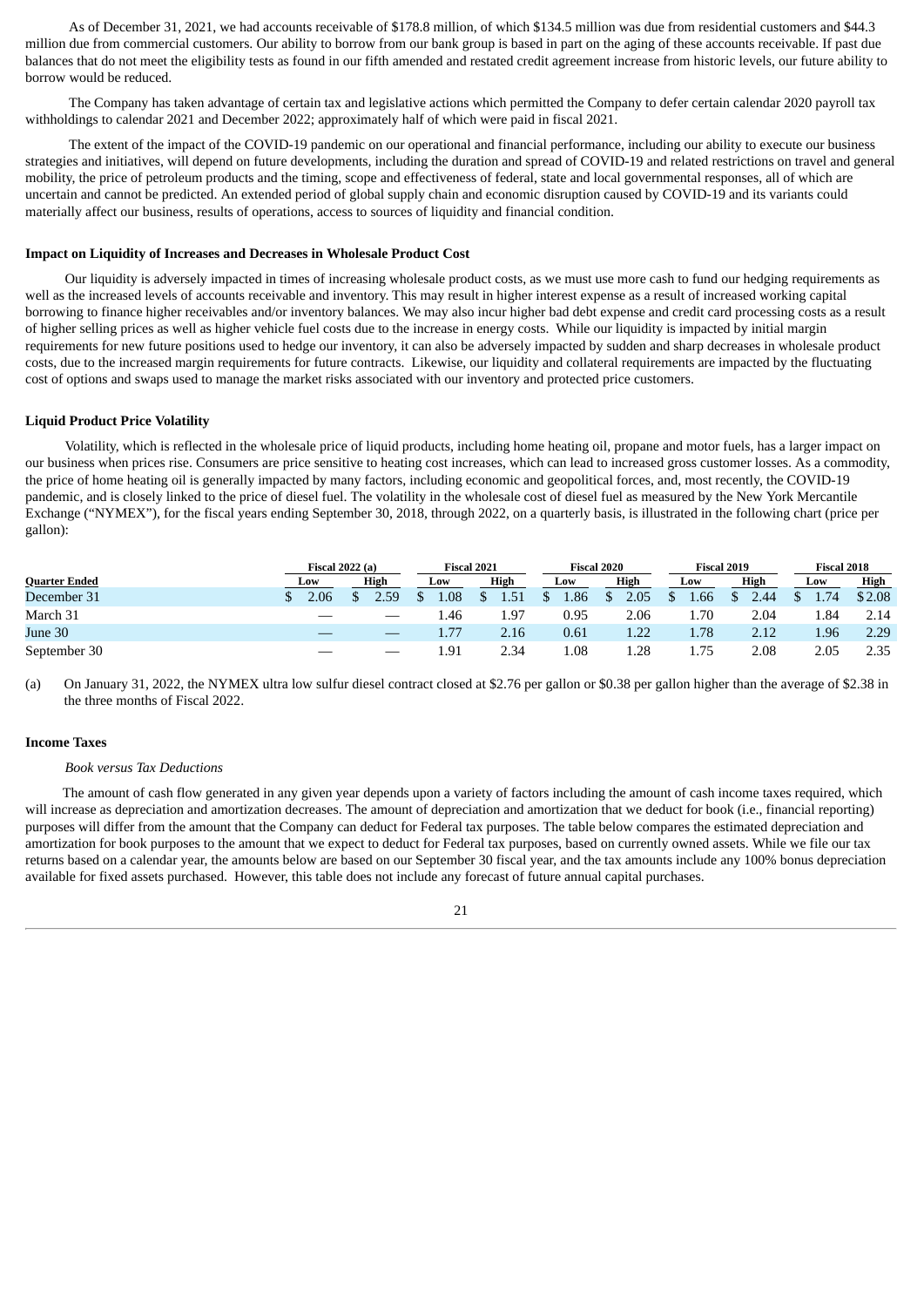As of December 31, 2021, we had accounts receivable of \$178.8 million, of which \$134.5 million was due from residential customers and \$44.3 million due from commercial customers. Our ability to borrow from our bank group is based in part on the aging of these accounts receivable. If past due balances that do not meet the eligibility tests as found in our fifth amended and restated credit agreement increase from historic levels, our future ability to borrow would be reduced.

The Company has taken advantage of certain tax and legislative actions which permitted the Company to defer certain calendar 2020 payroll tax withholdings to calendar 2021 and December 2022; approximately half of which were paid in fiscal 2021.

The extent of the impact of the COVID-19 pandemic on our operational and financial performance, including our ability to execute our business strategies and initiatives, will depend on future developments, including the duration and spread of COVID-19 and related restrictions on travel and general mobility, the price of petroleum products and the timing, scope and effectiveness of federal, state and local governmental responses, all of which are uncertain and cannot be predicted. An extended period of global supply chain and economic disruption caused by COVID-19 and its variants could materially affect our business, results of operations, access to sources of liquidity and financial condition.

## **Impact on Liquidity of Increases and Decreases in Wholesale Product Cost**

Our liquidity is adversely impacted in times of increasing wholesale product costs, as we must use more cash to fund our hedging requirements as well as the increased levels of accounts receivable and inventory. This may result in higher interest expense as a result of increased working capital borrowing to finance higher receivables and/or inventory balances. We may also incur higher bad debt expense and credit card processing costs as a result of higher selling prices as well as higher vehicle fuel costs due to the increase in energy costs. While our liquidity is impacted by initial margin requirements for new future positions used to hedge our inventory, it can also be adversely impacted by sudden and sharp decreases in wholesale product costs, due to the increased margin requirements for future contracts. Likewise, our liquidity and collateral requirements are impacted by the fluctuating cost of options and swaps used to manage the market risks associated with our inventory and protected price customers.

#### **Liquid Product Price Volatility**

Volatility, which is reflected in the wholesale price of liquid products, including home heating oil, propane and motor fuels, has a larger impact on our business when prices rise. Consumers are price sensitive to heating cost increases, which can lead to increased gross customer losses. As a commodity, the price of home heating oil is generally impacted by many factors, including economic and geopolitical forces, and, most recently, the COVID-19 pandemic, and is closely linked to the price of diesel fuel. The volatility in the wholesale cost of diesel fuel as measured by the New York Mercantile Exchange ("NYMEX"), for the fiscal years ending September 30, 2018, through 2022, on a quarterly basis, is illustrated in the following chart (price per gallon):

|                      | <b>Fiscal 2022 (a)</b>   |      | <b>Fiscal 2021</b> |      | Fiscal 2020 |      | Fiscal 2019 |      | Fiscal 2018 |        |
|----------------------|--------------------------|------|--------------------|------|-------------|------|-------------|------|-------------|--------|
| <b>Quarter Ended</b> | High<br>Low              |      | High<br>Low<br>Low |      | High        | L0W  | High        | Low  | High        |        |
| December 31          | 2.06                     | 2.59 | 0.11               | .51  | 1.86        | 2.05 | 1.66        | 2.44 | .74         | \$2.08 |
| March 31             | $\overline{\phantom{a}}$ |      | 1.46               | 1.97 | 0.95        | 2.06 | 1.70        | 2.04 | 84.،        | 2.14   |
| June 30              |                          |      | 1.77               | 2.16 | 0.61        | 1.22 | 1.78        | 2.12 | 1.96        | 2.29   |
| September 30         |                          |      | 1.91               | 2.34 | 1.08        | 1.28 | 1.75        | 2.08 | 2.05        | 2.35   |

(a) On January 31, 2022, the NYMEX ultra low sulfur diesel contract closed at \$2.76 per gallon or \$0.38 per gallon higher than the average of \$2.38 in the three months of Fiscal 2022.

#### **Income Taxes**

#### *Book versus Tax Deductions*

The amount of cash flow generated in any given year depends upon a variety of factors including the amount of cash income taxes required, which will increase as depreciation and amortization decreases. The amount of depreciation and amortization that we deduct for book (i.e., financial reporting) purposes will differ from the amount that the Company can deduct for Federal tax purposes. The table below compares the estimated depreciation and amortization for book purposes to the amount that we expect to deduct for Federal tax purposes, based on currently owned assets. While we file our tax returns based on a calendar year, the amounts below are based on our September 30 fiscal year, and the tax amounts include any 100% bonus depreciation available for fixed assets purchased. However, this table does not include any forecast of future annual capital purchases.

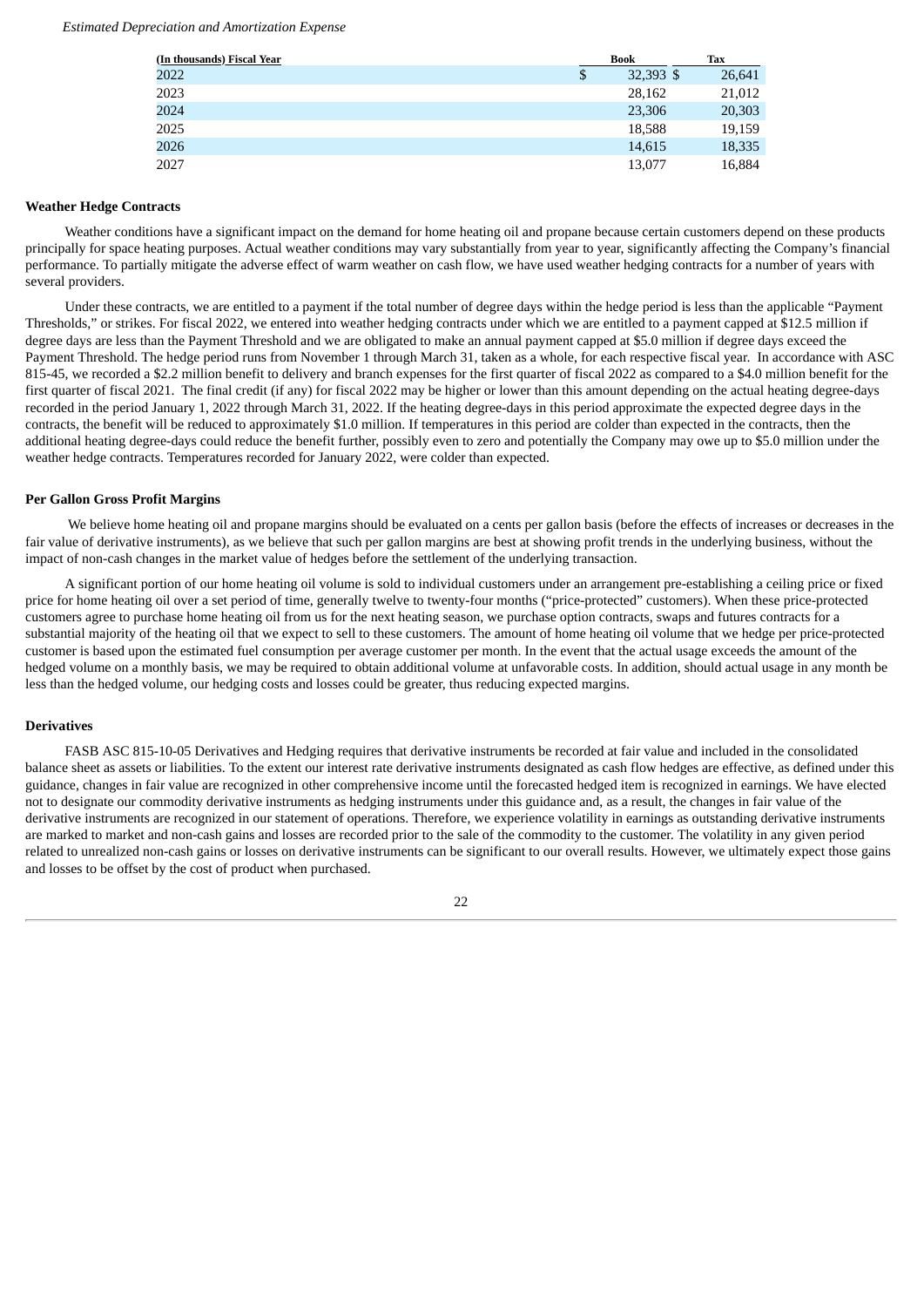## *Estimated Depreciation and Amortization Expense*

| (In thousands) Fiscal Year | <b>Book</b>     | <b>Tax</b> |
|----------------------------|-----------------|------------|
| 2022                       | 32,393 \$<br>\$ | 26,641     |
| 2023                       | 28,162          | 21,012     |
| 2024                       | 23,306          | 20,303     |
| 2025                       | 18,588          | 19,159     |
| 2026                       | 14,615          | 18,335     |
| 2027                       | 13,077          | 16,884     |

## **Weather Hedge Contracts**

Weather conditions have a significant impact on the demand for home heating oil and propane because certain customers depend on these products principally for space heating purposes. Actual weather conditions may vary substantially from year to year, significantly affecting the Company's financial performance. To partially mitigate the adverse effect of warm weather on cash flow, we have used weather hedging contracts for a number of years with several providers.

Under these contracts, we are entitled to a payment if the total number of degree days within the hedge period is less than the applicable "Payment Thresholds," or strikes. For fiscal 2022, we entered into weather hedging contracts under which we are entitled to a payment capped at \$12.5 million if degree days are less than the Payment Threshold and we are obligated to make an annual payment capped at \$5.0 million if degree days exceed the Payment Threshold. The hedge period runs from November 1 through March 31, taken as a whole, for each respective fiscal year. In accordance with ASC 815-45, we recorded a \$2.2 million benefit to delivery and branch expenses for the first quarter of fiscal 2022 as compared to a \$4.0 million benefit for the first quarter of fiscal 2021. The final credit (if any) for fiscal 2022 may be higher or lower than this amount depending on the actual heating degree-days recorded in the period January 1, 2022 through March 31, 2022. If the heating degree-days in this period approximate the expected degree days in the contracts, the benefit will be reduced to approximately \$1.0 million. If temperatures in this period are colder than expected in the contracts, then the additional heating degree-days could reduce the benefit further, possibly even to zero and potentially the Company may owe up to \$5.0 million under the weather hedge contracts. Temperatures recorded for January 2022, were colder than expected.

#### **Per Gallon Gross Profit Margins**

We believe home heating oil and propane margins should be evaluated on a cents per gallon basis (before the effects of increases or decreases in the fair value of derivative instruments), as we believe that such per gallon margins are best at showing profit trends in the underlying business, without the impact of non-cash changes in the market value of hedges before the settlement of the underlying transaction.

A significant portion of our home heating oil volume is sold to individual customers under an arrangement pre-establishing a ceiling price or fixed price for home heating oil over a set period of time, generally twelve to twenty-four months ("price-protected" customers). When these price-protected customers agree to purchase home heating oil from us for the next heating season, we purchase option contracts, swaps and futures contracts for a substantial majority of the heating oil that we expect to sell to these customers. The amount of home heating oil volume that we hedge per price-protected customer is based upon the estimated fuel consumption per average customer per month. In the event that the actual usage exceeds the amount of the hedged volume on a monthly basis, we may be required to obtain additional volume at unfavorable costs. In addition, should actual usage in any month be less than the hedged volume, our hedging costs and losses could be greater, thus reducing expected margins.

#### **Derivatives**

FASB ASC 815-10-05 Derivatives and Hedging requires that derivative instruments be recorded at fair value and included in the consolidated balance sheet as assets or liabilities. To the extent our interest rate derivative instruments designated as cash flow hedges are effective, as defined under this guidance, changes in fair value are recognized in other comprehensive income until the forecasted hedged item is recognized in earnings. We have elected not to designate our commodity derivative instruments as hedging instruments under this guidance and, as a result, the changes in fair value of the derivative instruments are recognized in our statement of operations. Therefore, we experience volatility in earnings as outstanding derivative instruments are marked to market and non-cash gains and losses are recorded prior to the sale of the commodity to the customer. The volatility in any given period related to unrealized non-cash gains or losses on derivative instruments can be significant to our overall results. However, we ultimately expect those gains and losses to be offset by the cost of product when purchased.

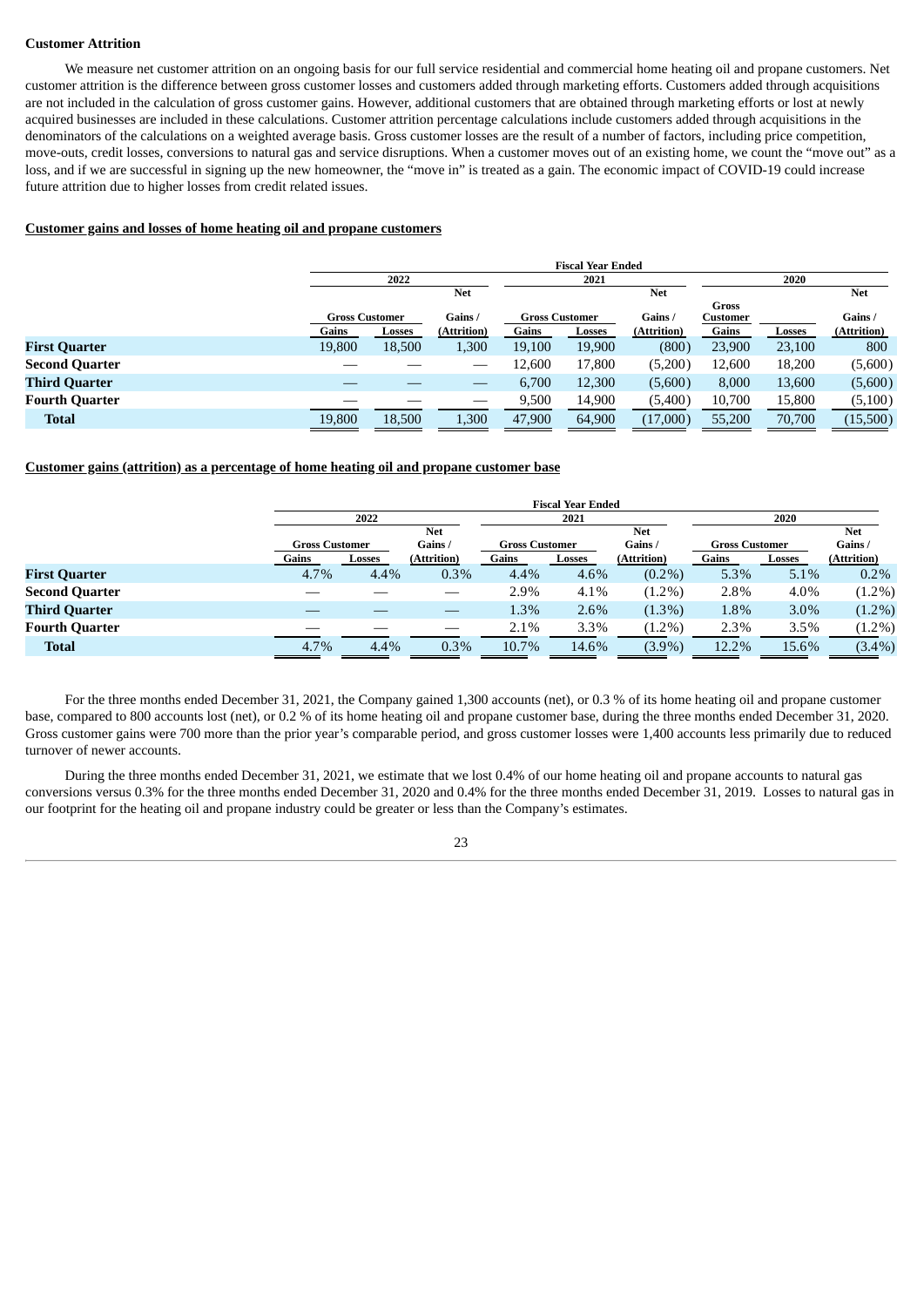## **Customer Attrition**

We measure net customer attrition on an ongoing basis for our full service residential and commercial home heating oil and propane customers. Net customer attrition is the difference between gross customer losses and customers added through marketing efforts. Customers added through acquisitions are not included in the calculation of gross customer gains. However, additional customers that are obtained through marketing efforts or lost at newly acquired businesses are included in these calculations. Customer attrition percentage calculations include customers added through acquisitions in the denominators of the calculations on a weighted average basis. Gross customer losses are the result of a number of factors, including price competition, move-outs, credit losses, conversions to natural gas and service disruptions. When a customer moves out of an existing home, we count the "move out" as a loss, and if we are successful in signing up the new homeowner, the "move in" is treated as a gain. The economic impact of COVID-19 could increase future attrition due to higher losses from credit related issues.

# **Customer gains and losses of home heating oil and propane customers**

|                       |                       | <b>Fiscal Year Ended</b> |             |                       |        |             |                   |        |             |  |
|-----------------------|-----------------------|--------------------------|-------------|-----------------------|--------|-------------|-------------------|--------|-------------|--|
|                       |                       | 2022                     |             |                       | 2021   |             |                   |        |             |  |
|                       |                       |                          | <b>Net</b>  |                       |        | Net         |                   |        | <b>Net</b>  |  |
|                       | <b>Gross Customer</b> |                          | Gains/      | <b>Gross Customer</b> |        | Gains/      | Gross<br>Customer |        | Gains/      |  |
|                       | Gains                 | Losses                   | (Attrition) | Gains                 | Losses | (Attrition) | Gains             | Losses | (Attrition) |  |
| <b>First Quarter</b>  | 19,800                | 18,500                   | 1,300       | 19,100                | 19,900 | (800)       | 23,900            | 23,100 | 800         |  |
| <b>Second Quarter</b> |                       |                          |             | 12,600                | 17,800 | (5,200)     | 12,600            | 18,200 | (5,600)     |  |
| <b>Third Quarter</b>  |                       |                          |             | 6,700                 | 12,300 | (5,600)     | 8,000             | 13,600 | (5,600)     |  |
| <b>Fourth Quarter</b> |                       |                          |             | 9,500                 | 14,900 | (5,400)     | 10,700            | 15,800 | (5,100)     |  |
| <b>Total</b>          | 19,800                | 18,500                   | 1,300       | 47,900                | 64,900 | (17,000)    | 55,200            | 70,700 | (15,500)    |  |

# **Customer gains (attrition) as a percentage of home heating oil and propane customer base**

|                       |                       | <b>Fiscal Year Ended</b> |             |                       |        |             |                       |         |             |  |  |
|-----------------------|-----------------------|--------------------------|-------------|-----------------------|--------|-------------|-----------------------|---------|-------------|--|--|
|                       |                       | 2022                     |             |                       | 2021   |             | 2020                  |         |             |  |  |
|                       |                       |                          | <b>Net</b>  |                       |        | Net         |                       |         | Net         |  |  |
|                       | <b>Gross Customer</b> |                          | Gains/      | <b>Gross Customer</b> |        | Gains/      | <b>Gross Customer</b> |         | Gains/      |  |  |
|                       | Gains                 | Losses                   | (Attrition) | Gains                 | Losses | (Attrition) | Gains                 | Losses  | (Attrition) |  |  |
| <b>First Quarter</b>  | 4.7%                  | 4.4%                     | 0.3%        | 4.4%                  | 4.6%   | $(0.2\%)$   | 5.3%                  | $5.1\%$ | $0.2\%$     |  |  |
| <b>Second Quarter</b> |                       |                          |             | 2.9%                  | 4.1%   | $(1.2\%)$   | 2.8%                  | 4.0%    | $(1.2\%)$   |  |  |
| <b>Third Quarter</b>  |                       |                          |             | 1.3%                  | 2.6%   | $(1.3\%)$   | 1.8%                  | 3.0%    | $(1.2\%)$   |  |  |
| <b>Fourth Quarter</b> |                       |                          |             | 2.1%                  | 3.3%   | $(1.2\%)$   | 2.3%                  | 3.5%    | $(1.2\%)$   |  |  |
| <b>Total</b>          | 4.7%                  | 4.4%                     | 0.3%        | 10.7%                 | 14.6%  | $(3.9\%)$   | 12.2%                 | 15.6%   | $(3.4\%)$   |  |  |

For the three months ended December 31, 2021, the Company gained 1,300 accounts (net), or 0.3 % of its home heating oil and propane customer base, compared to 800 accounts lost (net), or 0.2 % of its home heating oil and propane customer base, during the three months ended December 31, 2020. Gross customer gains were 700 more than the prior year's comparable period, and gross customer losses were 1,400 accounts less primarily due to reduced turnover of newer accounts.

During the three months ended December 31, 2021, we estimate that we lost 0.4% of our home heating oil and propane accounts to natural gas conversions versus 0.3% for the three months ended December 31, 2020 and 0.4% for the three months ended December 31, 2019. Losses to natural gas in our footprint for the heating oil and propane industry could be greater or less than the Company's estimates.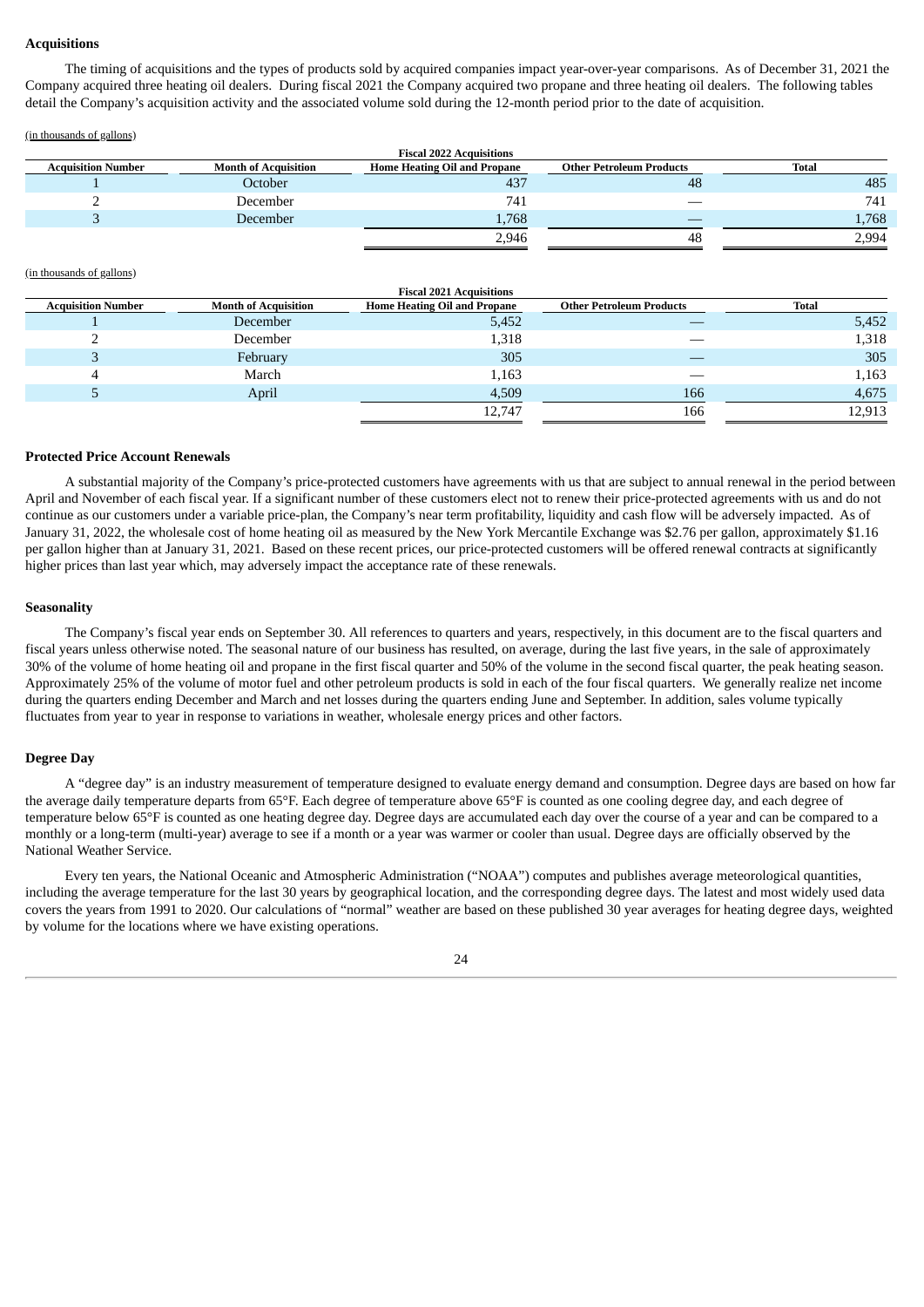#### **Acquisitions**

The timing of acquisitions and the types of products sold by acquired companies impact year-over-year comparisons. As of December 31, 2021 the Company acquired three heating oil dealers. During fiscal 2021 the Company acquired two propane and three heating oil dealers. The following tables detail the Company's acquisition activity and the associated volume sold during the 12-month period prior to the date of acquisition.

(in thousands of gallons)

| <b>Acquisition Number</b> | <b>Month of Acquisition</b> | <b>Home Heating Oil and Propane</b> | <b>Other Petroleum Products</b> | Total |
|---------------------------|-----------------------------|-------------------------------------|---------------------------------|-------|
|                           | October                     | 437                                 | 48                              | 485   |
|                           | December                    | 741                                 | __                              | 741   |
|                           | December                    | 1,768                               |                                 | 1,768 |
|                           |                             | 2,946                               | 48                              | 2,994 |

#### (in thousands of gallons)

| <b>Acquisition Number</b> | <b>Month of Acquisition</b> | <b>Home Heating Oil and Propane</b><br><b>Other Petroleum Products</b> |     | Total  |
|---------------------------|-----------------------------|------------------------------------------------------------------------|-----|--------|
|                           | December                    | 5,452                                                                  |     | 5,452  |
|                           | December                    | 1,318                                                                  | __  | 1,318  |
|                           | February                    | 305                                                                    |     | 305    |
|                           | March                       | 1,163                                                                  |     | 1,163  |
|                           | April                       | 4,509                                                                  | 166 | 4,675  |
|                           |                             | 12,747                                                                 | 166 | 12,913 |

#### **Protected Price Account Renewals**

A substantial majority of the Company's price-protected customers have agreements with us that are subject to annual renewal in the period between April and November of each fiscal year. If a significant number of these customers elect not to renew their price-protected agreements with us and do not continue as our customers under a variable price-plan, the Company's near term profitability, liquidity and cash flow will be adversely impacted. As of January 31, 2022, the wholesale cost of home heating oil as measured by the New York Mercantile Exchange was \$2.76 per gallon, approximately \$1.16 per gallon higher than at January 31, 2021. Based on these recent prices, our price-protected customers will be offered renewal contracts at significantly higher prices than last year which, may adversely impact the acceptance rate of these renewals.

#### **Seasonality**

The Company's fiscal year ends on September 30. All references to quarters and years, respectively, in this document are to the fiscal quarters and fiscal years unless otherwise noted. The seasonal nature of our business has resulted, on average, during the last five years, in the sale of approximately 30% of the volume of home heating oil and propane in the first fiscal quarter and 50% of the volume in the second fiscal quarter, the peak heating season. Approximately 25% of the volume of motor fuel and other petroleum products is sold in each of the four fiscal quarters. We generally realize net income during the quarters ending December and March and net losses during the quarters ending June and September. In addition, sales volume typically fluctuates from year to year in response to variations in weather, wholesale energy prices and other factors.

## **Degree Day**

A "degree day" is an industry measurement of temperature designed to evaluate energy demand and consumption. Degree days are based on how far the average daily temperature departs from 65°F. Each degree of temperature above 65°F is counted as one cooling degree day, and each degree of temperature below 65°F is counted as one heating degree day. Degree days are accumulated each day over the course of a year and can be compared to a monthly or a long-term (multi-year) average to see if a month or a year was warmer or cooler than usual. Degree days are officially observed by the National Weather Service.

Every ten years, the National Oceanic and Atmospheric Administration ("NOAA") computes and publishes average meteorological quantities, including the average temperature for the last 30 years by geographical location, and the corresponding degree days. The latest and most widely used data covers the years from 1991 to 2020. Our calculations of "normal" weather are based on these published 30 year averages for heating degree days, weighted by volume for the locations where we have existing operations.

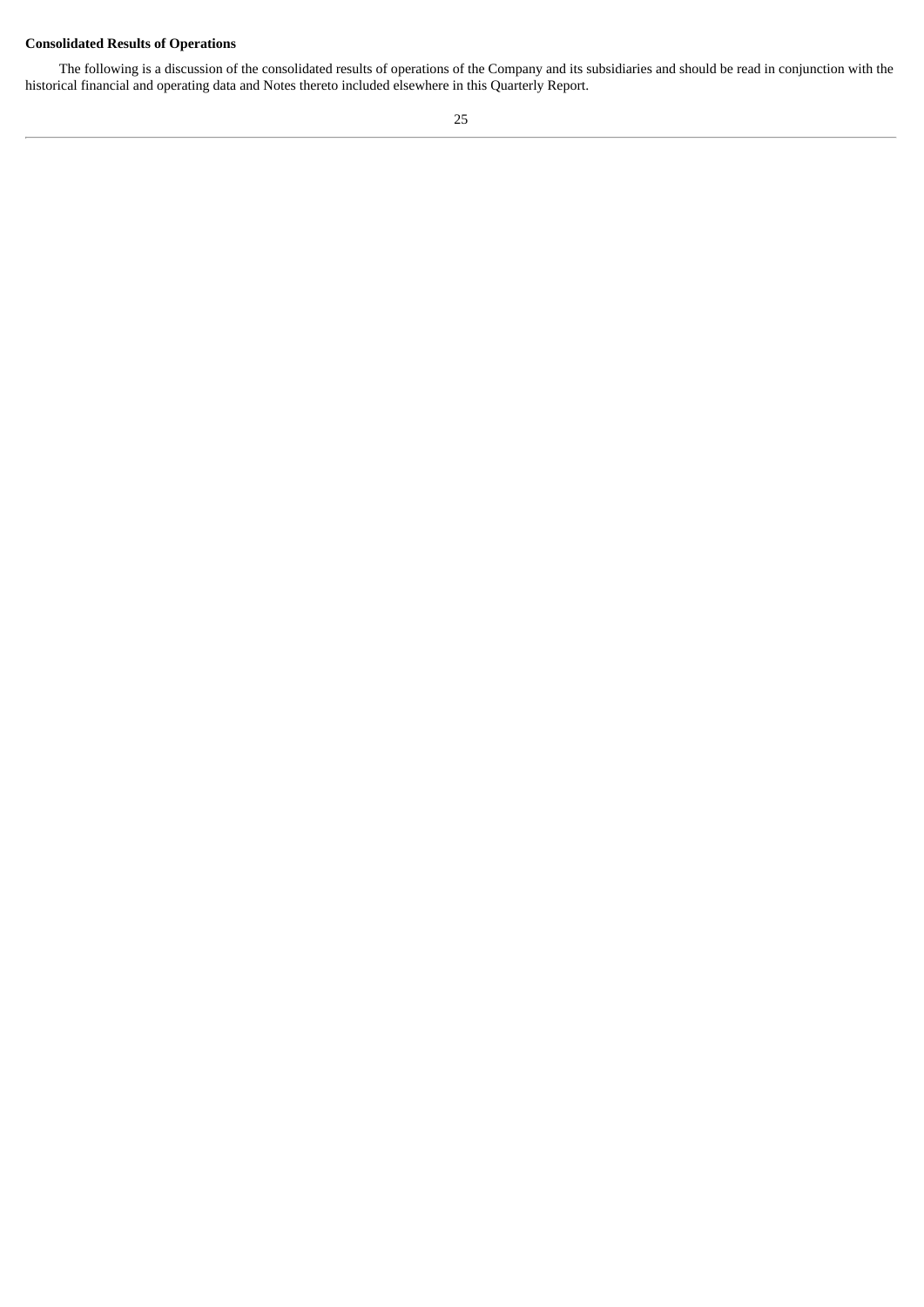# **Consolidated Results of Operations**

The following is a discussion of the consolidated results of operations of the Company and its subsidiaries and should be read in conjunction with the historical financial and operating data and Notes thereto included elsewhere in this Quarterly Report.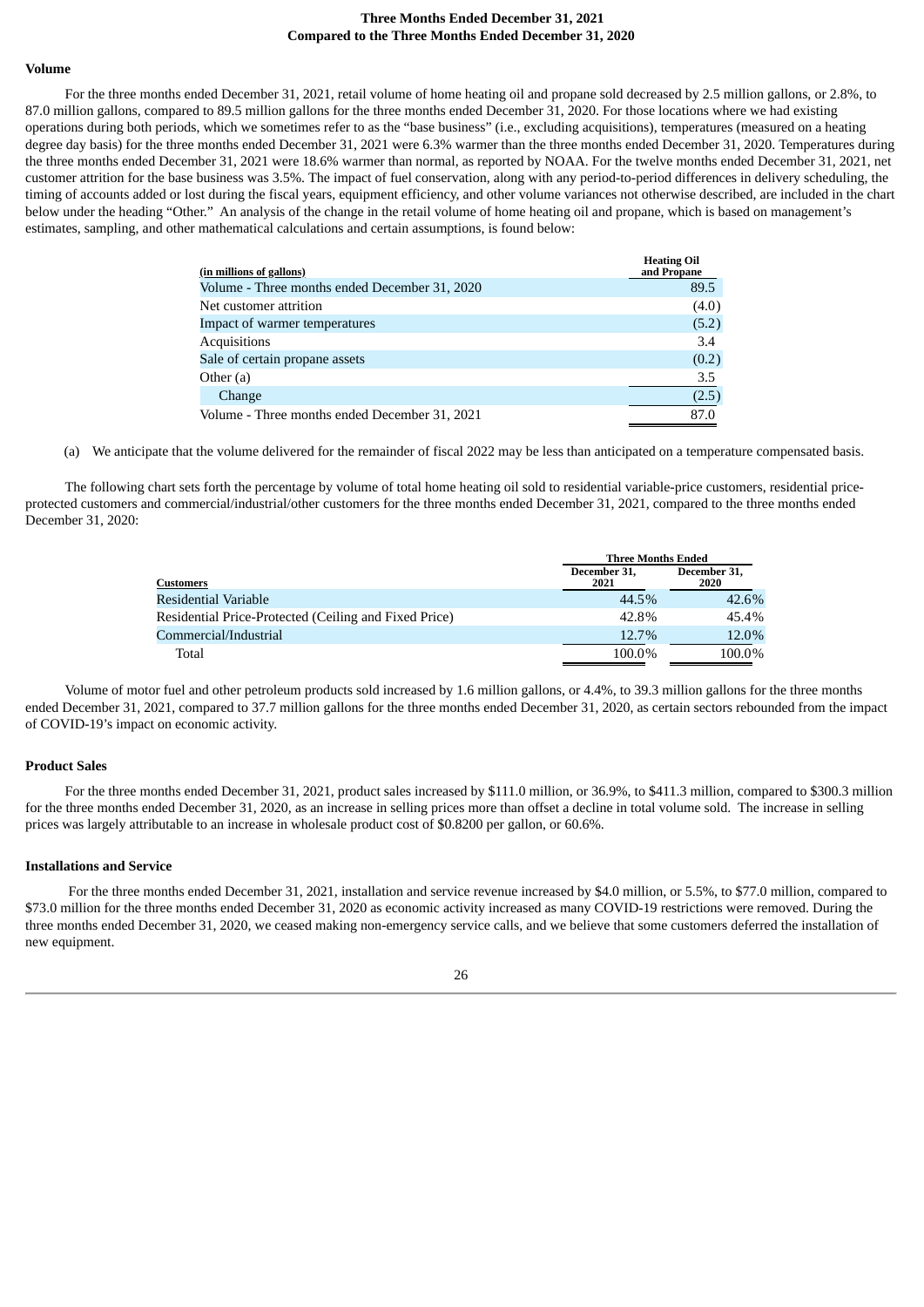## **Three Months Ended December 31, 2021 Compared to the Three Months Ended December 31, 2020**

#### **Volume**

For the three months ended December 31, 2021, retail volume of home heating oil and propane sold decreased by 2.5 million gallons, or 2.8%, to 87.0 million gallons, compared to 89.5 million gallons for the three months ended December 31, 2020. For those locations where we had existing operations during both periods, which we sometimes refer to as the "base business" (i.e., excluding acquisitions), temperatures (measured on a heating degree day basis) for the three months ended December 31, 2021 were 6.3% warmer than the three months ended December 31, 2020. Temperatures during the three months ended December 31, 2021 were 18.6% warmer than normal, as reported by NOAA. For the twelve months ended December 31, 2021, net customer attrition for the base business was 3.5%. The impact of fuel conservation, along with any period-to-period differences in delivery scheduling, the timing of accounts added or lost during the fiscal years, equipment efficiency, and other volume variances not otherwise described, are included in the chart below under the heading "Other." An analysis of the change in the retail volume of home heating oil and propane, which is based on management's estimates, sampling, and other mathematical calculations and certain assumptions, is found below:

| (in millions of gallons)                      | <b>Heating Oil</b><br>and Propane |
|-----------------------------------------------|-----------------------------------|
| Volume - Three months ended December 31, 2020 | 89.5                              |
| Net customer attrition                        | (4.0)                             |
| Impact of warmer temperatures                 | (5.2)                             |
| Acquisitions                                  | 3.4                               |
| Sale of certain propane assets                | (0.2)                             |
| Other $(a)$                                   | 3.5                               |
| Change                                        | (2.5)                             |
| Volume - Three months ended December 31, 2021 | 87.0                              |

(a) We anticipate that the volume delivered for the remainder of fiscal 2022 may be less than anticipated on a temperature compensated basis.

The following chart sets forth the percentage by volume of total home heating oil sold to residential variable-price customers, residential priceprotected customers and commercial/industrial/other customers for the three months ended December 31, 2021, compared to the three months ended December 31, 2020:

|                                                       | <b>Three Months Ended</b> |                      |  |  |  |
|-------------------------------------------------------|---------------------------|----------------------|--|--|--|
| <b>Customers</b>                                      | December 31.<br>2021      | December 31,<br>2020 |  |  |  |
| Residential Variable                                  | 44.5%                     | 42.6%                |  |  |  |
| Residential Price-Protected (Ceiling and Fixed Price) | 42.8%                     | 45.4%                |  |  |  |
| Commercial/Industrial                                 | 12.7%                     | 12.0%                |  |  |  |
| Total                                                 | 100.0%                    | 100.0%               |  |  |  |

Volume of motor fuel and other petroleum products sold increased by 1.6 million gallons, or 4.4%, to 39.3 million gallons for the three months ended December 31, 2021, compared to 37.7 million gallons for the three months ended December 31, 2020, as certain sectors rebounded from the impact of COVID-19's impact on economic activity.

#### **Product Sales**

For the three months ended December 31, 2021, product sales increased by \$111.0 million, or 36.9%, to \$411.3 million, compared to \$300.3 million for the three months ended December 31, 2020, as an increase in selling prices more than offset a decline in total volume sold. The increase in selling prices was largely attributable to an increase in wholesale product cost of \$0.8200 per gallon, or 60.6%.

#### **Installations and Service**

For the three months ended December 31, 2021, installation and service revenue increased by \$4.0 million, or 5.5%, to \$77.0 million, compared to \$73.0 million for the three months ended December 31, 2020 as economic activity increased as many COVID-19 restrictions were removed. During the three months ended December 31, 2020, we ceased making non-emergency service calls, and we believe that some customers deferred the installation of new equipment.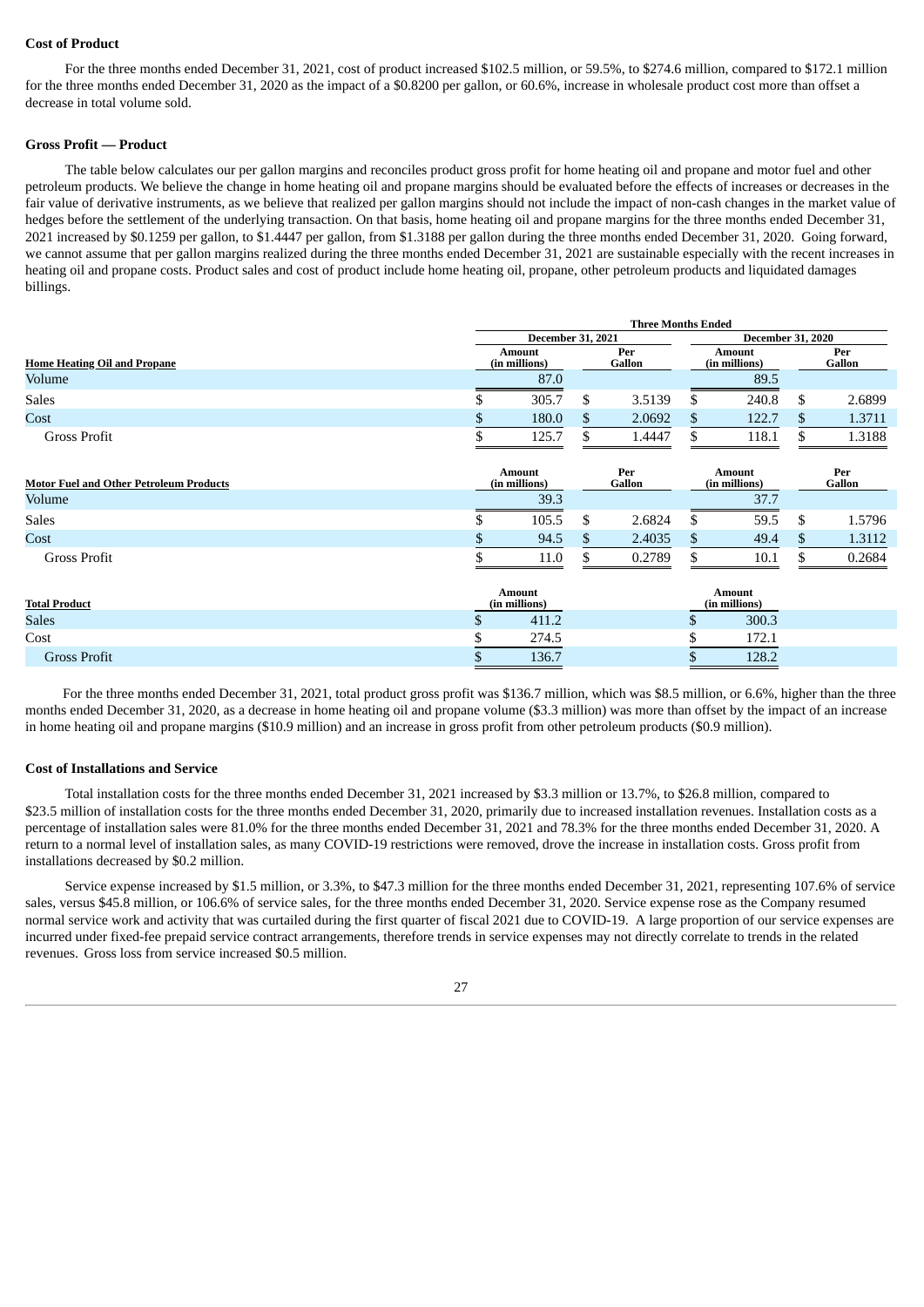## **Cost of Product**

For the three months ended December 31, 2021, cost of product increased \$102.5 million, or 59.5%, to \$274.6 million, compared to \$172.1 million for the three months ended December 31, 2020 as the impact of a \$0.8200 per gallon, or 60.6%, increase in wholesale product cost more than offset a decrease in total volume sold.

## **Gross Profit — Product**

The table below calculates our per gallon margins and reconciles product gross profit for home heating oil and propane and motor fuel and other petroleum products. We believe the change in home heating oil and propane margins should be evaluated before the effects of increases or decreases in the fair value of derivative instruments, as we believe that realized per gallon margins should not include the impact of non-cash changes in the market value of hedges before the settlement of the underlying transaction. On that basis, home heating oil and propane margins for the three months ended December 31, 2021 increased by \$0.1259 per gallon, to \$1.4447 per gallon, from \$1.3188 per gallon during the three months ended December 31, 2020. Going forward, we cannot assume that per gallon margins realized during the three months ended December 31, 2021 are sustainable especially with the recent increases in heating oil and propane costs. Product sales and cost of product include home heating oil, propane, other petroleum products and liquidated damages billings.

| <b>Three Months Ended</b>                      |    |                                       |     |                      |                                |                                |    |                      |
|------------------------------------------------|----|---------------------------------------|-----|----------------------|--------------------------------|--------------------------------|----|----------------------|
|                                                |    | <b>December 31, 2021</b>              |     |                      |                                | <b>December 31, 2020</b>       |    |                      |
| <b>Home Heating Oil and Propane</b>            |    | <b>Amount</b><br>(in millions)        |     | Per<br><b>Gallon</b> |                                | <b>Amount</b><br>(in millions) |    | Per<br><b>Gallon</b> |
| Volume                                         |    | 87.0                                  |     |                      |                                | 89.5                           |    |                      |
| <b>Sales</b>                                   |    | 305.7                                 | \$  | 3.5139               | \$                             | 240.8                          | \$ | 2.6899               |
| Cost                                           |    | 180.0                                 | \$  | 2.0692               | S                              | 122.7                          | \$ | 1.3711               |
| Gross Profit                                   |    | 125.7                                 | \$. | 1.4447               | \$                             | 118.1                          |    | 1.3188               |
| <b>Motor Fuel and Other Petroleum Products</b> |    | Per<br><b>Amount</b><br>(in millions) |     | <b>Gallon</b>        | <b>Amount</b><br>(in millions) |                                |    | Per<br>Gallon        |
| Volume                                         |    | 39.3                                  |     |                      |                                | 37.7                           |    |                      |
| <b>Sales</b>                                   |    | 105.5                                 | \$  | 2.6824               | \$                             | 59.5                           | \$ | 1.5796               |
| Cost                                           | S  | 94.5                                  | \$  | 2.4035               | \$                             | 49.4                           | \$ | 1.3112               |
| Gross Profit                                   |    | 11.0                                  |     | 0.2789               | \$                             | 10.1                           |    | 0.2684               |
| <b>Total Product</b>                           |    | <b>Amount</b><br>(in millions)        |     |                      | <b>Amount</b><br>(in millions) |                                |    |                      |
| <b>Sales</b>                                   | \$ | 411.2                                 |     |                      | \$                             | 300.3                          |    |                      |
| Cost                                           |    | 274.5                                 |     |                      |                                | 172.1                          |    |                      |
| <b>Gross Profit</b>                            |    | 136.7                                 |     |                      |                                | 128.2                          |    |                      |
|                                                |    |                                       |     |                      |                                |                                |    |                      |

For the three months ended December 31, 2021, total product gross profit was \$136.7 million, which was \$8.5 million, or 6.6%, higher than the three months ended December 31, 2020, as a decrease in home heating oil and propane volume (\$3.3 million) was more than offset by the impact of an increase in home heating oil and propane margins (\$10.9 million) and an increase in gross profit from other petroleum products (\$0.9 million).

#### **Cost of Installations and Service**

Total installation costs for the three months ended December 31, 2021 increased by \$3.3 million or 13.7%, to \$26.8 million, compared to \$23.5 million of installation costs for the three months ended December 31, 2020, primarily due to increased installation revenues. Installation costs as a percentage of installation sales were 81.0% for the three months ended December 31, 2021 and 78.3% for the three months ended December 31, 2020. A return to a normal level of installation sales, as many COVID-19 restrictions were removed, drove the increase in installation costs. Gross profit from installations decreased by \$0.2 million.

Service expense increased by \$1.5 million, or 3.3%, to \$47.3 million for the three months ended December 31, 2021, representing 107.6% of service sales, versus \$45.8 million, or 106.6% of service sales, for the three months ended December 31, 2020. Service expense rose as the Company resumed normal service work and activity that was curtailed during the first quarter of fiscal 2021 due to COVID-19. A large proportion of our service expenses are incurred under fixed-fee prepaid service contract arrangements, therefore trends in service expenses may not directly correlate to trends in the related revenues. Gross loss from service increased \$0.5 million.

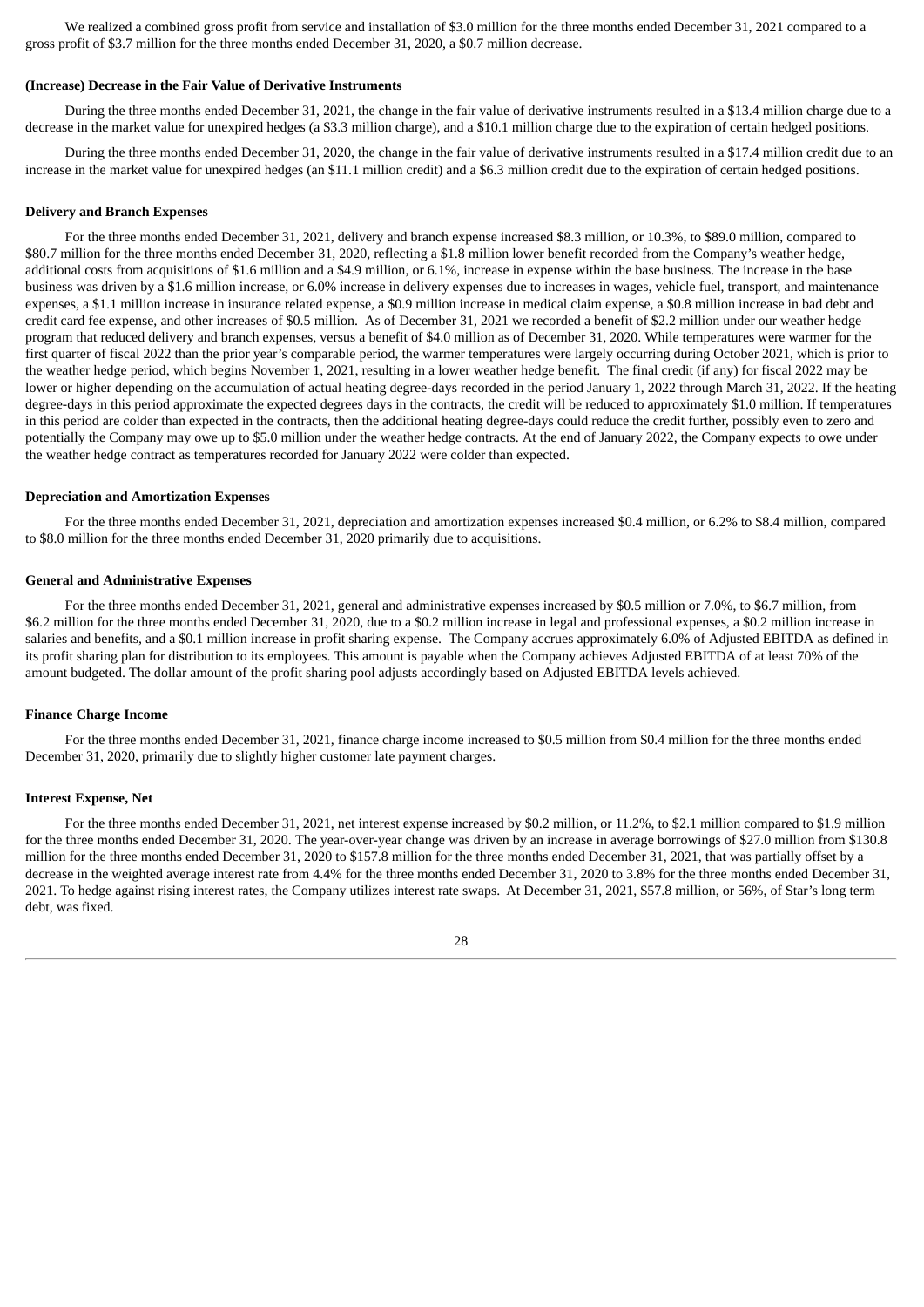We realized a combined gross profit from service and installation of \$3.0 million for the three months ended December 31, 2021 compared to a gross profit of \$3.7 million for the three months ended December 31, 2020, a \$0.7 million decrease.

#### **(Increase) Decrease in the Fair Value of Derivative Instruments**

During the three months ended December 31, 2021, the change in the fair value of derivative instruments resulted in a \$13.4 million charge due to a decrease in the market value for unexpired hedges (a \$3.3 million charge), and a \$10.1 million charge due to the expiration of certain hedged positions.

During the three months ended December 31, 2020, the change in the fair value of derivative instruments resulted in a \$17.4 million credit due to an increase in the market value for unexpired hedges (an \$11.1 million credit) and a \$6.3 million credit due to the expiration of certain hedged positions.

#### **Delivery and Branch Expenses**

For the three months ended December 31, 2021, delivery and branch expense increased \$8.3 million, or 10.3%, to \$89.0 million, compared to \$80.7 million for the three months ended December 31, 2020, reflecting a \$1.8 million lower benefit recorded from the Company's weather hedge, additional costs from acquisitions of \$1.6 million and a \$4.9 million, or 6.1%, increase in expense within the base business. The increase in the base business was driven by a \$1.6 million increase, or 6.0% increase in delivery expenses due to increases in wages, vehicle fuel, transport, and maintenance expenses, a \$1.1 million increase in insurance related expense, a \$0.9 million increase in medical claim expense, a \$0.8 million increase in bad debt and credit card fee expense, and other increases of \$0.5 million. As of December 31, 2021 we recorded a benefit of \$2.2 million under our weather hedge program that reduced delivery and branch expenses, versus a benefit of \$4.0 million as of December 31, 2020. While temperatures were warmer for the first quarter of fiscal 2022 than the prior year's comparable period, the warmer temperatures were largely occurring during October 2021, which is prior to the weather hedge period, which begins November 1, 2021, resulting in a lower weather hedge benefit. The final credit (if any) for fiscal 2022 may be lower or higher depending on the accumulation of actual heating degree-days recorded in the period January 1, 2022 through March 31, 2022. If the heating degree-days in this period approximate the expected degrees days in the contracts, the credit will be reduced to approximately \$1.0 million. If temperatures in this period are colder than expected in the contracts, then the additional heating degree-days could reduce the credit further, possibly even to zero and potentially the Company may owe up to \$5.0 million under the weather hedge contracts. At the end of January 2022, the Company expects to owe under the weather hedge contract as temperatures recorded for January 2022 were colder than expected.

#### **Depreciation and Amortization Expenses**

For the three months ended December 31, 2021, depreciation and amortization expenses increased \$0.4 million, or 6.2% to \$8.4 million, compared to \$8.0 million for the three months ended December 31, 2020 primarily due to acquisitions.

#### **General and Administrative Expenses**

For the three months ended December 31, 2021, general and administrative expenses increased by \$0.5 million or 7.0%, to \$6.7 million, from \$6.2 million for the three months ended December 31, 2020, due to a \$0.2 million increase in legal and professional expenses, a \$0.2 million increase in salaries and benefits, and a \$0.1 million increase in profit sharing expense. The Company accrues approximately 6.0% of Adjusted EBITDA as defined in its profit sharing plan for distribution to its employees. This amount is payable when the Company achieves Adjusted EBITDA of at least 70% of the amount budgeted. The dollar amount of the profit sharing pool adjusts accordingly based on Adjusted EBITDA levels achieved.

#### **Finance Charge Income**

For the three months ended December 31, 2021, finance charge income increased to \$0.5 million from \$0.4 million for the three months ended December 31, 2020, primarily due to slightly higher customer late payment charges.

#### **Interest Expense, Net**

For the three months ended December 31, 2021, net interest expense increased by \$0.2 million, or 11.2%, to \$2.1 million compared to \$1.9 million for the three months ended December 31, 2020. The year-over-year change was driven by an increase in average borrowings of \$27.0 million from \$130.8 million for the three months ended December 31, 2020 to \$157.8 million for the three months ended December 31, 2021, that was partially offset by a decrease in the weighted average interest rate from 4.4% for the three months ended December 31, 2020 to 3.8% for the three months ended December 31, 2021. To hedge against rising interest rates, the Company utilizes interest rate swaps. At December 31, 2021, \$57.8 million, or 56%, of Star's long term debt, was fixed.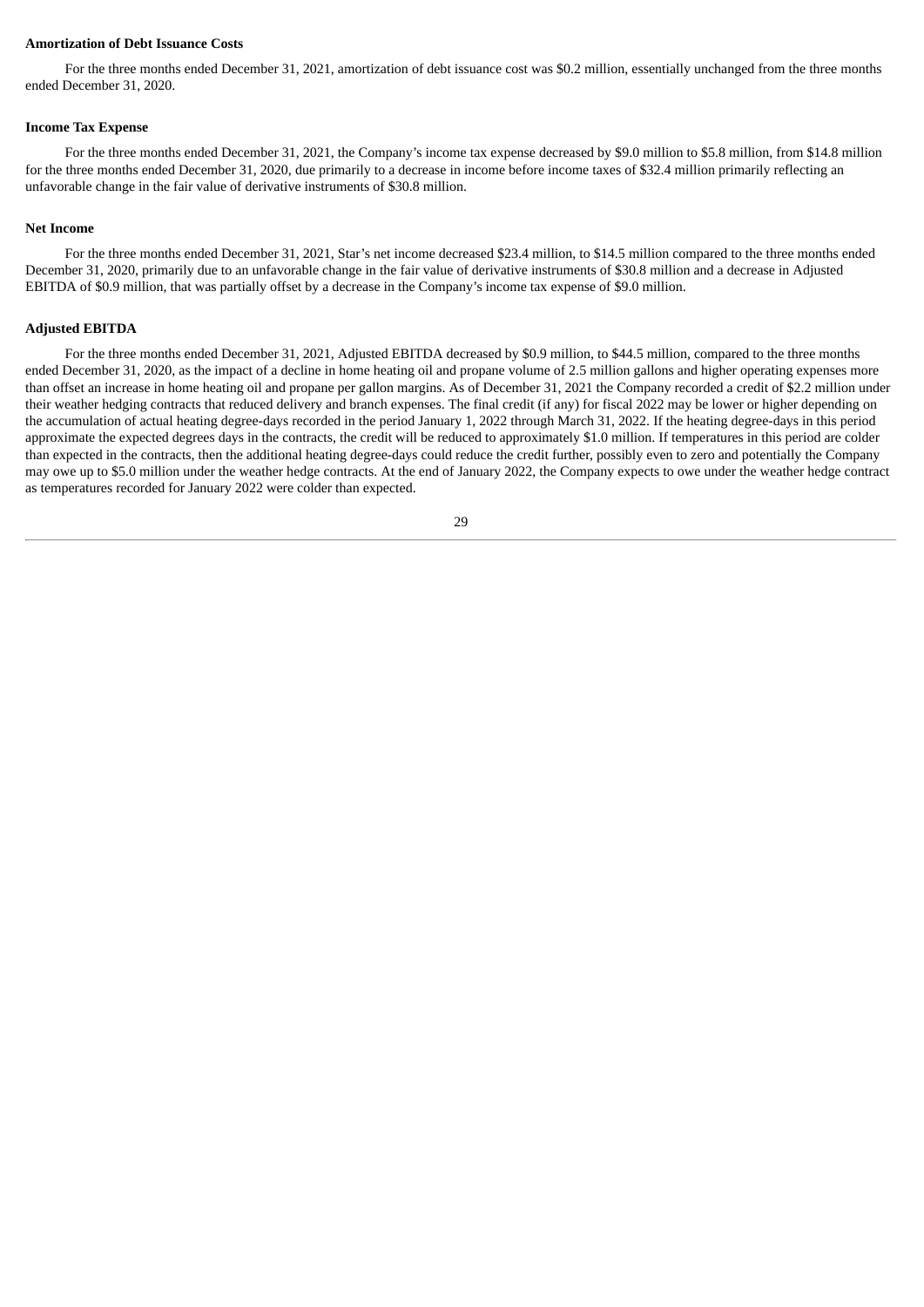## **Amortization of Debt Issuance Costs**

For the three months ended December 31, 2021, amortization of debt issuance cost was \$0.2 million, essentially unchanged from the three months ended December 31, 2020.

## **Income Tax Expense**

For the three months ended December 31, 2021, the Company's income tax expense decreased by \$9.0 million to \$5.8 million, from \$14.8 million for the three months ended December 31, 2020, due primarily to a decrease in income before income taxes of \$32.4 million primarily reflecting an unfavorable change in the fair value of derivative instruments of \$30.8 million.

## **Net Income**

For the three months ended December 31, 2021, Star's net income decreased \$23.4 million, to \$14.5 million compared to the three months ended December 31, 2020, primarily due to an unfavorable change in the fair value of derivative instruments of \$30.8 million and a decrease in Adjusted EBITDA of \$0.9 million, that was partially offset by a decrease in the Company's income tax expense of \$9.0 million.

## **Adjusted EBITDA**

For the three months ended December 31, 2021, Adjusted EBITDA decreased by \$0.9 million, to \$44.5 million, compared to the three months ended December 31, 2020, as the impact of a decline in home heating oil and propane volume of 2.5 million gallons and higher operating expenses more than offset an increase in home heating oil and propane per gallon margins. As of December 31, 2021 the Company recorded a credit of \$2.2 million under their weather hedging contracts that reduced delivery and branch expenses. The final credit (if any) for fiscal 2022 may be lower or higher depending on the accumulation of actual heating degree-days recorded in the period January 1, 2022 through March 31, 2022. If the heating degree-days in this period approximate the expected degrees days in the contracts, the credit will be reduced to approximately \$1.0 million. If temperatures in this period are colder than expected in the contracts, then the additional heating degree-days could reduce the credit further, possibly even to zero and potentially the Company may owe up to \$5.0 million under the weather hedge contracts. At the end of January 2022, the Company expects to owe under the weather hedge contract as temperatures recorded for January 2022 were colder than expected.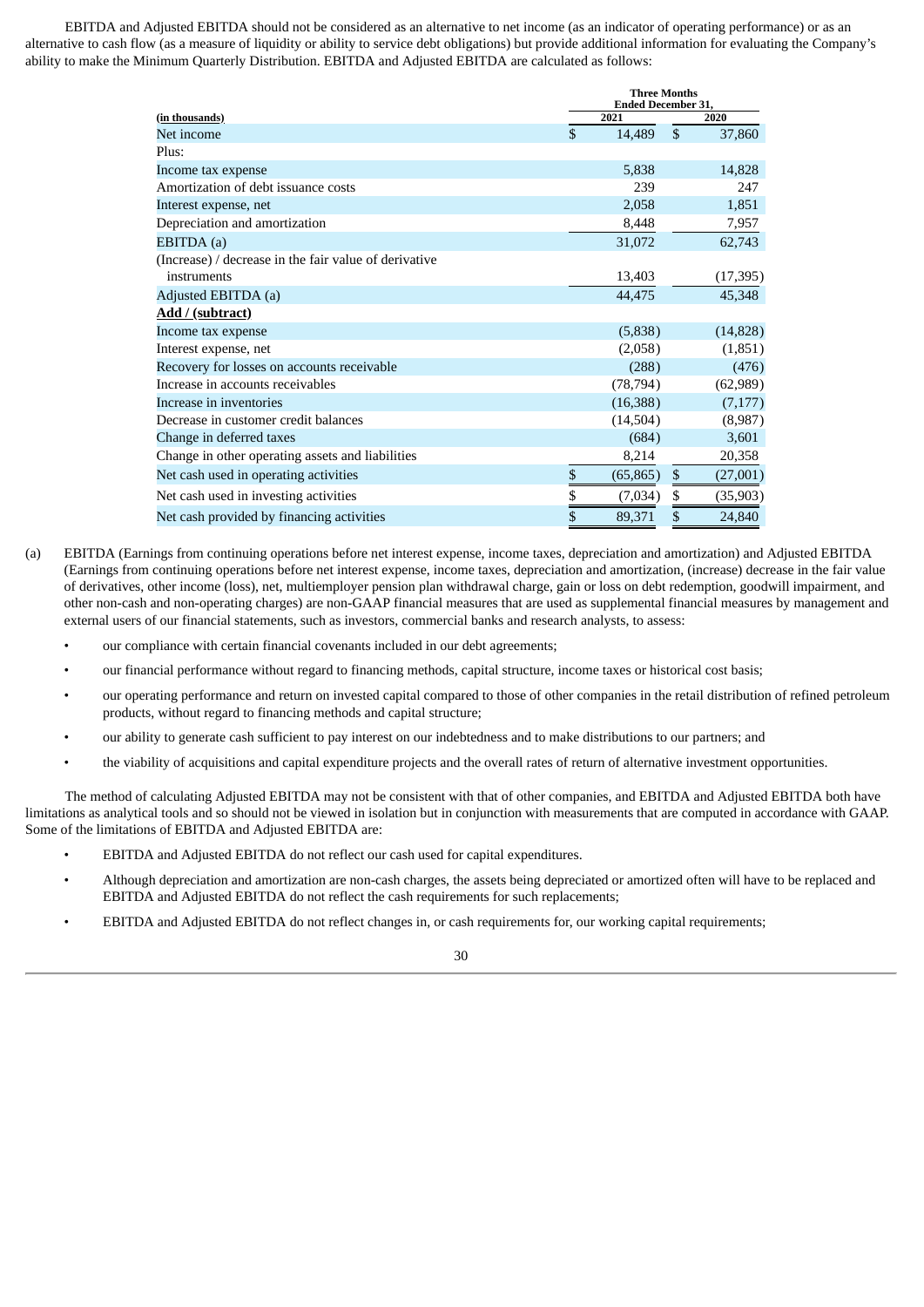EBITDA and Adjusted EBITDA should not be considered as an alternative to net income (as an indicator of operating performance) or as an alternative to cash flow (as a measure of liquidity or ability to service debt obligations) but provide additional information for evaluating the Company's ability to make the Minimum Quarterly Distribution. EBITDA and Adjusted EBITDA are calculated as follows:

|                                                       |               | <b>Three Months</b><br><b>Ended December 31,</b> |               |           |  |  |  |  |  |
|-------------------------------------------------------|---------------|--------------------------------------------------|---------------|-----------|--|--|--|--|--|
| (in thousands)                                        |               | 2021                                             | 2020          |           |  |  |  |  |  |
| Net income                                            | $\mathbf{\$}$ | 14,489                                           | $\mathcal{S}$ | 37,860    |  |  |  |  |  |
| Plus:                                                 |               |                                                  |               |           |  |  |  |  |  |
| Income tax expense                                    |               | 5,838                                            |               | 14,828    |  |  |  |  |  |
| Amortization of debt issuance costs                   |               | 239                                              |               | 247       |  |  |  |  |  |
| Interest expense, net                                 |               | 2,058                                            |               | 1,851     |  |  |  |  |  |
| Depreciation and amortization                         |               | 8,448                                            |               | 7,957     |  |  |  |  |  |
| EBITDA (a)                                            |               | 31,072                                           |               | 62,743    |  |  |  |  |  |
| (Increase) / decrease in the fair value of derivative |               |                                                  |               |           |  |  |  |  |  |
| instruments                                           |               | 13,403                                           |               | (17, 395) |  |  |  |  |  |
| Adjusted EBITDA (a)                                   |               | 44,475                                           |               | 45,348    |  |  |  |  |  |
| Add / (subtract)                                      |               |                                                  |               |           |  |  |  |  |  |
| Income tax expense                                    |               | (5,838)                                          |               | (14, 828) |  |  |  |  |  |
| Interest expense, net                                 |               | (2,058)                                          |               | (1,851)   |  |  |  |  |  |
| Recovery for losses on accounts receivable            |               | (288)                                            |               | (476)     |  |  |  |  |  |
| Increase in accounts receivables                      |               | (78, 794)                                        |               | (62, 989) |  |  |  |  |  |
| Increase in inventories                               |               | (16, 388)                                        |               | (7,177)   |  |  |  |  |  |
| Decrease in customer credit balances                  |               | (14,504)                                         |               | (8,987)   |  |  |  |  |  |
| Change in deferred taxes                              |               | (684)                                            |               | 3,601     |  |  |  |  |  |
| Change in other operating assets and liabilities      |               | 8,214                                            |               | 20,358    |  |  |  |  |  |
| Net cash used in operating activities                 | \$            | (65, 865)                                        | \$            | (27,001)  |  |  |  |  |  |
| Net cash used in investing activities                 | \$            | (7,034)                                          | \$            | (35, 903) |  |  |  |  |  |
| Net cash provided by financing activities             | \$            | 89,371                                           | \$            | 24,840    |  |  |  |  |  |

- (a) EBITDA (Earnings from continuing operations before net interest expense, income taxes, depreciation and amortization) and Adjusted EBITDA (Earnings from continuing operations before net interest expense, income taxes, depreciation and amortization, (increase) decrease in the fair value of derivatives, other income (loss), net, multiemployer pension plan withdrawal charge, gain or loss on debt redemption, goodwill impairment, and other non-cash and non-operating charges) are non-GAAP financial measures that are used as supplemental financial measures by management and external users of our financial statements, such as investors, commercial banks and research analysts, to assess:
	- our compliance with certain financial covenants included in our debt agreements;
	- our financial performance without regard to financing methods, capital structure, income taxes or historical cost basis;
	- our operating performance and return on invested capital compared to those of other companies in the retail distribution of refined petroleum products, without regard to financing methods and capital structure;
	- our ability to generate cash sufficient to pay interest on our indebtedness and to make distributions to our partners; and
	- the viability of acquisitions and capital expenditure projects and the overall rates of return of alternative investment opportunities.

The method of calculating Adjusted EBITDA may not be consistent with that of other companies, and EBITDA and Adjusted EBITDA both have limitations as analytical tools and so should not be viewed in isolation but in conjunction with measurements that are computed in accordance with GAAP. Some of the limitations of EBITDA and Adjusted EBITDA are:

- EBITDA and Adjusted EBITDA do not reflect our cash used for capital expenditures.
- Although depreciation and amortization are non-cash charges, the assets being depreciated or amortized often will have to be replaced and EBITDA and Adjusted EBITDA do not reflect the cash requirements for such replacements;
- EBITDA and Adjusted EBITDA do not reflect changes in, or cash requirements for, our working capital requirements;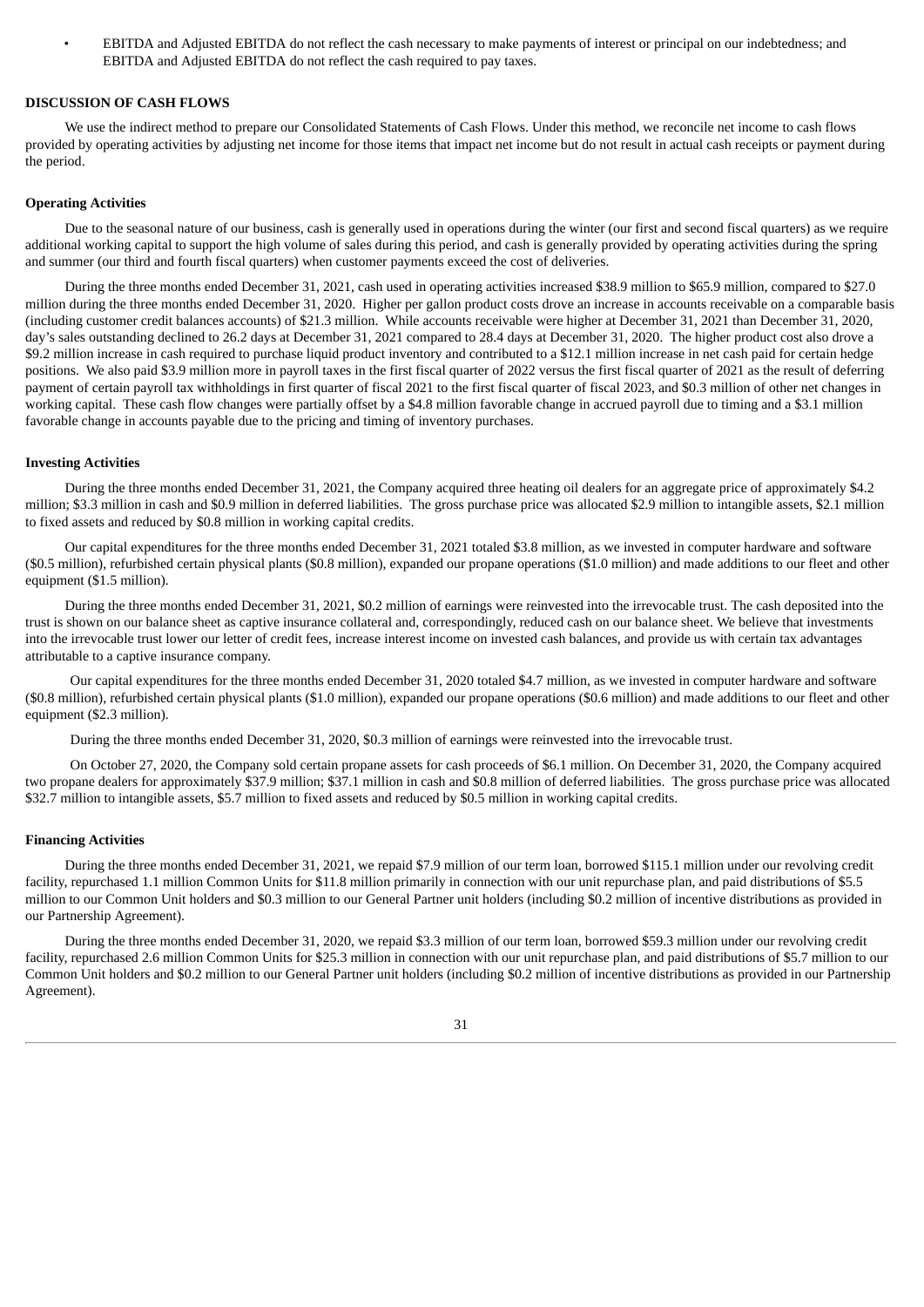• EBITDA and Adjusted EBITDA do not reflect the cash necessary to make payments of interest or principal on our indebtedness; and EBITDA and Adjusted EBITDA do not reflect the cash required to pay taxes.

#### **DISCUSSION OF CASH FLOWS**

We use the indirect method to prepare our Consolidated Statements of Cash Flows. Under this method, we reconcile net income to cash flows provided by operating activities by adjusting net income for those items that impact net income but do not result in actual cash receipts or payment during the period.

#### **Operating Activities**

Due to the seasonal nature of our business, cash is generally used in operations during the winter (our first and second fiscal quarters) as we require additional working capital to support the high volume of sales during this period, and cash is generally provided by operating activities during the spring and summer (our third and fourth fiscal quarters) when customer payments exceed the cost of deliveries.

During the three months ended December 31, 2021, cash used in operating activities increased \$38.9 million to \$65.9 million, compared to \$27.0 million during the three months ended December 31, 2020. Higher per gallon product costs drove an increase in accounts receivable on a comparable basis (including customer credit balances accounts) of \$21.3 million. While accounts receivable were higher at December 31, 2021 than December 31, 2020, day's sales outstanding declined to 26.2 days at December 31, 2021 compared to 28.4 days at December 31, 2020. The higher product cost also drove a \$9.2 million increase in cash required to purchase liquid product inventory and contributed to a \$12.1 million increase in net cash paid for certain hedge positions. We also paid \$3.9 million more in payroll taxes in the first fiscal quarter of 2022 versus the first fiscal quarter of 2021 as the result of deferring payment of certain payroll tax withholdings in first quarter of fiscal 2021 to the first fiscal quarter of fiscal 2023, and \$0.3 million of other net changes in working capital. These cash flow changes were partially offset by a \$4.8 million favorable change in accrued payroll due to timing and a \$3.1 million favorable change in accounts payable due to the pricing and timing of inventory purchases.

#### **Investing Activities**

During the three months ended December 31, 2021, the Company acquired three heating oil dealers for an aggregate price of approximately \$4.2 million; \$3.3 million in cash and \$0.9 million in deferred liabilities. The gross purchase price was allocated \$2.9 million to intangible assets, \$2.1 million to fixed assets and reduced by \$0.8 million in working capital credits.

Our capital expenditures for the three months ended December 31, 2021 totaled \$3.8 million, as we invested in computer hardware and software (\$0.5 million), refurbished certain physical plants (\$0.8 million), expanded our propane operations (\$1.0 million) and made additions to our fleet and other equipment (\$1.5 million).

During the three months ended December 31, 2021, \$0.2 million of earnings were reinvested into the irrevocable trust. The cash deposited into the trust is shown on our balance sheet as captive insurance collateral and, correspondingly, reduced cash on our balance sheet. We believe that investments into the irrevocable trust lower our letter of credit fees, increase interest income on invested cash balances, and provide us with certain tax advantages attributable to a captive insurance company.

Our capital expenditures for the three months ended December 31, 2020 totaled \$4.7 million, as we invested in computer hardware and software (\$0.8 million), refurbished certain physical plants (\$1.0 million), expanded our propane operations (\$0.6 million) and made additions to our fleet and other equipment (\$2.3 million).

During the three months ended December 31, 2020, \$0.3 million of earnings were reinvested into the irrevocable trust.

On October 27, 2020, the Company sold certain propane assets for cash proceeds of \$6.1 million. On December 31, 2020, the Company acquired two propane dealers for approximately \$37.9 million; \$37.1 million in cash and \$0.8 million of deferred liabilities. The gross purchase price was allocated \$32.7 million to intangible assets, \$5.7 million to fixed assets and reduced by \$0.5 million in working capital credits.

## **Financing Activities**

During the three months ended December 31, 2021, we repaid \$7.9 million of our term loan, borrowed \$115.1 million under our revolving credit facility, repurchased 1.1 million Common Units for \$11.8 million primarily in connection with our unit repurchase plan, and paid distributions of \$5.5 million to our Common Unit holders and \$0.3 million to our General Partner unit holders (including \$0.2 million of incentive distributions as provided in our Partnership Agreement).

During the three months ended December 31, 2020, we repaid \$3.3 million of our term loan, borrowed \$59.3 million under our revolving credit facility, repurchased 2.6 million Common Units for \$25.3 million in connection with our unit repurchase plan, and paid distributions of \$5.7 million to our Common Unit holders and \$0.2 million to our General Partner unit holders (including \$0.2 million of incentive distributions as provided in our Partnership Agreement).

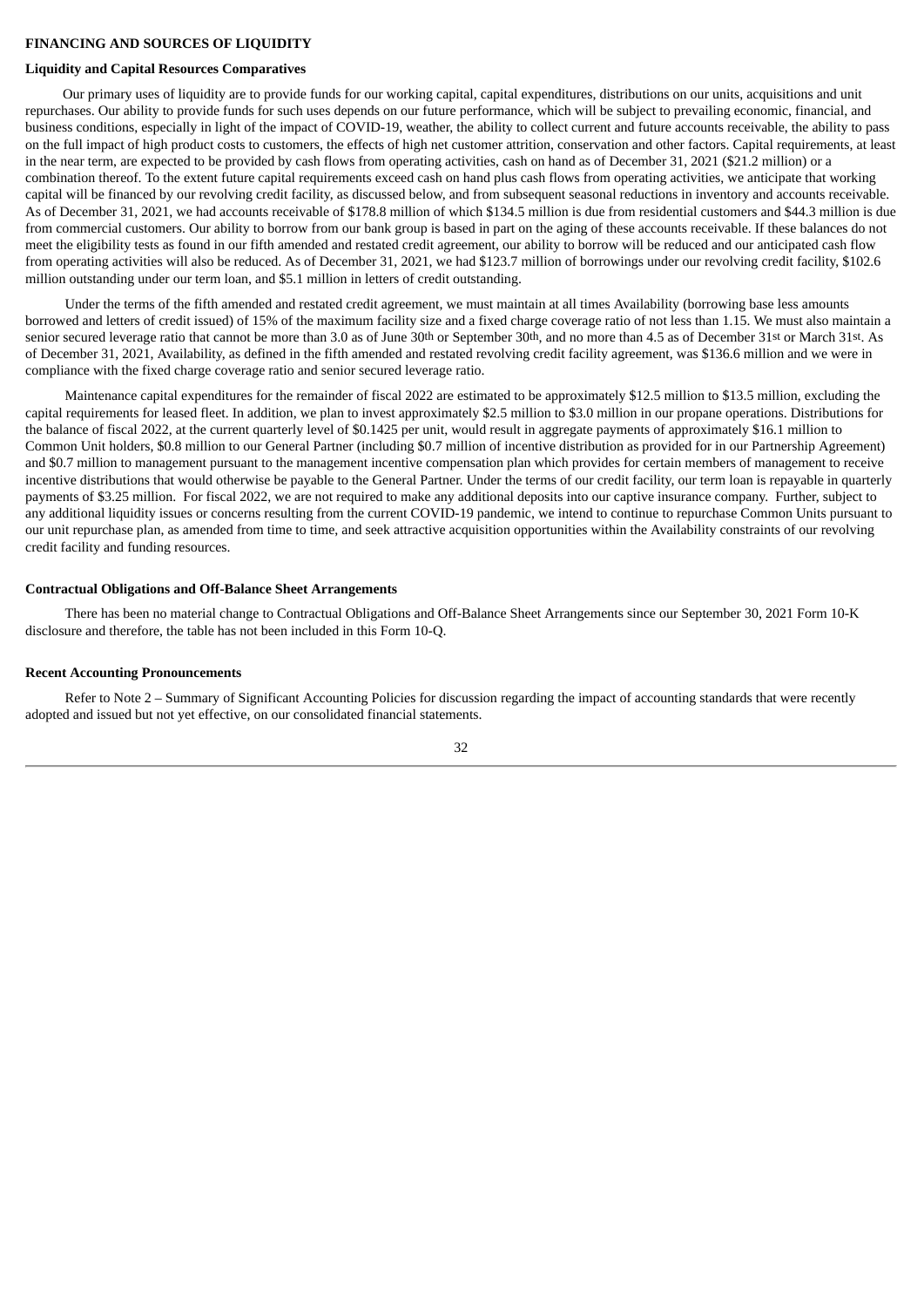# **FINANCING AND SOURCES OF LIQUIDITY**

#### **Liquidity and Capital Resources Comparatives**

Our primary uses of liquidity are to provide funds for our working capital, capital expenditures, distributions on our units, acquisitions and unit repurchases. Our ability to provide funds for such uses depends on our future performance, which will be subject to prevailing economic, financial, and business conditions, especially in light of the impact of COVID-19, weather, the ability to collect current and future accounts receivable, the ability to pass on the full impact of high product costs to customers, the effects of high net customer attrition, conservation and other factors. Capital requirements, at least in the near term, are expected to be provided by cash flows from operating activities, cash on hand as of December 31, 2021 (\$21.2 million) or a combination thereof. To the extent future capital requirements exceed cash on hand plus cash flows from operating activities, we anticipate that working capital will be financed by our revolving credit facility, as discussed below, and from subsequent seasonal reductions in inventory and accounts receivable. As of December 31, 2021, we had accounts receivable of \$178.8 million of which \$134.5 million is due from residential customers and \$44.3 million is due from commercial customers. Our ability to borrow from our bank group is based in part on the aging of these accounts receivable. If these balances do not meet the eligibility tests as found in our fifth amended and restated credit agreement, our ability to borrow will be reduced and our anticipated cash flow from operating activities will also be reduced. As of December 31, 2021, we had \$123.7 million of borrowings under our revolving credit facility, \$102.6 million outstanding under our term loan, and \$5.1 million in letters of credit outstanding.

Under the terms of the fifth amended and restated credit agreement, we must maintain at all times Availability (borrowing base less amounts borrowed and letters of credit issued) of 15% of the maximum facility size and a fixed charge coverage ratio of not less than 1.15. We must also maintain a senior secured leverage ratio that cannot be more than 3.0 as of June 30<sup>th</sup> or September 30<sup>th</sup>, and no more than 4.5 as of December 31st or March 31st. As of December 31, 2021, Availability, as defined in the fifth amended and restated revolving credit facility agreement, was \$136.6 million and we were in compliance with the fixed charge coverage ratio and senior secured leverage ratio.

Maintenance capital expenditures for the remainder of fiscal 2022 are estimated to be approximately \$12.5 million to \$13.5 million, excluding the capital requirements for leased fleet. In addition, we plan to invest approximately \$2.5 million to \$3.0 million in our propane operations. Distributions for the balance of fiscal 2022, at the current quarterly level of \$0.1425 per unit, would result in aggregate payments of approximately \$16.1 million to Common Unit holders, \$0.8 million to our General Partner (including \$0.7 million of incentive distribution as provided for in our Partnership Agreement) and \$0.7 million to management pursuant to the management incentive compensation plan which provides for certain members of management to receive incentive distributions that would otherwise be payable to the General Partner. Under the terms of our credit facility, our term loan is repayable in quarterly payments of \$3.25 million. For fiscal 2022, we are not required to make any additional deposits into our captive insurance company. Further, subject to any additional liquidity issues or concerns resulting from the current COVID-19 pandemic, we intend to continue to repurchase Common Units pursuant to our unit repurchase plan, as amended from time to time, and seek attractive acquisition opportunities within the Availability constraints of our revolving credit facility and funding resources.

## **Contractual Obligations and Off-Balance Sheet Arrangements**

There has been no material change to Contractual Obligations and Off-Balance Sheet Arrangements since our September 30, 2021 Form 10-K disclosure and therefore, the table has not been included in this Form 10-Q.

#### **Recent Accounting Pronouncements**

Refer to Note 2 – Summary of Significant Accounting Policies for discussion regarding the impact of accounting standards that were recently adopted and issued but not yet effective, on our consolidated financial statements.

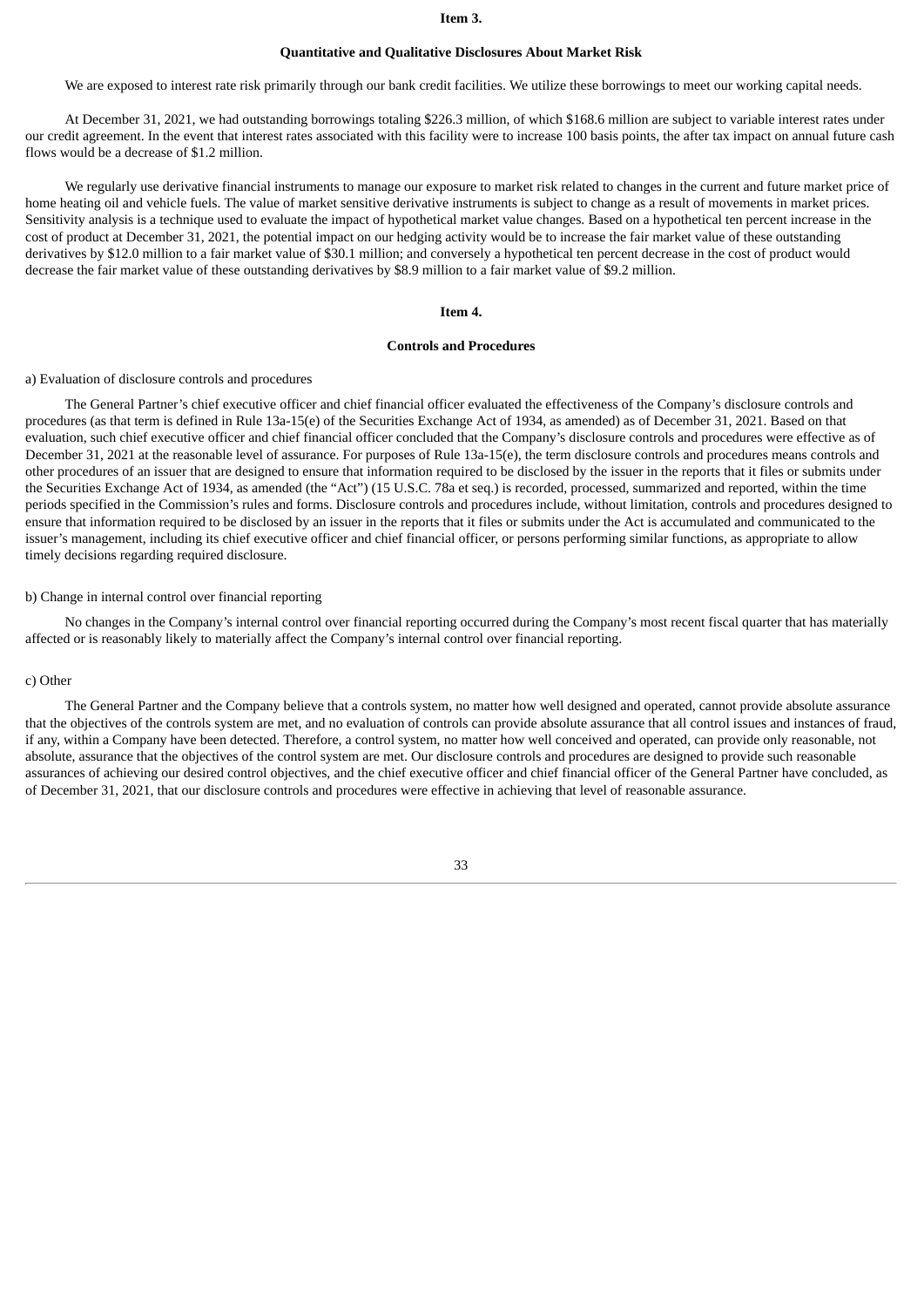#### **Item 3.**

#### **Quantitative and Qualitative Disclosures About Market Risk**

<span id="page-32-0"></span>We are exposed to interest rate risk primarily through our bank credit facilities. We utilize these borrowings to meet our working capital needs.

At December 31, 2021, we had outstanding borrowings totaling \$226.3 million, of which \$168.6 million are subject to variable interest rates under our credit agreement. In the event that interest rates associated with this facility were to increase 100 basis points, the after tax impact on annual future cash flows would be a decrease of \$1.2 million.

We regularly use derivative financial instruments to manage our exposure to market risk related to changes in the current and future market price of home heating oil and vehicle fuels. The value of market sensitive derivative instruments is subject to change as a result of movements in market prices. Sensitivity analysis is a technique used to evaluate the impact of hypothetical market value changes. Based on a hypothetical ten percent increase in the cost of product at December 31, 2021, the potential impact on our hedging activity would be to increase the fair market value of these outstanding derivatives by \$12.0 million to a fair market value of \$30.1 million; and conversely a hypothetical ten percent decrease in the cost of product would decrease the fair market value of these outstanding derivatives by \$8.9 million to a fair market value of \$9.2 million.

#### **Item 4.**

#### **Controls and Procedures**

## <span id="page-32-1"></span>a) Evaluation of disclosure controls and procedures

The General Partner's chief executive officer and chief financial officer evaluated the effectiveness of the Company's disclosure controls and procedures (as that term is defined in Rule 13a-15(e) of the Securities Exchange Act of 1934, as amended) as of December 31, 2021. Based on that evaluation, such chief executive officer and chief financial officer concluded that the Company's disclosure controls and procedures were effective as of December 31, 2021 at the reasonable level of assurance. For purposes of Rule 13a-15(e), the term disclosure controls and procedures means controls and other procedures of an issuer that are designed to ensure that information required to be disclosed by the issuer in the reports that it files or submits under the Securities Exchange Act of 1934, as amended (the "Act") (15 U.S.C. 78a et seq.) is recorded, processed, summarized and reported, within the time periods specified in the Commission's rules and forms. Disclosure controls and procedures include, without limitation, controls and procedures designed to ensure that information required to be disclosed by an issuer in the reports that it files or submits under the Act is accumulated and communicated to the issuer's management, including its chief executive officer and chief financial officer, or persons performing similar functions, as appropriate to allow timely decisions regarding required disclosure.

## b) Change in internal control over financial reporting

No changes in the Company's internal control over financial reporting occurred during the Company's most recent fiscal quarter that has materially affected or is reasonably likely to materially affect the Company's internal control over financial reporting.

## c) Other

The General Partner and the Company believe that a controls system, no matter how well designed and operated, cannot provide absolute assurance that the objectives of the controls system are met, and no evaluation of controls can provide absolute assurance that all control issues and instances of fraud, if any, within a Company have been detected. Therefore, a control system, no matter how well conceived and operated, can provide only reasonable, not absolute, assurance that the objectives of the control system are met. Our disclosure controls and procedures are designed to provide such reasonable assurances of achieving our desired control objectives, and the chief executive officer and chief financial officer of the General Partner have concluded, as of December 31, 2021, that our disclosure controls and procedures were effective in achieving that level of reasonable assurance.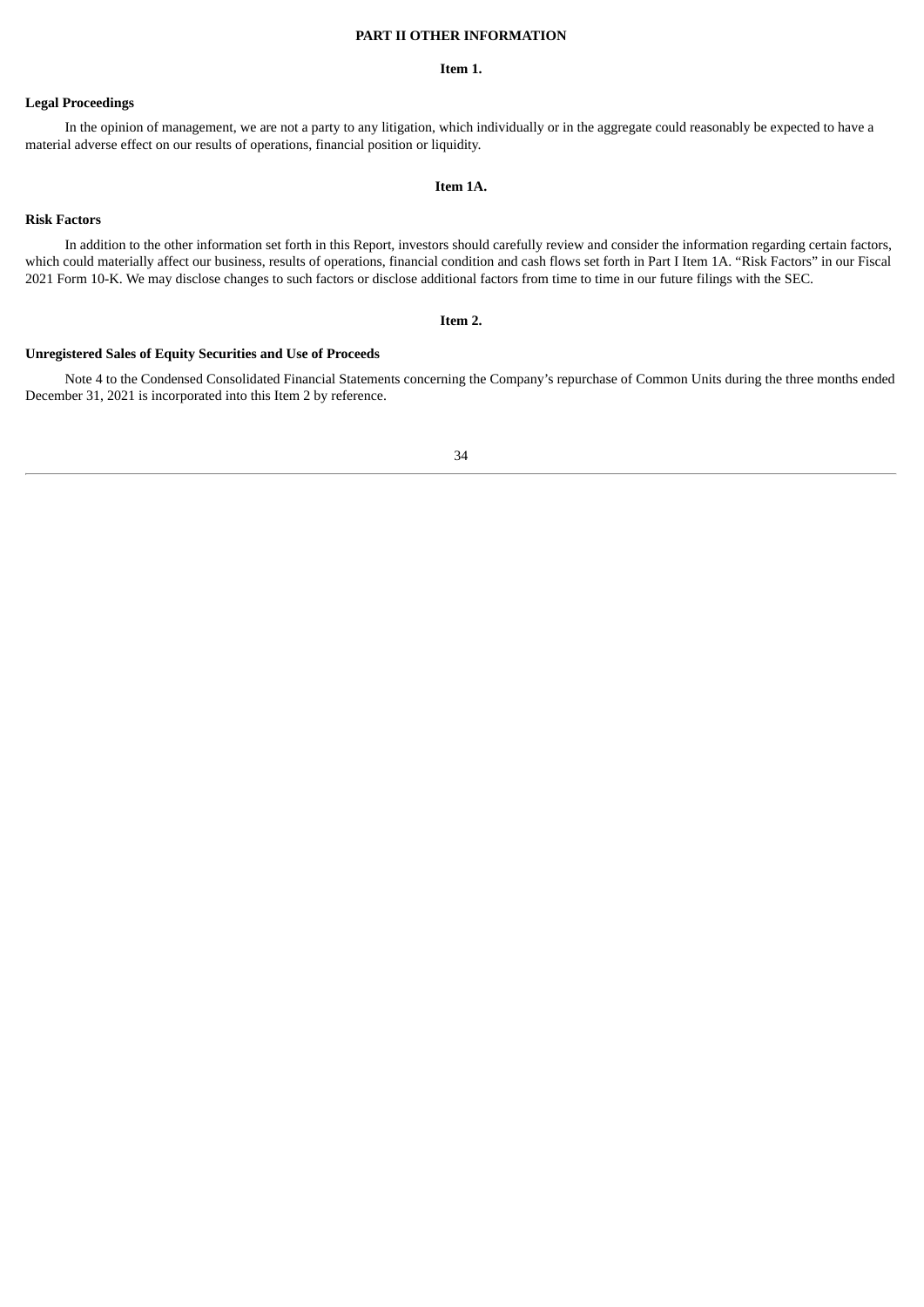## **PART II OTHER INFORMATION**

#### **Item 1.**

## <span id="page-33-0"></span>**Legal Proceedings**

In the opinion of management, we are not a party to any litigation, which individually or in the aggregate could reasonably be expected to have a material adverse effect on our results of operations, financial position or liquidity.

#### **Item 1A.**

## <span id="page-33-1"></span>**Risk Factors**

In addition to the other information set forth in this Report, investors should carefully review and consider the information regarding certain factors, which could materially affect our business, results of operations, financial condition and cash flows set forth in Part I Item 1A. "Risk Factors" in our Fiscal 2021 Form 10-K. We may disclose changes to such factors or disclose additional factors from time to time in our future filings with the SEC.

## **Item 2.**

## <span id="page-33-2"></span>**Unregistered Sales of Equity Securities and Use of Proceeds**

Note 4 to the Condensed Consolidated Financial Statements concerning the Company's repurchase of Common Units during the three months ended December 31, 2021 is incorporated into this Item 2 by reference.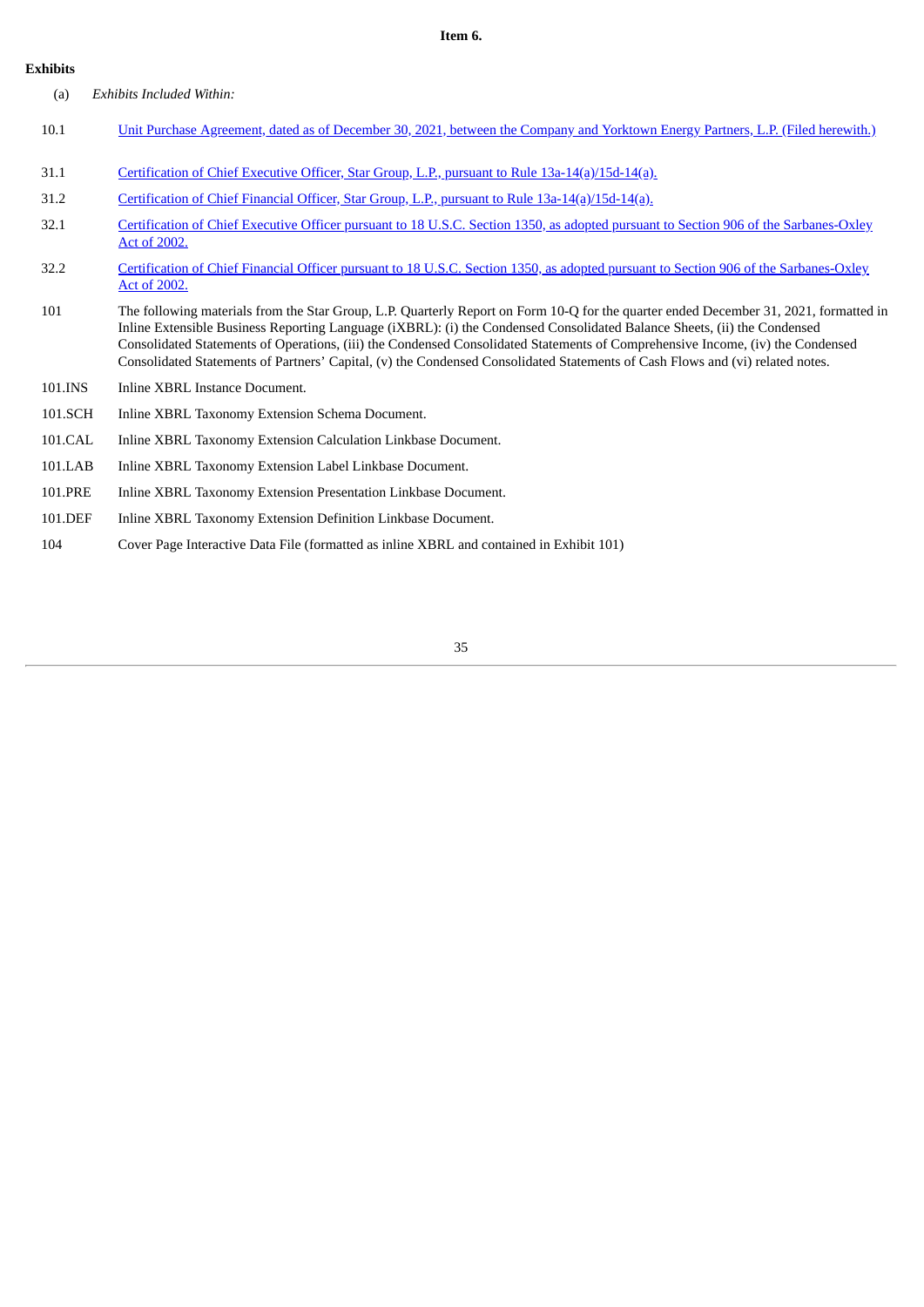#### <span id="page-34-0"></span>**Exhibits**

| (a) | Exhibits Included Within: |  |
|-----|---------------------------|--|
|     |                           |  |

- 10.1 Unit Purchase [Agreement,](#page-36-0) dated as of December 30, 2021, between the Company and Yorktown Energy Partners, L.P. (Filed herewith.)
- 31.1 Certification of Chief Executive Officer, Star Group, L.P., pursuant to Rule [13a-14\(a\)/15d-14\(a\).](#page-41-0)
- 31.2 Certification of Chief Financial Officer, Star Group, L.P., pursuant to Rule [13a-14\(a\)/15d-14\(a\).](#page-42-0)
- 32.1 Certification of Chief Executive Officer pursuant to 18 U.S.C. Section 1350, as adopted pursuant to Section 906 of the [Sarbanes-Oxley](#page-43-0) Act of 2002.
- 32.2 Certification of Chief Financial Officer pursuant to 18 U.S.C. Section 1350, as adopted pursuant to Section 906 of the [Sarbanes-Oxley](#page-44-0) Act of 2002.
- 101 The following materials from the Star Group, L.P. Quarterly Report on Form 10-Q for the quarter ended December 31, 2021, formatted in Inline Extensible Business Reporting Language (iXBRL): (i) the Condensed Consolidated Balance Sheets, (ii) the Condensed Consolidated Statements of Operations, (iii) the Condensed Consolidated Statements of Comprehensive Income, (iv) the Condensed Consolidated Statements of Partners' Capital, (v) the Condensed Consolidated Statements of Cash Flows and (vi) related notes.
- 101.INS Inline XBRL Instance Document.
- 101.SCH Inline XBRL Taxonomy Extension Schema Document.
- 101.CAL Inline XBRL Taxonomy Extension Calculation Linkbase Document.
- 101.LAB Inline XBRL Taxonomy Extension Label Linkbase Document.
- 101.PRE Inline XBRL Taxonomy Extension Presentation Linkbase Document.
- 101.DEF Inline XBRL Taxonomy Extension Definition Linkbase Document.
- 104 Cover Page Interactive Data File (formatted as inline XBRL and contained in Exhibit 101)

**Item 6.**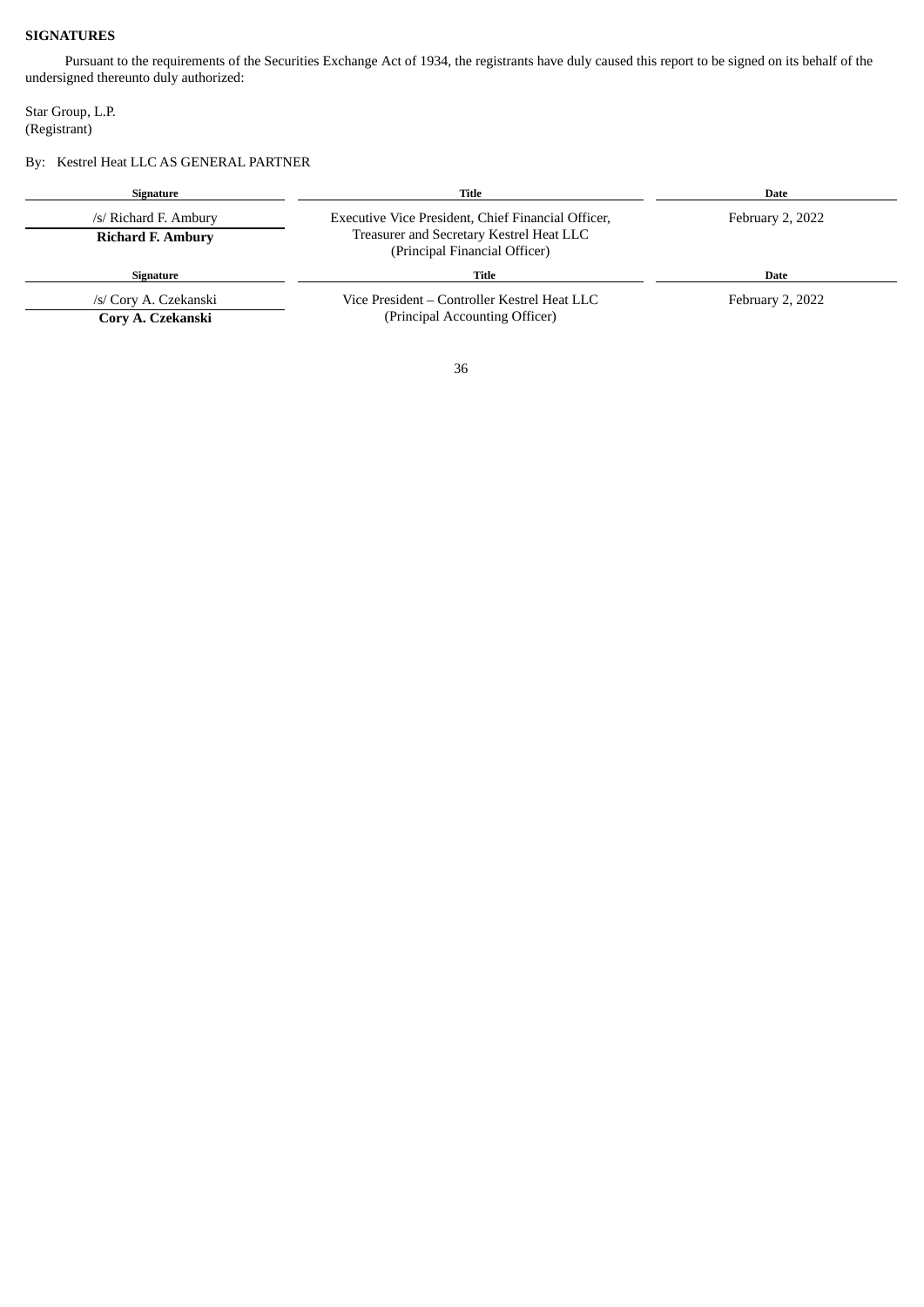# <span id="page-35-0"></span>**SIGNATURES**

Pursuant to the requirements of the Securities Exchange Act of 1934, the registrants have duly caused this report to be signed on its behalf of the undersigned thereunto duly authorized:

Star Group, L.P. (Registrant)

# By: Kestrel Heat LLC AS GENERAL PARTNER

| Signature                                         | Title                                                                                                                           | Date             |
|---------------------------------------------------|---------------------------------------------------------------------------------------------------------------------------------|------------------|
| /s/ Richard F. Ambury<br><b>Richard F. Ambury</b> | Executive Vice President, Chief Financial Officer,<br>Treasurer and Secretary Kestrel Heat LLC<br>(Principal Financial Officer) | February 2, 2022 |
| Signature                                         | Title                                                                                                                           | Date             |
| /s/ Cory A. Czekanski<br>Cory A. Czekanski        | Vice President – Controller Kestrel Heat LLC<br>(Principal Accounting Officer)                                                  | February 2, 2022 |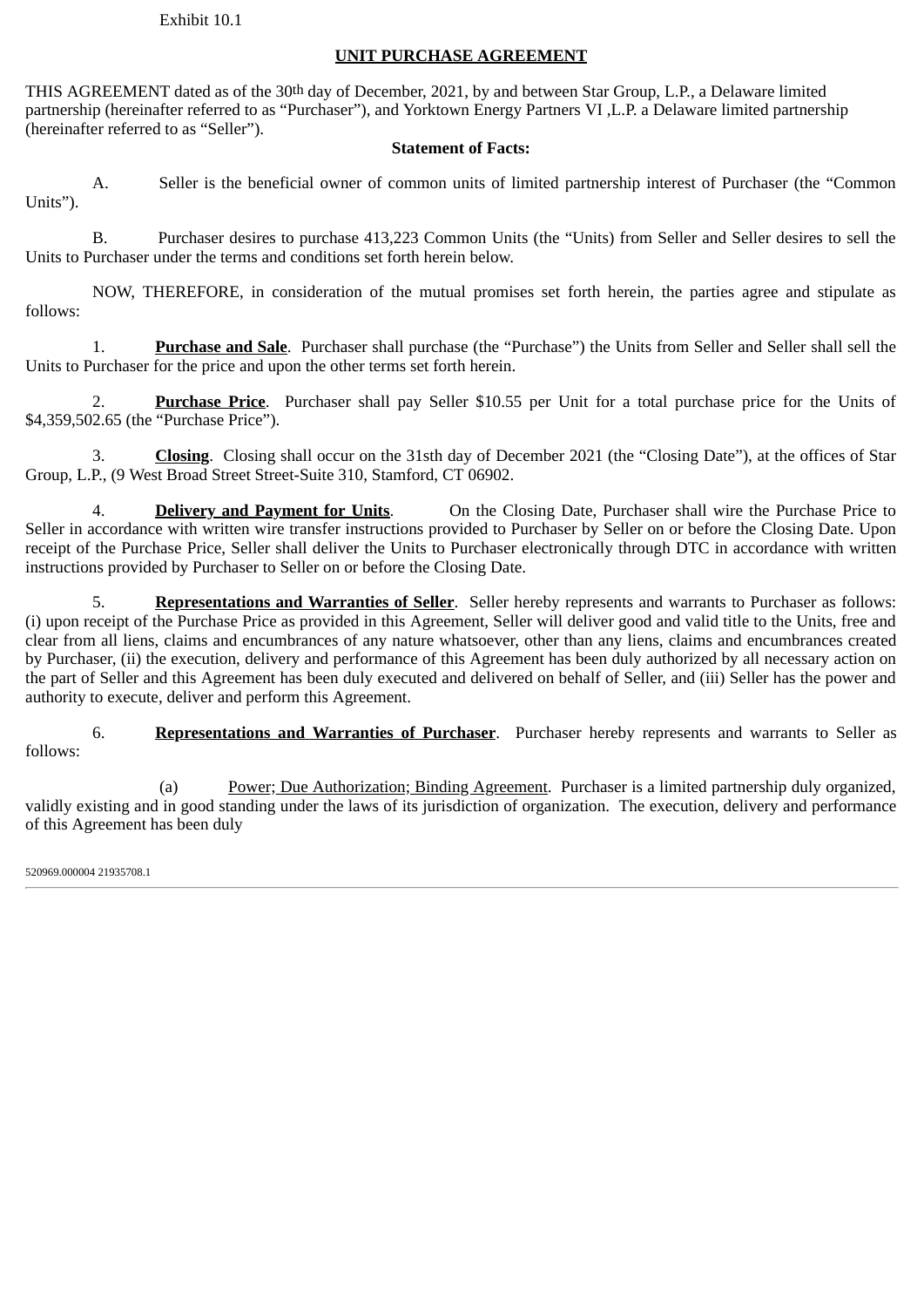# **UNIT PURCHASE AGREEMENT**

<span id="page-36-0"></span>THIS AGREEMENT dated as of the 30th day of December, 2021, by and between Star Group, L.P., a Delaware limited partnership (hereinafter referred to as "Purchaser"), and Yorktown Energy Partners VI ,L.P. a Delaware limited partnership (hereinafter referred to as "Seller").

# **Statement of Facts:**

A. Seller is the beneficial owner of common units of limited partnership interest of Purchaser (the "Common Units").

B. Purchaser desires to purchase 413,223 Common Units (the "Units) from Seller and Seller desires to sell the Units to Purchaser under the terms and conditions set forth herein below.

NOW, THEREFORE, in consideration of the mutual promises set forth herein, the parties agree and stipulate as follows:

1. **Purchase and Sale**. Purchaser shall purchase (the "Purchase") the Units from Seller and Seller shall sell the Units to Purchaser for the price and upon the other terms set forth herein.

2. **Purchase Price**. Purchaser shall pay Seller \$10.55 per Unit for a total purchase price for the Units of \$4,359,502.65 (the "Purchase Price").

3. **Closing**. Closing shall occur on the 31sth day of December 2021 (the "Closing Date"), at the offices of Star Group, L.P., (9 West Broad Street Street-Suite 310, Stamford, CT 06902.

4. **Delivery and Payment for Units**. On the Closing Date, Purchaser shall wire the Purchase Price to Seller in accordance with written wire transfer instructions provided to Purchaser by Seller on or before the Closing Date. Upon receipt of the Purchase Price, Seller shall deliver the Units to Purchaser electronically through DTC in accordance with written instructions provided by Purchaser to Seller on or before the Closing Date.

5. **Representations and Warranties of Seller**. Seller hereby represents and warrants to Purchaser as follows: (i) upon receipt of the Purchase Price as provided in this Agreement, Seller will deliver good and valid title to the Units, free and clear from all liens, claims and encumbrances of any nature whatsoever, other than any liens, claims and encumbrances created by Purchaser, (ii) the execution, delivery and performance of this Agreement has been duly authorized by all necessary action on the part of Seller and this Agreement has been duly executed and delivered on behalf of Seller, and (iii) Seller has the power and authority to execute, deliver and perform this Agreement.

6. **Representations and Warranties of Purchaser**. Purchaser hereby represents and warrants to Seller as follows:

(a) Power; Due Authorization; Binding Agreement. Purchaser is a limited partnership duly organized, validly existing and in good standing under the laws of its jurisdiction of organization. The execution, delivery and performance of this Agreement has been duly

520969.000004 21935708.1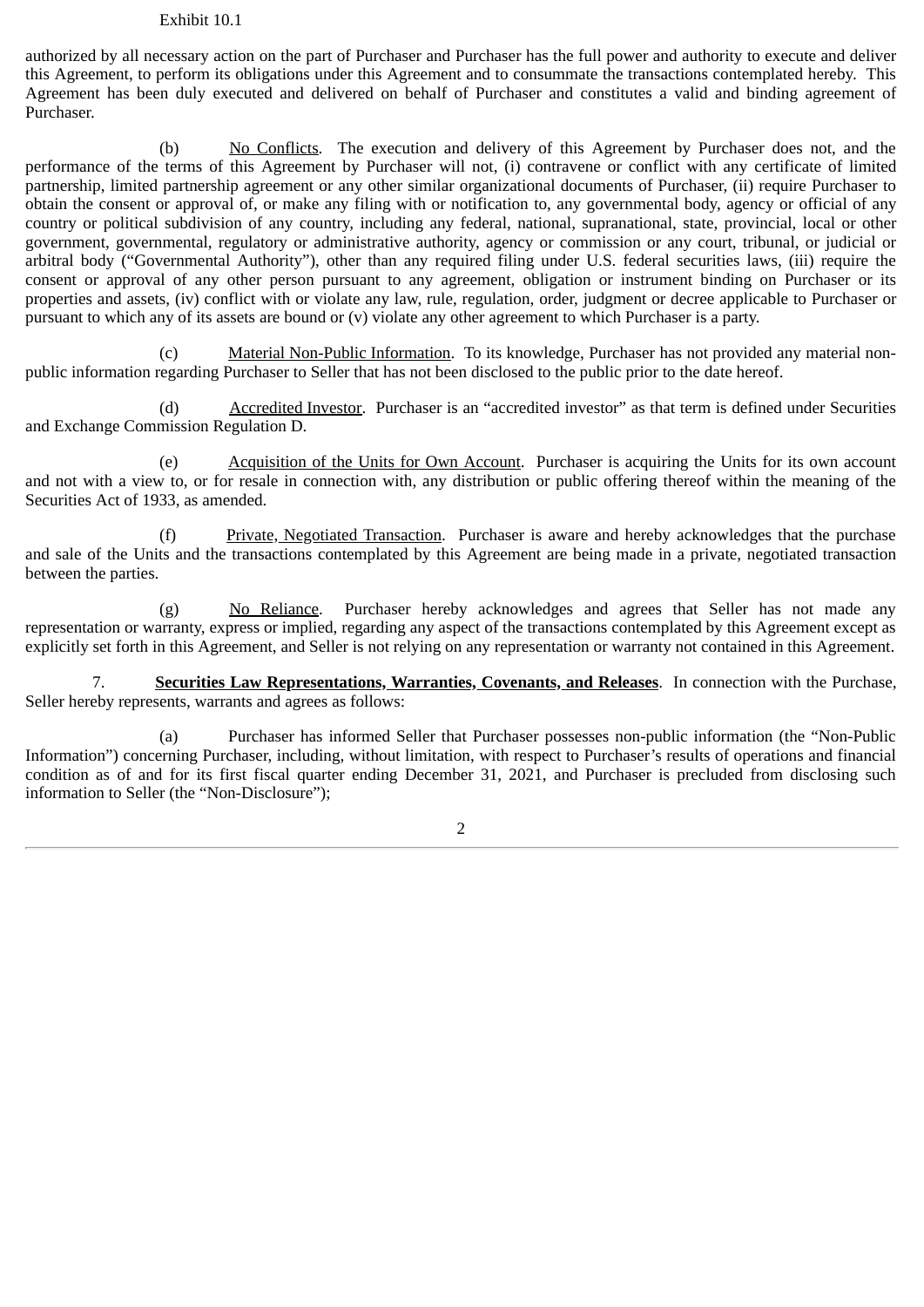authorized by all necessary action on the part of Purchaser and Purchaser has the full power and authority to execute and deliver this Agreement, to perform its obligations under this Agreement and to consummate the transactions contemplated hereby. This Agreement has been duly executed and delivered on behalf of Purchaser and constitutes a valid and binding agreement of Purchaser.

(b) No Conflicts. The execution and delivery of this Agreement by Purchaser does not, and the performance of the terms of this Agreement by Purchaser will not, (i) contravene or conflict with any certificate of limited partnership, limited partnership agreement or any other similar organizational documents of Purchaser, (ii) require Purchaser to obtain the consent or approval of, or make any filing with or notification to, any governmental body, agency or official of any country or political subdivision of any country, including any federal, national, supranational, state, provincial, local or other government, governmental, regulatory or administrative authority, agency or commission or any court, tribunal, or judicial or arbitral body ("Governmental Authority"), other than any required filing under U.S. federal securities laws, (iii) require the consent or approval of any other person pursuant to any agreement, obligation or instrument binding on Purchaser or its properties and assets, (iv) conflict with or violate any law, rule, regulation, order, judgment or decree applicable to Purchaser or pursuant to which any of its assets are bound or (v) violate any other agreement to which Purchaser is a party.

(c) Material Non-Public Information. To its knowledge, Purchaser has not provided any material nonpublic information regarding Purchaser to Seller that has not been disclosed to the public prior to the date hereof.

(d) Accredited Investor. Purchaser is an "accredited investor" as that term is defined under Securities and Exchange Commission Regulation D.

(e) Acquisition of the Units for Own Account. Purchaser is acquiring the Units for its own account and not with a view to, or for resale in connection with, any distribution or public offering thereof within the meaning of the Securities Act of 1933, as amended.

(f) Private, Negotiated Transaction. Purchaser is aware and hereby acknowledges that the purchase and sale of the Units and the transactions contemplated by this Agreement are being made in a private, negotiated transaction between the parties.

(g) No Reliance. Purchaser hereby acknowledges and agrees that Seller has not made any representation or warranty, express or implied, regarding any aspect of the transactions contemplated by this Agreement except as explicitly set forth in this Agreement, and Seller is not relying on any representation or warranty not contained in this Agreement.

7. **Securities Law Representations, Warranties, Covenants, and Releases**. In connection with the Purchase, Seller hereby represents, warrants and agrees as follows:

(a) Purchaser has informed Seller that Purchaser possesses non-public information (the "Non-Public Information") concerning Purchaser, including, without limitation, with respect to Purchaser's results of operations and financial condition as of and for its first fiscal quarter ending December 31, 2021, and Purchaser is precluded from disclosing such information to Seller (the "Non-Disclosure");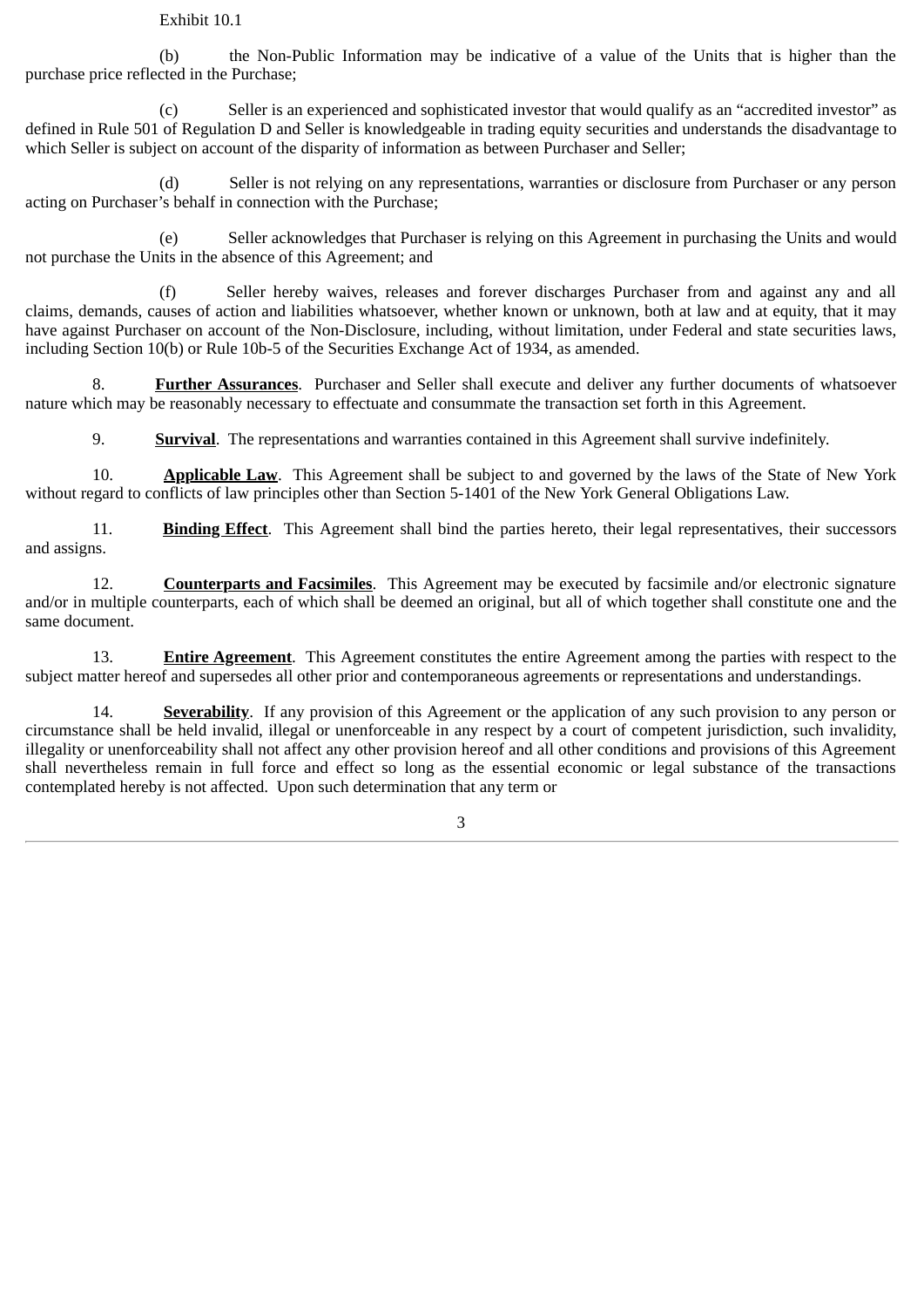(b) the Non-Public Information may be indicative of a value of the Units that is higher than the purchase price reflected in the Purchase;

(c) Seller is an experienced and sophisticated investor that would qualify as an "accredited investor" as defined in Rule 501 of Regulation D and Seller is knowledgeable in trading equity securities and understands the disadvantage to which Seller is subject on account of the disparity of information as between Purchaser and Seller;

(d) Seller is not relying on any representations, warranties or disclosure from Purchaser or any person acting on Purchaser's behalf in connection with the Purchase;

(e) Seller acknowledges that Purchaser is relying on this Agreement in purchasing the Units and would not purchase the Units in the absence of this Agreement; and

(f) Seller hereby waives, releases and forever discharges Purchaser from and against any and all claims, demands, causes of action and liabilities whatsoever, whether known or unknown, both at law and at equity, that it may have against Purchaser on account of the Non-Disclosure, including, without limitation, under Federal and state securities laws, including Section 10(b) or Rule 10b-5 of the Securities Exchange Act of 1934, as amended.

8. **Further Assurances**. Purchaser and Seller shall execute and deliver any further documents of whatsoever nature which may be reasonably necessary to effectuate and consummate the transaction set forth in this Agreement.

9. **Survival**. The representations and warranties contained in this Agreement shall survive indefinitely.

10. **Applicable Law**. This Agreement shall be subject to and governed by the laws of the State of New York without regard to conflicts of law principles other than Section 5-1401 of the New York General Obligations Law.

11. **Binding Effect**. This Agreement shall bind the parties hereto, their legal representatives, their successors and assigns.

12. **Counterparts and Facsimiles**. This Agreement may be executed by facsimile and/or electronic signature and/or in multiple counterparts, each of which shall be deemed an original, but all of which together shall constitute one and the same document.

13. **Entire Agreement**. This Agreement constitutes the entire Agreement among the parties with respect to the subject matter hereof and supersedes all other prior and contemporaneous agreements or representations and understandings.

14. **Severability**. If any provision of this Agreement or the application of any such provision to any person or circumstance shall be held invalid, illegal or unenforceable in any respect by a court of competent jurisdiction, such invalidity, illegality or unenforceability shall not affect any other provision hereof and all other conditions and provisions of this Agreement shall nevertheless remain in full force and effect so long as the essential economic or legal substance of the transactions contemplated hereby is not affected. Upon such determination that any term or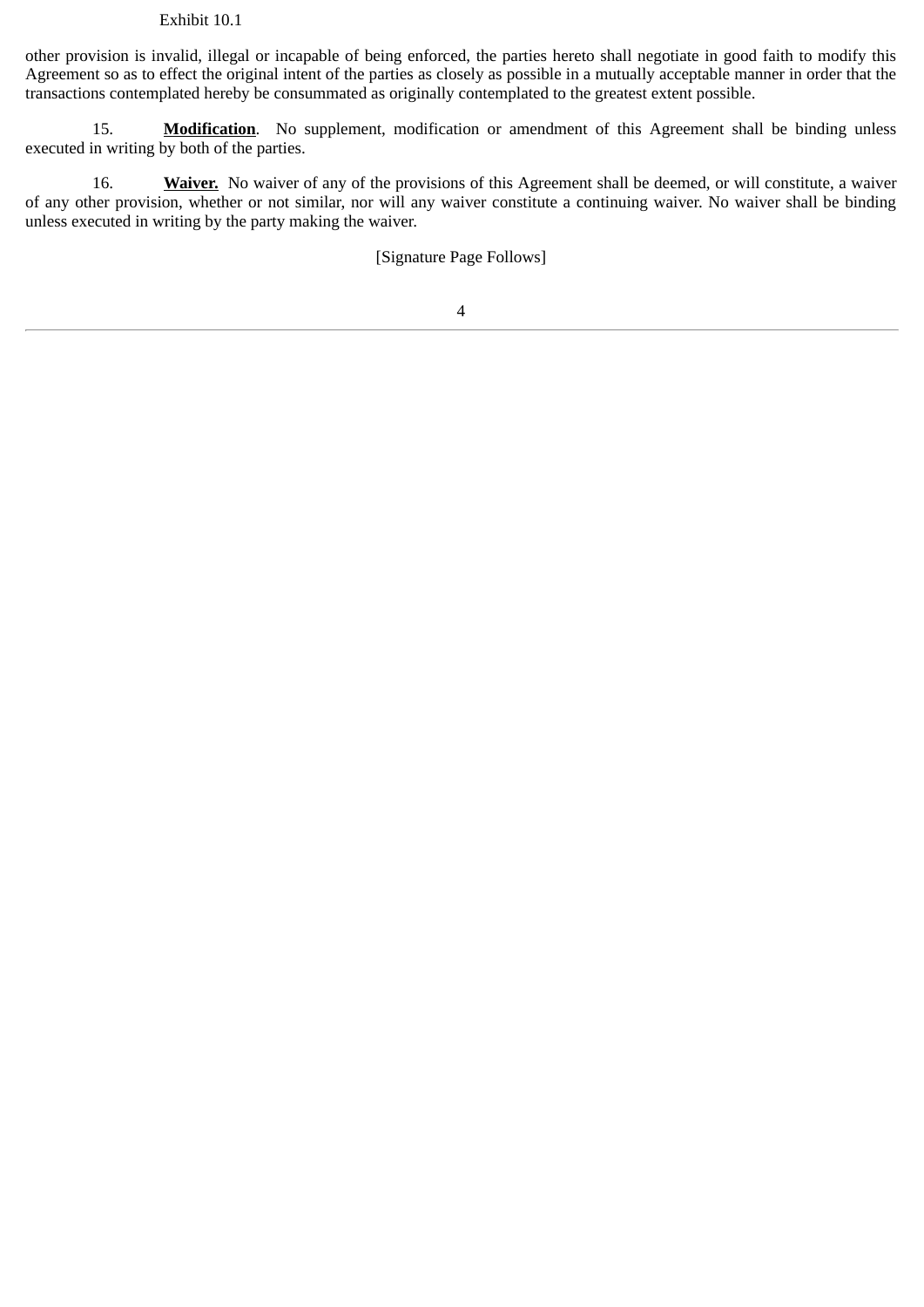other provision is invalid, illegal or incapable of being enforced, the parties hereto shall negotiate in good faith to modify this Agreement so as to effect the original intent of the parties as closely as possible in a mutually acceptable manner in order that the transactions contemplated hereby be consummated as originally contemplated to the greatest extent possible.

15. **Modification**. No supplement, modification or amendment of this Agreement shall be binding unless executed in writing by both of the parties.

16. **Waiver.** No waiver of any of the provisions of this Agreement shall be deemed, or will constitute, a waiver of any other provision, whether or not similar, nor will any waiver constitute a continuing waiver. No waiver shall be binding unless executed in writing by the party making the waiver.

[Signature Page Follows]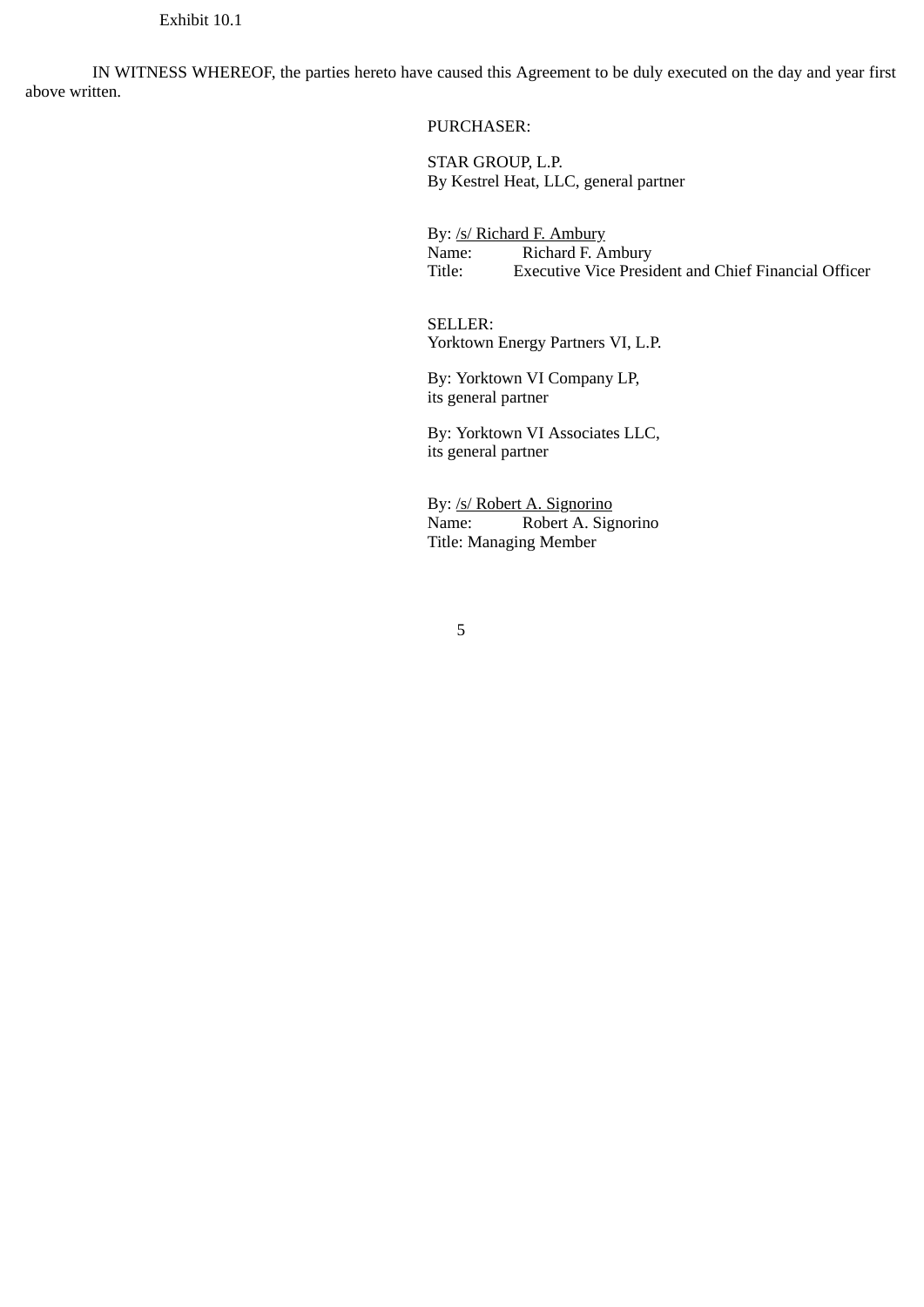IN WITNESS WHEREOF, the parties hereto have caused this Agreement to be duly executed on the day and year first above written.

PURCHASER:

STAR GROUP, L.P. By Kestrel Heat, LLC, general partner

By: /s/ Richard F. Ambury Name: Richard F. Ambury Title: Executive Vice President and Chief Financial Officer

SELLER: Yorktown Energy Partners VI, L.P.

By: Yorktown VI Company LP, its general partner

By: Yorktown VI Associates LLC, its general partner

By: /s/ Robert A. Signorino Name: Robert A. Signorino Title: Managing Member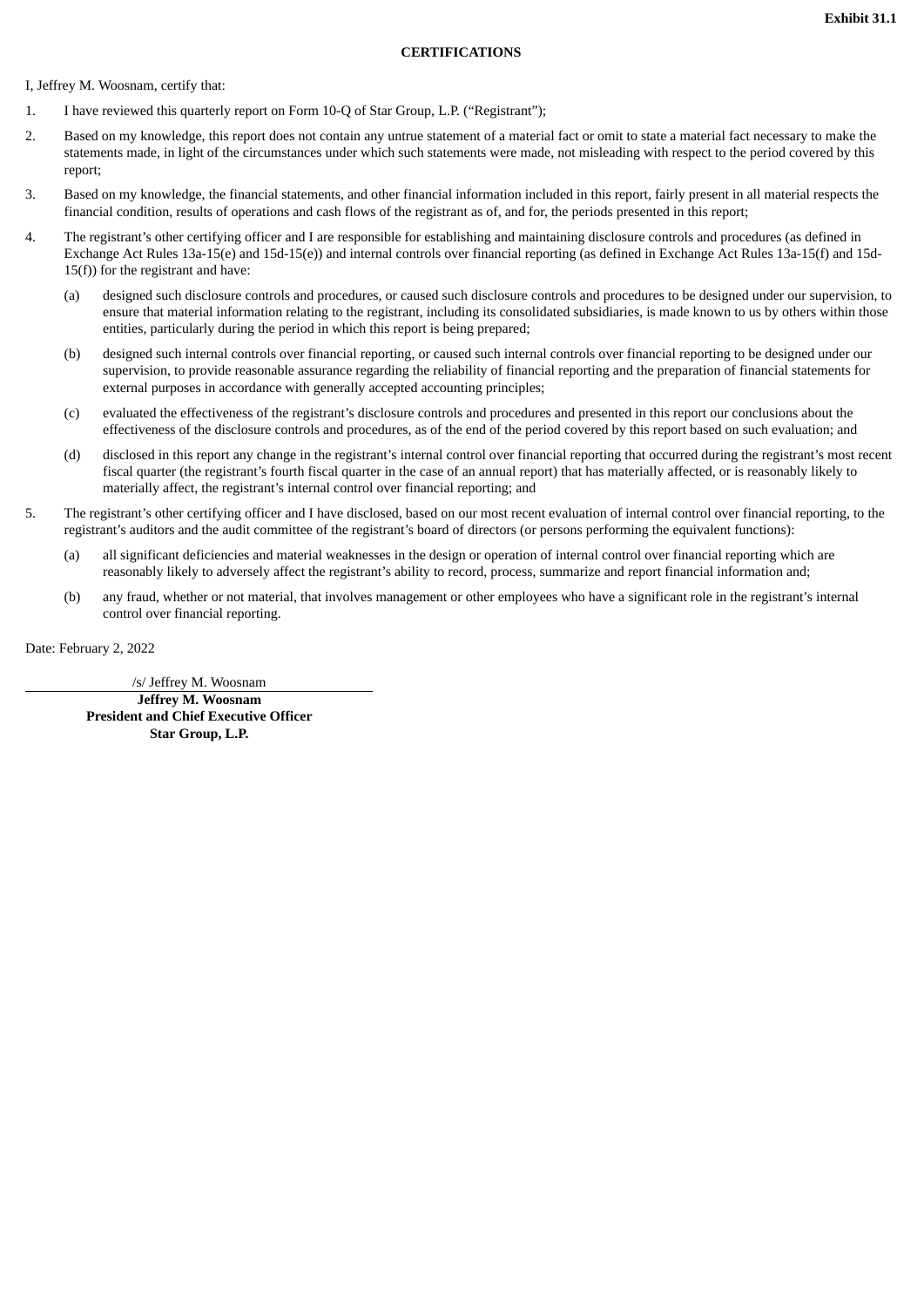## **CERTIFICATIONS**

<span id="page-41-0"></span>I, Jeffrey M. Woosnam, certify that:

- 1. I have reviewed this quarterly report on Form 10-Q of Star Group, L.P. ("Registrant");
- 2. Based on my knowledge, this report does not contain any untrue statement of a material fact or omit to state a material fact necessary to make the statements made, in light of the circumstances under which such statements were made, not misleading with respect to the period covered by this report;
- 3. Based on my knowledge, the financial statements, and other financial information included in this report, fairly present in all material respects the financial condition, results of operations and cash flows of the registrant as of, and for, the periods presented in this report;
- 4. The registrant's other certifying officer and I are responsible for establishing and maintaining disclosure controls and procedures (as defined in Exchange Act Rules 13a-15(e) and 15d-15(e)) and internal controls over financial reporting (as defined in Exchange Act Rules 13a-15(f) and 15d-15(f)) for the registrant and have:
	- (a) designed such disclosure controls and procedures, or caused such disclosure controls and procedures to be designed under our supervision, to ensure that material information relating to the registrant, including its consolidated subsidiaries, is made known to us by others within those entities, particularly during the period in which this report is being prepared;
	- (b) designed such internal controls over financial reporting, or caused such internal controls over financial reporting to be designed under our supervision, to provide reasonable assurance regarding the reliability of financial reporting and the preparation of financial statements for external purposes in accordance with generally accepted accounting principles;
	- (c) evaluated the effectiveness of the registrant's disclosure controls and procedures and presented in this report our conclusions about the effectiveness of the disclosure controls and procedures, as of the end of the period covered by this report based on such evaluation; and
	- (d) disclosed in this report any change in the registrant's internal control over financial reporting that occurred during the registrant's most recent fiscal quarter (the registrant's fourth fiscal quarter in the case of an annual report) that has materially affected, or is reasonably likely to materially affect, the registrant's internal control over financial reporting; and
- 5. The registrant's other certifying officer and I have disclosed, based on our most recent evaluation of internal control over financial reporting, to the registrant's auditors and the audit committee of the registrant's board of directors (or persons performing the equivalent functions):
	- (a) all significant deficiencies and material weaknesses in the design or operation of internal control over financial reporting which are reasonably likely to adversely affect the registrant's ability to record, process, summarize and report financial information and;
	- (b) any fraud, whether or not material, that involves management or other employees who have a significant role in the registrant's internal control over financial reporting.

Date: February 2, 2022

/s/ Jeffrey M. Woosnam

**Jeffrey M. Woosnam President and Chief Executive Officer Star Group, L.P.**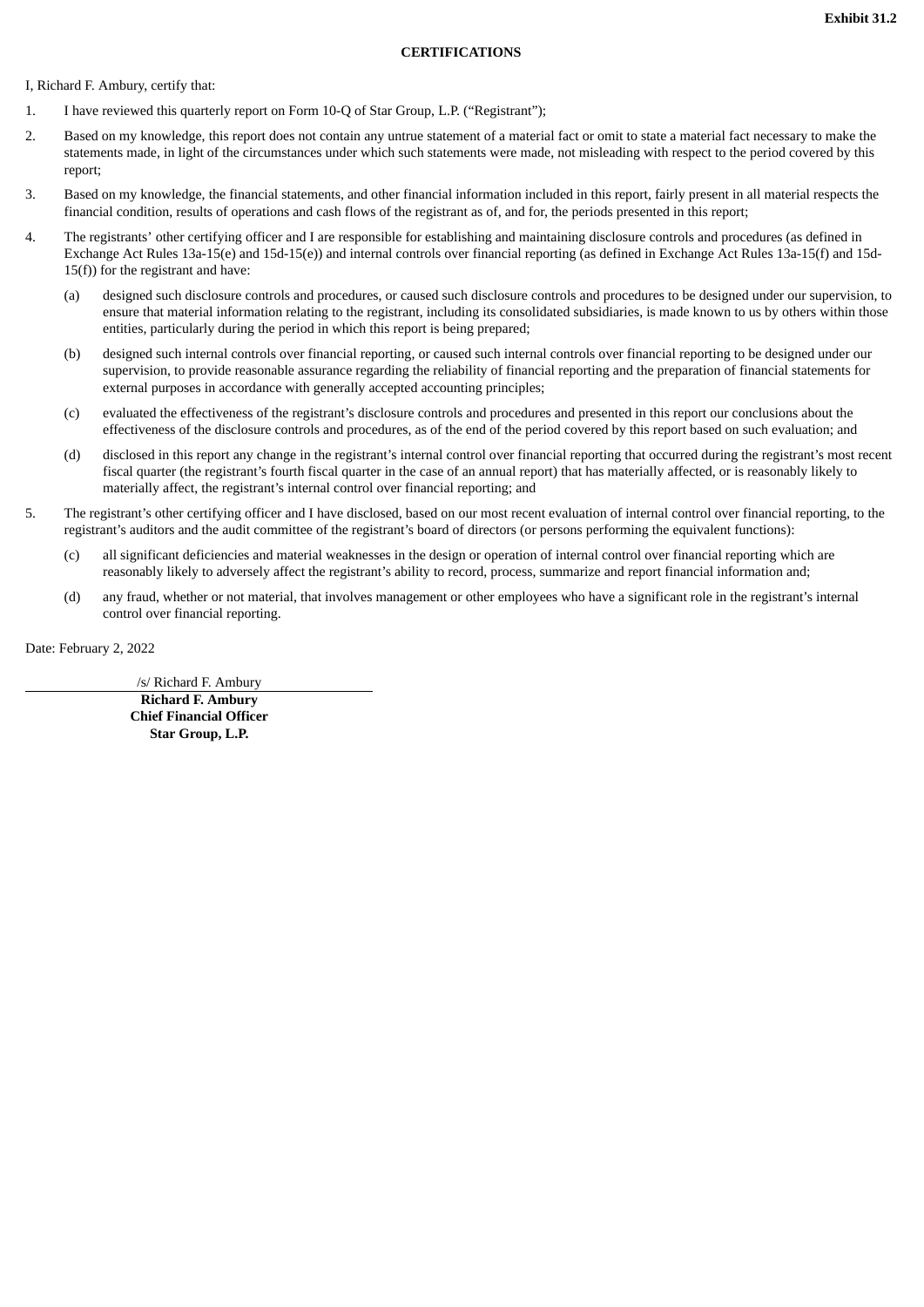## **CERTIFICATIONS**

<span id="page-42-0"></span>I, Richard F. Ambury, certify that:

- 1. I have reviewed this quarterly report on Form 10-Q of Star Group, L.P. ("Registrant");
- 2. Based on my knowledge, this report does not contain any untrue statement of a material fact or omit to state a material fact necessary to make the statements made, in light of the circumstances under which such statements were made, not misleading with respect to the period covered by this report;
- 3. Based on my knowledge, the financial statements, and other financial information included in this report, fairly present in all material respects the financial condition, results of operations and cash flows of the registrant as of, and for, the periods presented in this report;
- 4. The registrants' other certifying officer and I are responsible for establishing and maintaining disclosure controls and procedures (as defined in Exchange Act Rules 13a-15(e) and 15d-15(e)) and internal controls over financial reporting (as defined in Exchange Act Rules 13a-15(f) and 15d-15(f)) for the registrant and have:
	- (a) designed such disclosure controls and procedures, or caused such disclosure controls and procedures to be designed under our supervision, to ensure that material information relating to the registrant, including its consolidated subsidiaries, is made known to us by others within those entities, particularly during the period in which this report is being prepared;
	- (b) designed such internal controls over financial reporting, or caused such internal controls over financial reporting to be designed under our supervision, to provide reasonable assurance regarding the reliability of financial reporting and the preparation of financial statements for external purposes in accordance with generally accepted accounting principles;
	- (c) evaluated the effectiveness of the registrant's disclosure controls and procedures and presented in this report our conclusions about the effectiveness of the disclosure controls and procedures, as of the end of the period covered by this report based on such evaluation; and
	- (d) disclosed in this report any change in the registrant's internal control over financial reporting that occurred during the registrant's most recent fiscal quarter (the registrant's fourth fiscal quarter in the case of an annual report) that has materially affected, or is reasonably likely to materially affect, the registrant's internal control over financial reporting; and
- 5. The registrant's other certifying officer and I have disclosed, based on our most recent evaluation of internal control over financial reporting, to the registrant's auditors and the audit committee of the registrant's board of directors (or persons performing the equivalent functions):
	- (c) all significant deficiencies and material weaknesses in the design or operation of internal control over financial reporting which are reasonably likely to adversely affect the registrant's ability to record, process, summarize and report financial information and;
	- (d) any fraud, whether or not material, that involves management or other employees who have a significant role in the registrant's internal control over financial reporting.

Date: February 2, 2022

/s/ Richard F. Ambury

**Richard F. Ambury Chief Financial Officer Star Group, L.P.**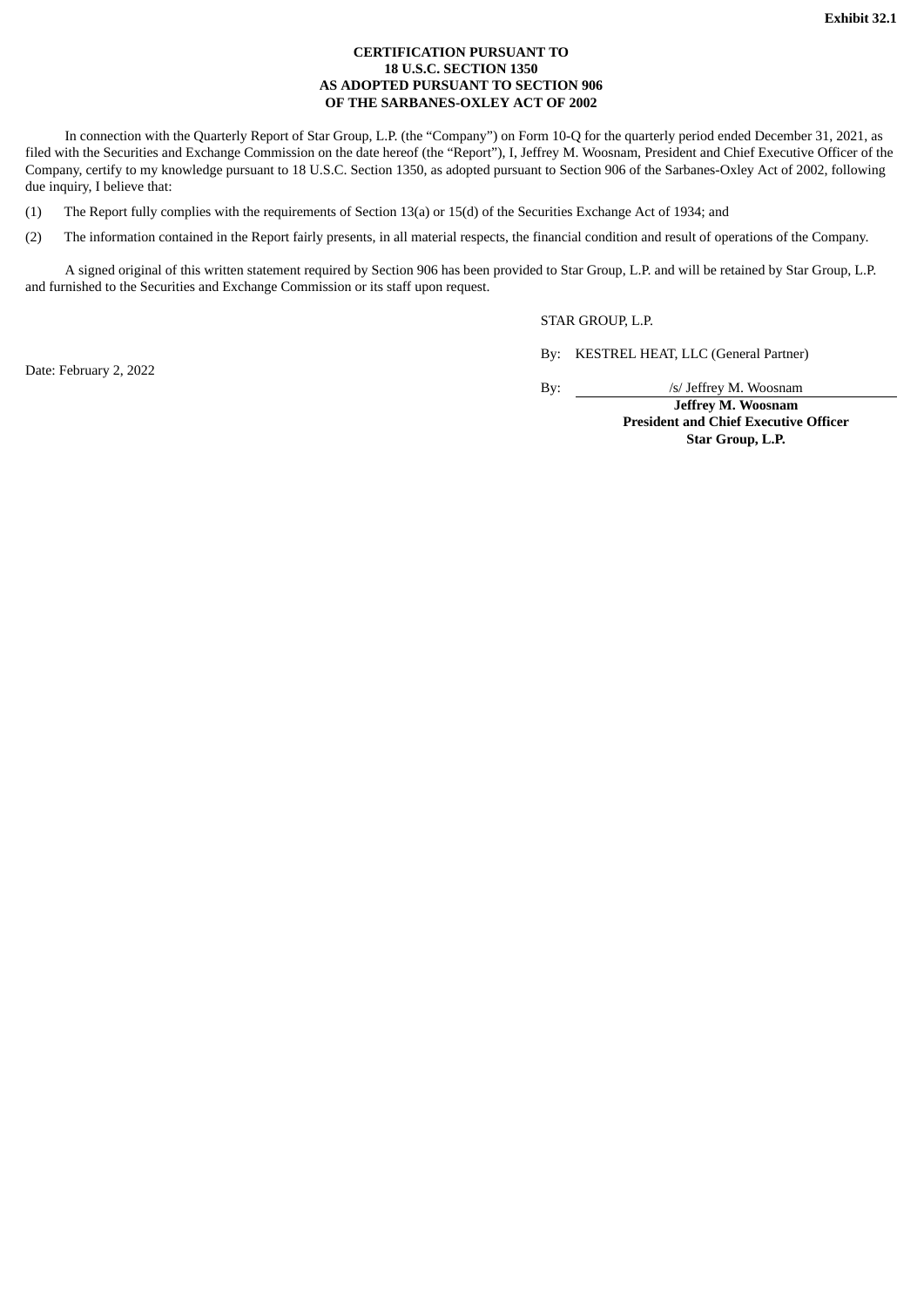## **CERTIFICATION PURSUANT TO 18 U.S.C. SECTION 1350 AS ADOPTED PURSUANT TO SECTION 906 OF THE SARBANES-OXLEY ACT OF 2002**

<span id="page-43-0"></span>In connection with the Quarterly Report of Star Group, L.P. (the "Company") on Form 10-Q for the quarterly period ended December 31, 2021, as filed with the Securities and Exchange Commission on the date hereof (the "Report"), I, Jeffrey M. Woosnam, President and Chief Executive Officer of the Company, certify to my knowledge pursuant to 18 U.S.C. Section 1350, as adopted pursuant to Section 906 of the Sarbanes-Oxley Act of 2002, following due inquiry, I believe that:

(1) The Report fully complies with the requirements of Section 13(a) or 15(d) of the Securities Exchange Act of 1934; and

(2) The information contained in the Report fairly presents, in all material respects, the financial condition and result of operations of the Company.

A signed original of this written statement required by Section 906 has been provided to Star Group, L.P. and will be retained by Star Group, L.P. and furnished to the Securities and Exchange Commission or its staff upon request.

STAR GROUP, L.P.

By: KESTREL HEAT, LLC (General Partner)

Date: February 2, 2022

By: /s/ Jeffrey M. Woosnam

**Jeffrey M. Woosnam President and Chief Executive Officer Star Group, L.P.**